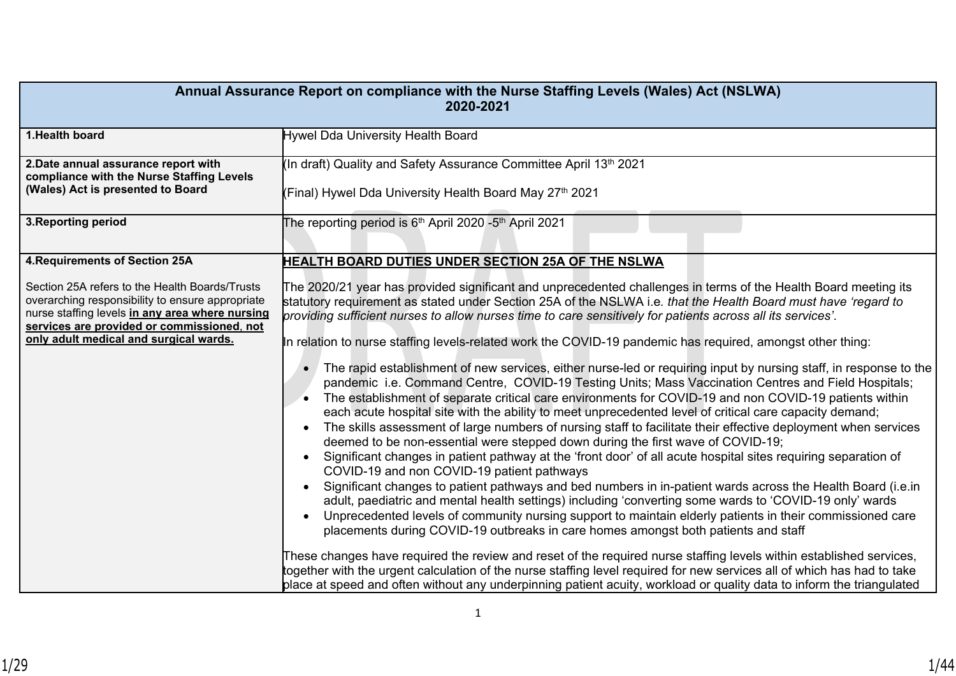| Annual Assurance Report on compliance with the Nurse Staffing Levels (Wales) Act (NSLWA)<br>2020-2021                                                                                                                                         |                                                                                                                                                                                                                                                                                                                                                                                                                                                                                                                                                                                                                                                                                                                                                                                                                                                                                                                                                                                                                                                                                                                                                                                                                                                                                                                                                                                                                                                                                                                                                                                                                                                                                                                                                                                    |  |  |  |
|-----------------------------------------------------------------------------------------------------------------------------------------------------------------------------------------------------------------------------------------------|------------------------------------------------------------------------------------------------------------------------------------------------------------------------------------------------------------------------------------------------------------------------------------------------------------------------------------------------------------------------------------------------------------------------------------------------------------------------------------------------------------------------------------------------------------------------------------------------------------------------------------------------------------------------------------------------------------------------------------------------------------------------------------------------------------------------------------------------------------------------------------------------------------------------------------------------------------------------------------------------------------------------------------------------------------------------------------------------------------------------------------------------------------------------------------------------------------------------------------------------------------------------------------------------------------------------------------------------------------------------------------------------------------------------------------------------------------------------------------------------------------------------------------------------------------------------------------------------------------------------------------------------------------------------------------------------------------------------------------------------------------------------------------|--|--|--|
| 1. Health board                                                                                                                                                                                                                               | Hywel Dda University Health Board                                                                                                                                                                                                                                                                                                                                                                                                                                                                                                                                                                                                                                                                                                                                                                                                                                                                                                                                                                                                                                                                                                                                                                                                                                                                                                                                                                                                                                                                                                                                                                                                                                                                                                                                                  |  |  |  |
| 2. Date annual assurance report with<br>compliance with the Nurse Staffing Levels<br>(Wales) Act is presented to Board                                                                                                                        | (In draft) Quality and Safety Assurance Committee April 13 <sup>th</sup> 2021<br>(Final) Hywel Dda University Health Board May 27th 2021                                                                                                                                                                                                                                                                                                                                                                                                                                                                                                                                                                                                                                                                                                                                                                                                                                                                                                                                                                                                                                                                                                                                                                                                                                                                                                                                                                                                                                                                                                                                                                                                                                           |  |  |  |
| 3. Reporting period                                                                                                                                                                                                                           | The reporting period is 6 <sup>th</sup> April 2020 -5 <sup>th</sup> April 2021                                                                                                                                                                                                                                                                                                                                                                                                                                                                                                                                                                                                                                                                                                                                                                                                                                                                                                                                                                                                                                                                                                                                                                                                                                                                                                                                                                                                                                                                                                                                                                                                                                                                                                     |  |  |  |
| <b>4. Requirements of Section 25A</b>                                                                                                                                                                                                         | <b>HEALTH BOARD DUTIES UNDER SECTION 25A OF THE NSLWA</b>                                                                                                                                                                                                                                                                                                                                                                                                                                                                                                                                                                                                                                                                                                                                                                                                                                                                                                                                                                                                                                                                                                                                                                                                                                                                                                                                                                                                                                                                                                                                                                                                                                                                                                                          |  |  |  |
| Section 25A refers to the Health Boards/Trusts<br>overarching responsibility to ensure appropriate<br>nurse staffing levels in any area where nursing<br>services are provided or commissioned, not<br>only adult medical and surgical wards. | The 2020/21 year has provided significant and unprecedented challenges in terms of the Health Board meeting its<br>statutory requirement as stated under Section 25A of the NSLWA i.e. that the Health Board must have 'regard to<br>providing sufficient nurses to allow nurses time to care sensitively for patients across all its services'.<br>In relation to nurse staffing levels-related work the COVID-19 pandemic has required, amongst other thing:<br>The rapid establishment of new services, either nurse-led or requiring input by nursing staff, in response to the<br>$\bullet$<br>pandemic i.e. Command Centre, COVID-19 Testing Units; Mass Vaccination Centres and Field Hospitals;<br>The establishment of separate critical care environments for COVID-19 and non COVID-19 patients within<br>each acute hospital site with the ability to meet unprecedented level of critical care capacity demand;<br>The skills assessment of large numbers of nursing staff to facilitate their effective deployment when services<br>$\bullet$<br>deemed to be non-essential were stepped down during the first wave of COVID-19;<br>Significant changes in patient pathway at the 'front door' of all acute hospital sites requiring separation of<br>$\bullet$<br>COVID-19 and non COVID-19 patient pathways<br>Significant changes to patient pathways and bed numbers in in-patient wards across the Health Board (i.e.in<br>$\bullet$<br>adult, paediatric and mental health settings) including 'converting some wards to 'COVID-19 only' wards<br>Unprecedented levels of community nursing support to maintain elderly patients in their commissioned care<br>$\bullet$<br>placements during COVID-19 outbreaks in care homes amongst both patients and staff |  |  |  |
|                                                                                                                                                                                                                                               | These changes have required the review and reset of the required nurse staffing levels within established services,<br>together with the urgent calculation of the nurse staffing level required for new services all of which has had to take<br>place at speed and often without any underpinning patient acuity, workload or quality data to inform the triangulated                                                                                                                                                                                                                                                                                                                                                                                                                                                                                                                                                                                                                                                                                                                                                                                                                                                                                                                                                                                                                                                                                                                                                                                                                                                                                                                                                                                                            |  |  |  |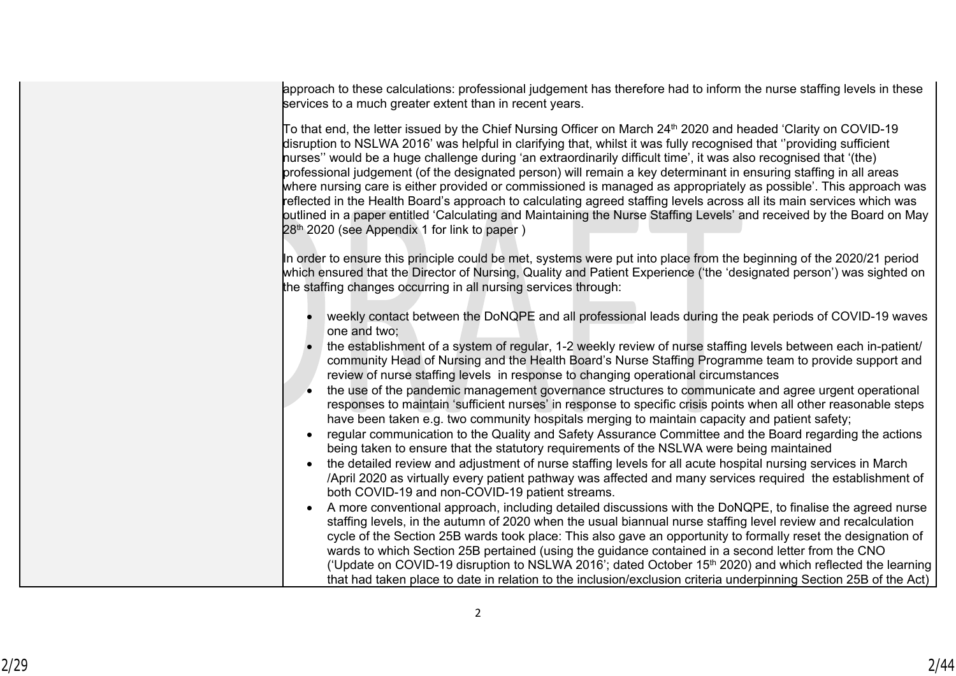approach to these calculations: professional judgement has therefore had to inform the nurse staffing levels in these services to a much greater extent than in recent years.

 $\rm\,$ To that end, the letter issued by the Chief Nursing Officer on March 24<sup>th</sup> 2020 and headed 'Clarity on COVID-19 disruption to NSLWA 2016' was helpful in clarifying that, whilst it was fully recognised that ''providing sufficient nurses'' would be a huge challenge during 'an extraordinarily difficult time', it was also recognised that '(the) professional judgement (of the designated person) will remain a key determinant in ensuring staffing in all areas where nursing care is either provided or commissioned is managed as appropriately as possible'. This approach was reflected in the Health Board's approach to calculating agreed staffing levels across all its main services which was outlined in a paper entitled 'Calculating and Maintaining the Nurse Staffing Levels' and received by the Board on May 28th 2020 (see Appendix 1 for link to paper )

In order to ensure this principle could be met, systems were put into place from the beginning of the 2020/21 period which ensured that the Director of Nursing, Quality and Patient Experience ('the 'designated person') was sighted on the staffing changes occurring in all nursing services through:

- weekly contact between the DoNQPE and all professional leads during the peak periods of COVID-19 waves one and two;
- the establishment of a system of regular, 1-2 weekly review of nurse staffing levels between each in-patient/ community Head of Nursing and the Health Board's Nurse Staffing Programme team to provide support and review of nurse staffing levels in response to changing operational circumstances
- the use of the pandemic management governance structures to communicate and agree urgent operational responses to maintain 'sufficient nurses' in response to specific crisis points when all other reasonable steps have been taken e.g. two community hospitals merging to maintain capacity and patient safety;
- regular communication to the Quality and Safety Assurance Committee and the Board regarding the actions being taken to ensure that the statutory requirements of the NSLWA were being maintained
- the detailed review and adjustment of nurse staffing levels for all acute hospital nursing services in March /April 2020 as virtually every patient pathway was affected and many services required the establishment of both COVID-19 and non-COVID-19 patient streams.
- A more conventional approach, including detailed discussions with the DoNQPE, to finalise the agreed nurse staffing levels, in the autumn of 2020 when the usual biannual nurse staffing level review and recalculation cycle of the Section 25B wards took place: This also gave an opportunity to formally reset the designation of wards to which Section 25B pertained (using the guidance contained in a second letter from the CNO ('Update on COVID-19 disruption to NSLWA 2016'; dated October 15<sup>th</sup> 2020) and which reflected the learning that had taken place to date in relation to the inclusion/exclusion criteria underpinning Section 25B of the Act)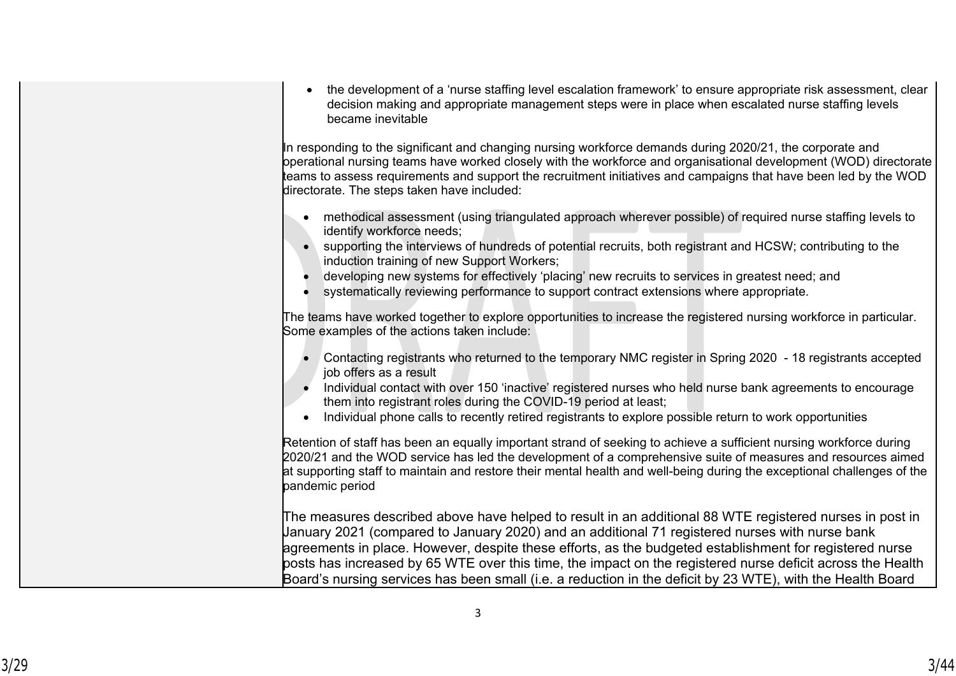| the development of a 'nurse staffing level escalation framework' to ensure appropriate risk assessment, clear<br>$\bullet$<br>decision making and appropriate management steps were in place when escalated nurse staffing levels<br>became inevitable                                                                                                                                                                                                                                           |
|--------------------------------------------------------------------------------------------------------------------------------------------------------------------------------------------------------------------------------------------------------------------------------------------------------------------------------------------------------------------------------------------------------------------------------------------------------------------------------------------------|
| In responding to the significant and changing nursing workforce demands during 2020/21, the corporate and<br>pperational nursing teams have worked closely with the workforce and organisational development (WOD) directorate<br>teams to assess requirements and support the recruitment initiatives and campaigns that have been led by the WOD<br>directorate. The steps taken have included:                                                                                                |
| methodical assessment (using triangulated approach wherever possible) of required nurse staffing levels to<br>identify workforce needs;<br>supporting the interviews of hundreds of potential recruits, both registrant and HCSW; contributing to the<br>induction training of new Support Workers;<br>developing new systems for effectively 'placing' new recruits to services in greatest need; and<br>systematically reviewing performance to support contract extensions where appropriate. |
| The teams have worked together to explore opportunities to increase the registered nursing workforce in particular.<br>Some examples of the actions taken include:                                                                                                                                                                                                                                                                                                                               |
| Contacting registrants who returned to the temporary NMC register in Spring 2020 - 18 registrants accepted<br>job offers as a result<br>Individual contact with over 150 'inactive' registered nurses who held nurse bank agreements to encourage<br>them into registrant roles during the COVID-19 period at least;<br>Individual phone calls to recently retired registrants to explore possible return to work opportunities                                                                  |
| Retention of staff has been an equally important strand of seeking to achieve a sufficient nursing workforce during<br>2020/21 and the WOD service has led the development of a comprehensive suite of measures and resources aimed<br>at supporting staff to maintain and restore their mental health and well-being during the exceptional challenges of the<br>pandemic period                                                                                                                |

The measures described above have helped to result in an additional 88 WTE registered nurses in post in January 2021 (compared to January 2020) and an additional 71 registered nurses with nurse bank agreements in place. However, despite these efforts, as the budgeted establishment for registered nurse posts has increased by 65 WTE over this time, the impact on the registered nurse deficit across the Health Board's nursing services has been small (i.e. a reduction in the deficit by 23 WTE), with the Health Board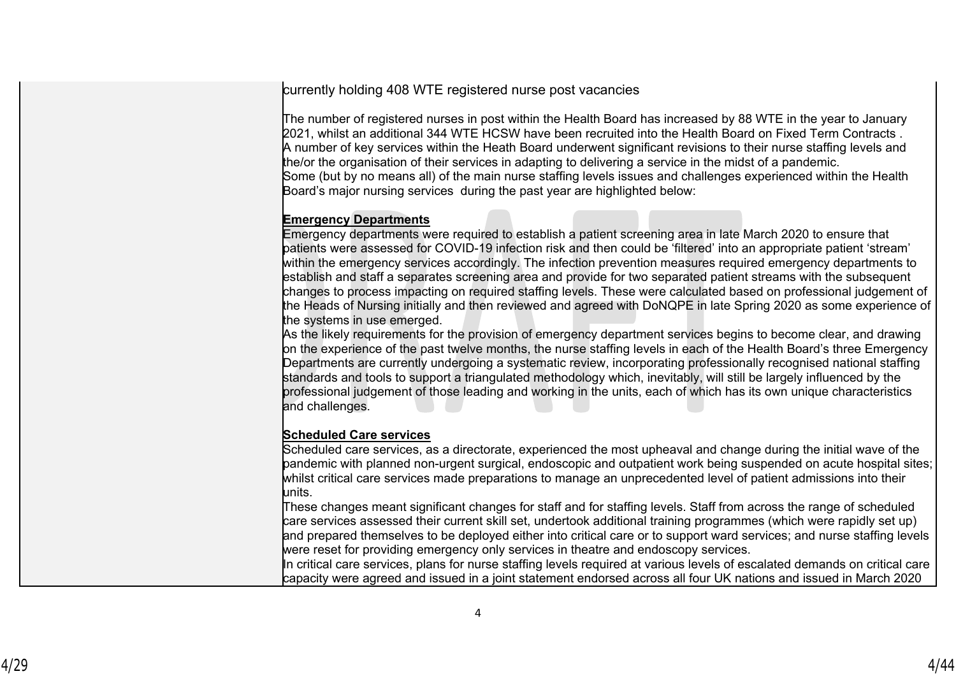currently holding 408 WTE registered nurse post vacancies

The number of registered nurses in post within the Health Board has increased by 88 WTE in the year to January 2021, whilst an additional 344 WTE HCSW have been recruited into the Health Board on Fixed Term Contracts . A number of key services within the Heath Board underwent significant revisions to their nurse staffing levels and the/or the organisation of their services in adapting to delivering a service in the midst of a pandemic. Some (but by no means all) of the main nurse staffing levels issues and challenges experienced within the Health Board's major nursing services during the past year are highlighted below:

## **Emergency Departments**

Emergency departments were required to establish a patient screening area in late March 2020 to ensure that patients were assessed for COVID-19 infection risk and then could be 'filtered' into an appropriate patient 'stream' within the emergency services accordingly. The infection prevention measures required emergency departments to establish and staff a separates screening area and provide for two separated patient streams with the subsequent changes to process impacting on required staffing levels. These were calculated based on professional judgement of the Heads of Nursing initially and then reviewed and agreed with DoNQPE in late Spring 2020 as some experience of the systems in use emerged.

As the likely requirements for the provision of emergency department services begins to become clear, and drawing on the experience of the past twelve months, the nurse staffing levels in each of the Health Board's three Emergency Departments are currently undergoing a systematic review, incorporating professionally recognised national staffing standards and tools to support a triangulated methodology which, inevitably, will still be largely influenced by the professional judgement of those leading and working in the units, each of which has its own unique characteristics and challenges.

## **Scheduled Care services**

Scheduled care services, as a directorate, experienced the most upheaval and change during the initial wave of the pandemic with planned non-urgent surgical, endoscopic and outpatient work being suspended on acute hospital sites; whilst critical care services made preparations to manage an unprecedented level of patient admissions into their units.

These changes meant significant changes for staff and for staffing levels. Staff from across the range of scheduled care services assessed their current skill set, undertook additional training programmes (which were rapidly set up) and prepared themselves to be deployed either into critical care or to support ward services; and nurse staffing levels were reset for providing emergency only services in theatre and endoscopy services.

In critical care services, plans for nurse staffing levels required at various levels of escalated demands on critical care capacity were agreed and issued in a joint statement endorsed across all four UK nations and issued in March 2020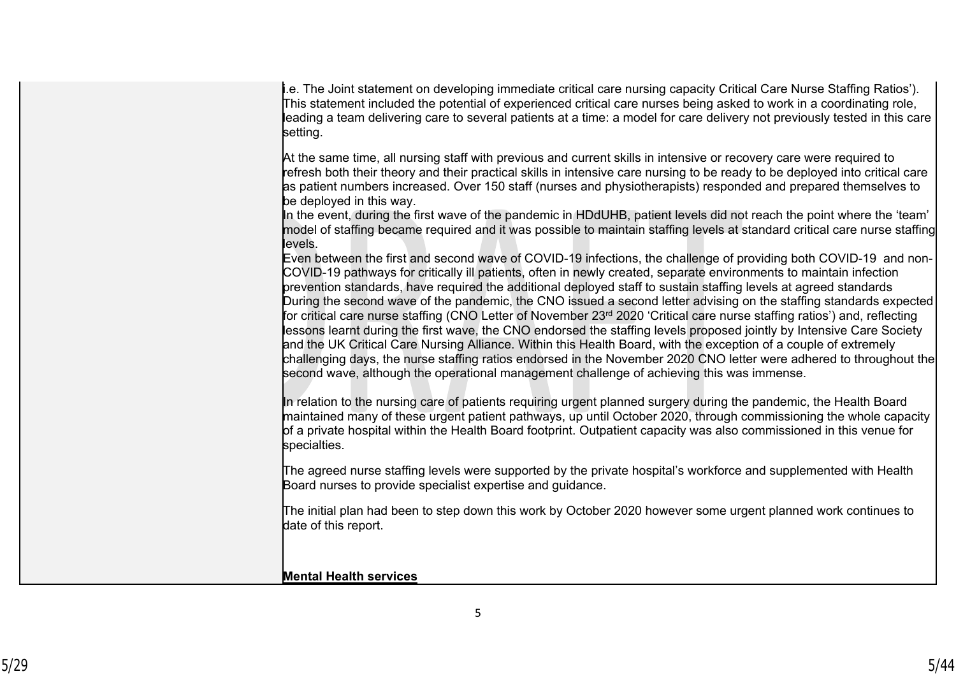| .e. The Joint statement on developing immediate critical care nursing capacity Critical Care Nurse Staffing Ratios').<br>This statement included the potential of experienced critical care nurses being asked to work in a coordinating role,<br>leading a team delivering care to several patients at a time: a model for care delivery not previously tested in this care<br>setting.                                                                                                                                                                                                                                                                                                                                                                                                                                                                                                                                                                                                                                                                                                                                                                                                                                                                                                                                                                                                                                                                      |
|---------------------------------------------------------------------------------------------------------------------------------------------------------------------------------------------------------------------------------------------------------------------------------------------------------------------------------------------------------------------------------------------------------------------------------------------------------------------------------------------------------------------------------------------------------------------------------------------------------------------------------------------------------------------------------------------------------------------------------------------------------------------------------------------------------------------------------------------------------------------------------------------------------------------------------------------------------------------------------------------------------------------------------------------------------------------------------------------------------------------------------------------------------------------------------------------------------------------------------------------------------------------------------------------------------------------------------------------------------------------------------------------------------------------------------------------------------------|
| At the same time, all nursing staff with previous and current skills in intensive or recovery care were required to<br>refresh both their theory and their practical skills in intensive care nursing to be ready to be deployed into critical care<br>as patient numbers increased. Over 150 staff (nurses and physiotherapists) responded and prepared themselves to<br>be deployed in this way.                                                                                                                                                                                                                                                                                                                                                                                                                                                                                                                                                                                                                                                                                                                                                                                                                                                                                                                                                                                                                                                            |
| In the event, during the first wave of the pandemic in HDdUHB, patient levels did not reach the point where the 'team'<br>model of staffing became required and it was possible to maintain staffing levels at standard critical care nurse staffing<br>levels.                                                                                                                                                                                                                                                                                                                                                                                                                                                                                                                                                                                                                                                                                                                                                                                                                                                                                                                                                                                                                                                                                                                                                                                               |
| Even between the first and second wave of COVID-19 infections, the challenge of providing both COVID-19 and non-<br>COVID-19 pathways for critically ill patients, often in newly created, separate environments to maintain infection<br>prevention standards, have required the additional deployed staff to sustain staffing levels at agreed standards<br>During the second wave of the pandemic, the CNO issued a second letter advising on the staffing standards expected<br>for critical care nurse staffing (CNO Letter of November 23 <sup>rd</sup> 2020 'Critical care nurse staffing ratios') and, reflecting<br>lessons learnt during the first wave, the CNO endorsed the staffing levels proposed jointly by Intensive Care Society<br>and the UK Critical Care Nursing Alliance. Within this Health Board, with the exception of a couple of extremely<br>challenging days, the nurse staffing ratios endorsed in the November 2020 CNO letter were adhered to throughout the<br>second wave, although the operational management challenge of achieving this was immense.<br>In relation to the nursing care of patients requiring urgent planned surgery during the pandemic, the Health Board<br>maintained many of these urgent patient pathways, up until October 2020, through commissioning the whole capacity<br>of a private hospital within the Health Board footprint. Outpatient capacity was also commissioned in this venue for |
| specialties.<br>The agreed nurse staffing levels were supported by the private hospital's workforce and supplemented with Health                                                                                                                                                                                                                                                                                                                                                                                                                                                                                                                                                                                                                                                                                                                                                                                                                                                                                                                                                                                                                                                                                                                                                                                                                                                                                                                              |
| Board nurses to provide specialist expertise and guidance.<br>The initial plan had been to step down this work by October 2020 however some urgent planned work continues to                                                                                                                                                                                                                                                                                                                                                                                                                                                                                                                                                                                                                                                                                                                                                                                                                                                                                                                                                                                                                                                                                                                                                                                                                                                                                  |
| date of this report.                                                                                                                                                                                                                                                                                                                                                                                                                                                                                                                                                                                                                                                                                                                                                                                                                                                                                                                                                                                                                                                                                                                                                                                                                                                                                                                                                                                                                                          |
| <b>Mental Health services</b>                                                                                                                                                                                                                                                                                                                                                                                                                                                                                                                                                                                                                                                                                                                                                                                                                                                                                                                                                                                                                                                                                                                                                                                                                                                                                                                                                                                                                                 |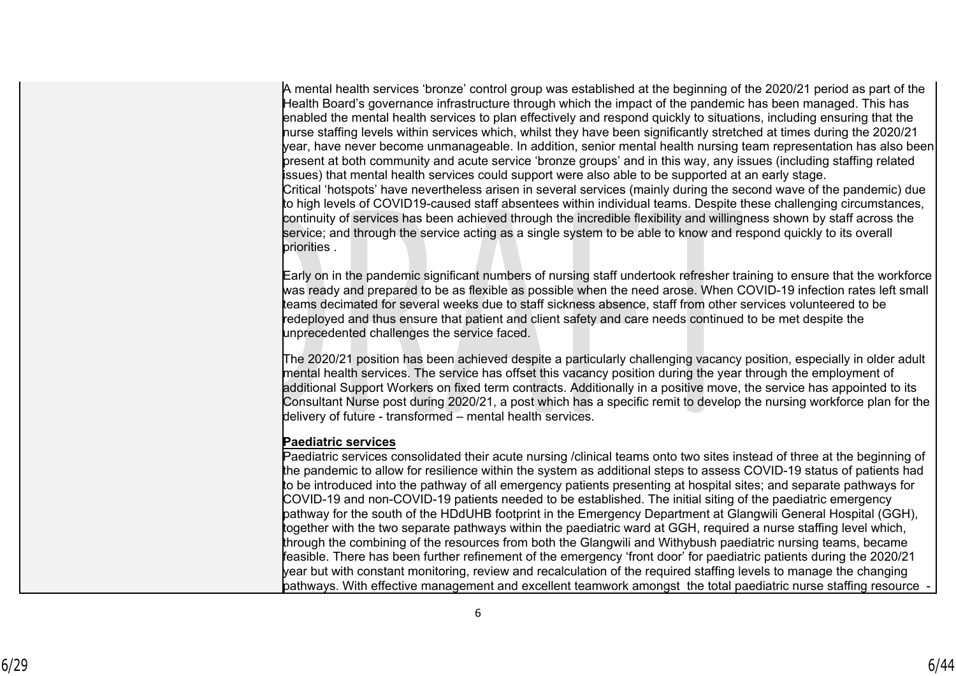A mental health services 'bronze' control group was established at the beginning of the 2020/21 period as part of the Health Board's governance infrastructure through which the impact of the pandemic has been managed. This has enabled the mental health services to plan effectively and respond quickly to situations, including ensuring that the nurse staffing levels within services which, whilst they have been significantly stretched at times during the 2020/21 year, have never become unmanageable. In addition, senior mental health nursing team representation has also been present at both community and acute service 'bronze groups' and in this way, any issues (including staffing related issues) that mental health services could support were also able to be supported at an early stage. Critical 'hotspots' have nevertheless arisen in several services (mainly during the second wave of the pandemic) due to high levels of COVID19-caused staff absentees within individual teams. Despite these challenging circumstances, continuity of services has been achieved through the incredible flexibility and willingness shown by staff across the service; and through the service acting as a single system to be able to know and respond quickly to its overall priorities .

Early on in the pandemic significant numbers of nursing staff undertook refresher training to ensure that the workforce was ready and prepared to be as flexible as possible when the need arose. When COVID-19 infection rates left small teams decimated for several weeks due to staff sickness absence, staff from other services volunteered to be redeployed and thus ensure that patient and client safety and care needs continued to be met despite the unprecedented challenges the service faced.

The 2020/21 position has been achieved despite a particularly challenging vacancy position, especially in older adult mental health services. The service has offset this vacancy position during the year through the employment of additional Support Workers on fixed term contracts. Additionally in a positive move, the service has appointed to its Consultant Nurse post during 2020/21, a post which has a specific remit to develop the nursing workforce plan for the delivery of future - transformed – mental health services.

## **Paediatric services**

Paediatric services consolidated their acute nursing /clinical teams onto two sites instead of three at the beginning of the pandemic to allow for resilience within the system as additional steps to assess COVID-19 status of patients had to be introduced into the pathway of all emergency patients presenting at hospital sites; and separate pathways for COVID-19 and non-COVID-19 patients needed to be established. The initial siting of the paediatric emergency pathway for the south of the HDdUHB footprint in the Emergency Department at Glangwili General Hospital (GGH), together with the two separate pathways within the paediatric ward at GGH, required a nurse staffing level which, through the combining of the resources from both the Glangwili and Withybush paediatric nursing teams, became feasible. There has been further refinement of the emergency 'front door' for paediatric patients during the 2020/21 year but with constant monitoring, review and recalculation of the required staffing levels to manage the changing pathways. With effective management and excellent teamwork amongst the total paediatric nurse staffing resource -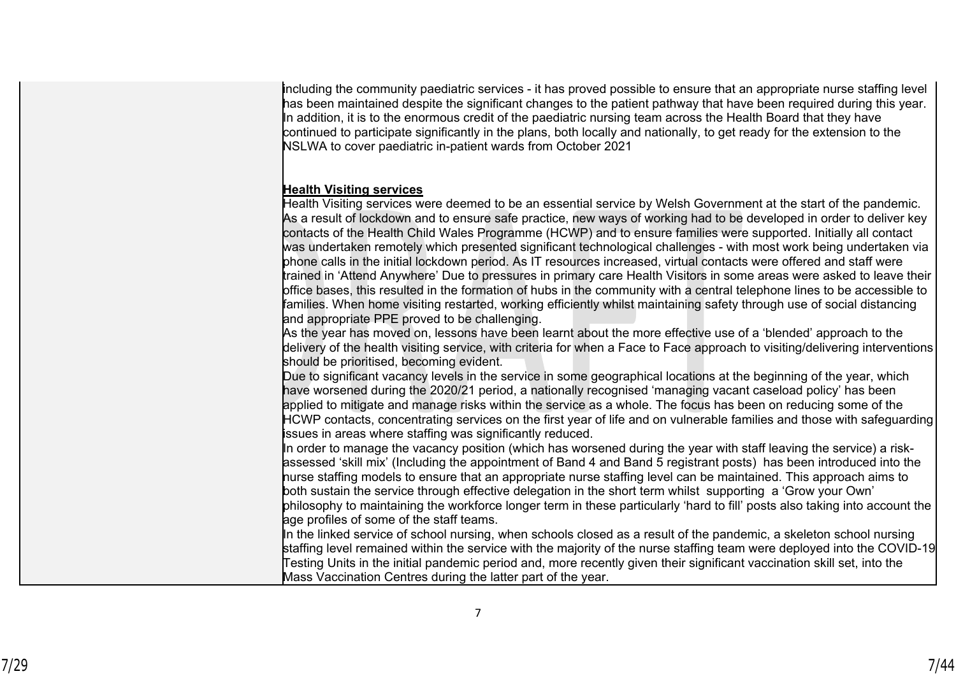including the community paediatric services - it has proved possible to ensure that an appropriate nurse staffing level has been maintained despite the significant changes to the patient pathway that have been required during this year. In addition, it is to the enormous credit of the paediatric nursing team across the Health Board that they have continued to participate significantly in the plans, both locally and nationally, to get ready for the extension to the NSLWA to cover paediatric in-patient wards from October 2021

#### **Health Visiting services**

Health Visiting services were deemed to be an essential service by Welsh Government at the start of the pandemic. As a result of lockdown and to ensure safe practice, new ways of working had to be developed in order to deliver key contacts of the Health Child Wales Programme (HCWP) and to ensure families were supported. Initially all contact was undertaken remotely which presented significant technological challenges - with most work being undertaken via phone calls in the initial lockdown period. As IT resources increased, virtual contacts were offered and staff were trained in 'Attend Anywhere' Due to pressures in primary care Health Visitors in some areas were asked to leave their office bases, this resulted in the formation of hubs in the community with a central telephone lines to be accessible to families. When home visiting restarted, working efficiently whilst maintaining safety through use of social distancing and appropriate PPE proved to be challenging.

As the year has moved on, lessons have been learnt about the more effective use of a 'blended' approach to the delivery of the health visiting service, with criteria for when a Face to Face approach to visiting/delivering interventions should be prioritised, becoming evident.

Due to significant vacancy levels in the service in some geographical locations at the beginning of the year, which have worsened during the 2020/21 period, a nationally recognised 'managing vacant caseload policy' has been applied to mitigate and manage risks within the service as a whole. The focus has been on reducing some of the HCWP contacts, concentrating services on the first year of life and on vulnerable families and those with safeguarding issues in areas where staffing was significantly reduced.

In order to manage the vacancy position (which has worsened during the year with staff leaving the service) a riskassessed 'skill mix' (Including the appointment of Band 4 and Band 5 registrant posts) has been introduced into the nurse staffing models to ensure that an appropriate nurse staffing level can be maintained. This approach aims to both sustain the service through effective delegation in the short term whilst supporting a 'Grow your Own' philosophy to maintaining the workforce longer term in these particularly 'hard to fill' posts also taking into account the

age profiles of some of the staff teams.

In the linked service of school nursing, when schools closed as a result of the pandemic, a skeleton school nursing staffing level remained within the service with the majority of the nurse staffing team were deployed into the COVID-19 Testing Units in the initial pandemic period and, more recently given their significant vaccination skill set, into the Mass Vaccination Centres during the latter part of the year.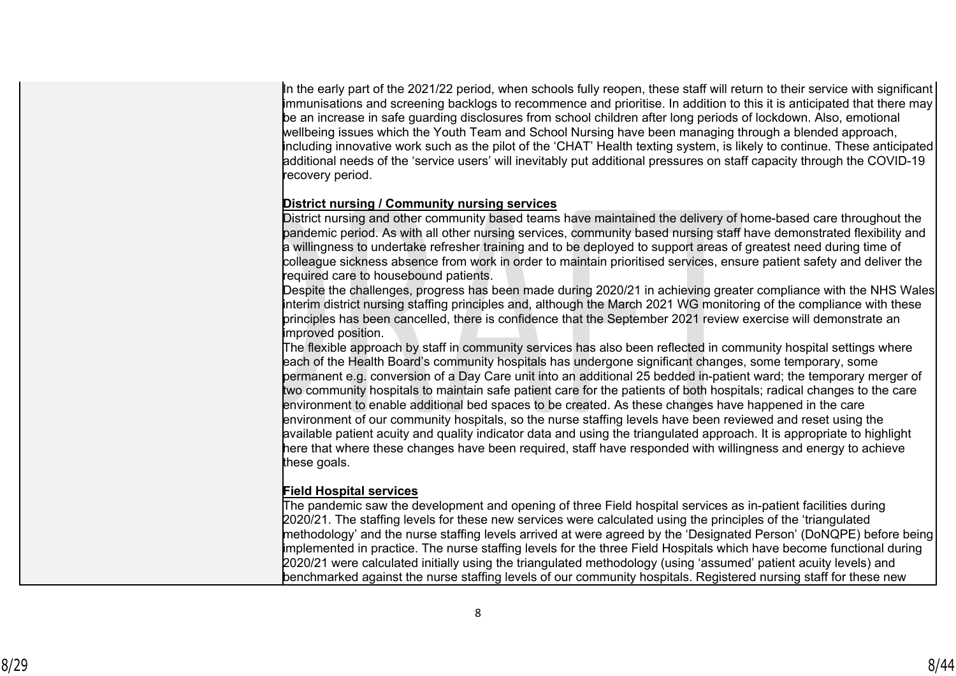In the early part of the 2021/22 period, when schools fully reopen, these staff will return to their service with significant immunisations and screening backlogs to recommence and prioritise. In addition to this it is anticipated that there may be an increase in safe guarding disclosures from school children after long periods of lockdown. Also, emotional wellbeing issues which the Youth Team and School Nursing have been managing through a blended approach, including innovative work such as the pilot of the 'CHAT' Health texting system, is likely to continue. These anticipated additional needs of the 'service users' will inevitably put additional pressures on staff capacity through the COVID-19 recovery period.

### **District nursing / Community nursing services**

District nursing and other community based teams have maintained the delivery of home-based care throughout the pandemic period. As with all other nursing services, community based nursing staff have demonstrated flexibility and a willingness to undertake refresher training and to be deployed to support areas of greatest need during time of colleague sickness absence from work in order to maintain prioritised services, ensure patient safety and deliver the required care to housebound patients.

Despite the challenges, progress has been made during 2020/21 in achieving greater compliance with the NHS Wales interim district nursing staffing principles and, although the March 2021 WG monitoring of the compliance with these principles has been cancelled, there is confidence that the September 2021 review exercise will demonstrate an improved position.

The flexible approach by staff in community services has also been reflected in community hospital settings where each of the Health Board's community hospitals has undergone significant changes, some temporary, some permanent e.g. conversion of a Day Care unit into an additional 25 bedded in-patient ward; the temporary merger of two community hospitals to maintain safe patient care for the patients of both hospitals; radical changes to the care environment to enable additional bed spaces to be created. As these changes have happened in the care environment of our community hospitals, so the nurse staffing levels have been reviewed and reset using the available patient acuity and quality indicator data and using the triangulated approach. It is appropriate to highlight here that where these changes have been required, staff have responded with willingness and energy to achieve these goals.

## **Field Hospital services**

The pandemic saw the development and opening of three Field hospital services as in-patient facilities during 2020/21. The staffing levels for these new services were calculated using the principles of the 'triangulated methodology' and the nurse staffing levels arrived at were agreed by the 'Designated Person' (DoNQPE) before being implemented in practice. The nurse staffing levels for the three Field Hospitals which have become functional during 2020/21 were calculated initially using the triangulated methodology (using 'assumed' patient acuity levels) and benchmarked against the nurse staffing levels of our community hospitals. Registered nursing staff for these new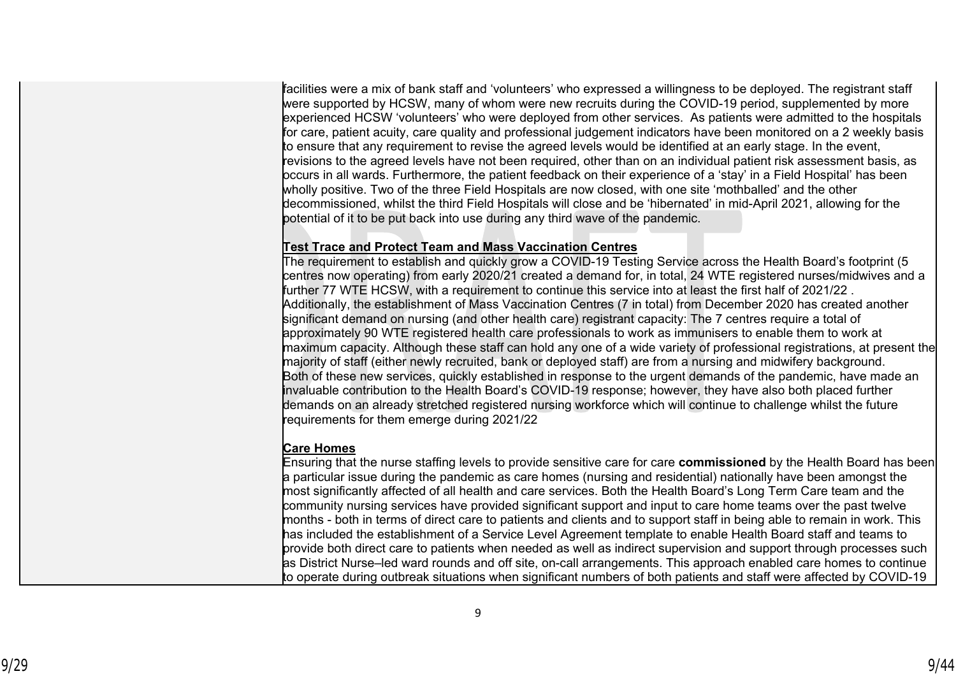facilities were a mix of bank staff and 'volunteers' who expressed a willingness to be deployed. The registrant staff were supported by HCSW, many of whom were new recruits during the COVID-19 period, supplemented by more experienced HCSW 'volunteers' who were deployed from other services. As patients were admitted to the hospitals for care, patient acuity, care quality and professional judgement indicators have been monitored on a 2 weekly basis to ensure that any requirement to revise the agreed levels would be identified at an early stage. In the event, revisions to the agreed levels have not been required, other than on an individual patient risk assessment basis, as occurs in all wards. Furthermore, the patient feedback on their experience of a 'stay' in a Field Hospital' has been wholly positive. Two of the three Field Hospitals are now closed, with one site 'mothballed' and the other decommissioned, whilst the third Field Hospitals will close and be 'hibernated' in mid-April 2021, allowing for the potential of it to be put back into use during any third wave of the pandemic.

## **Test Trace and Protect Team and Mass Vaccination Centres**

The requirement to establish and quickly grow a COVID-19 Testing Service across the Health Board's footprint (5 centres now operating) from early 2020/21 created a demand for, in total, 24 WTE registered nurses/midwives and a further 77 WTE HCSW, with a requirement to continue this service into at least the first half of 2021/22 . Additionally, the establishment of Mass Vaccination Centres (7 in total) from December 2020 has created another significant demand on nursing (and other health care) registrant capacity: The 7 centres require a total of approximately 90 WTE registered health care professionals to work as immunisers to enable them to work at maximum capacity. Although these staff can hold any one of a wide variety of professional registrations, at present the majority of staff (either newly recruited, bank or deployed staff) are from a nursing and midwifery background. Both of these new services, quickly established in response to the urgent demands of the pandemic, have made an invaluable contribution to the Health Board's COVID-19 response; however, they have also both placed further demands on an already stretched registered nursing workforce which will continue to challenge whilst the future requirements for them emerge during 2021/22

## **Care Homes**

Ensuring that the nurse staffing levels to provide sensitive care for care **commissioned** by the Health Board has been a particular issue during the pandemic as care homes (nursing and residential) nationally have been amongst the most significantly affected of all health and care services. Both the Health Board's Long Term Care team and the community nursing services have provided significant support and input to care home teams over the past twelve months - both in terms of direct care to patients and clients and to support staff in being able to remain in work. This has included the establishment of a Service Level Agreement template to enable Health Board staff and teams to provide both direct care to patients when needed as well as indirect supervision and support through processes such as District Nurse–led ward rounds and off site, on-call arrangements. This approach enabled care homes to continue to operate during outbreak situations when significant numbers of both patients and staff were affected by COVID-19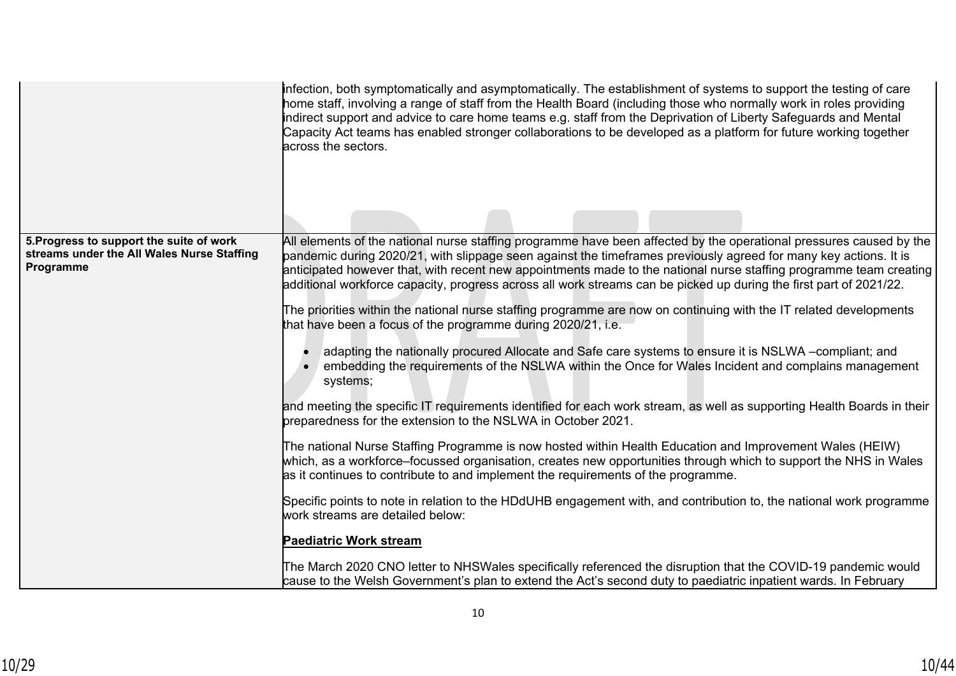|                                                                                                     | infection, both symptomatically and asymptomatically. The establishment of systems to support the testing of care<br>home staff, involving a range of staff from the Health Board (including those who normally work in roles providing<br>indirect support and advice to care home teams e.g. staff from the Deprivation of Liberty Safeguards and Mental<br>Capacity Act teams has enabled stronger collaborations to be developed as a platform for future working together<br>across the sectors.                                                                                                                                                                                                                                                                                                                                                                                                                                                                                                                                                                                                                                                                                                                                                                                                                                                                                                                                                                                                                                                                                                                                                                                                                                                                                                                                                 |
|-----------------------------------------------------------------------------------------------------|-------------------------------------------------------------------------------------------------------------------------------------------------------------------------------------------------------------------------------------------------------------------------------------------------------------------------------------------------------------------------------------------------------------------------------------------------------------------------------------------------------------------------------------------------------------------------------------------------------------------------------------------------------------------------------------------------------------------------------------------------------------------------------------------------------------------------------------------------------------------------------------------------------------------------------------------------------------------------------------------------------------------------------------------------------------------------------------------------------------------------------------------------------------------------------------------------------------------------------------------------------------------------------------------------------------------------------------------------------------------------------------------------------------------------------------------------------------------------------------------------------------------------------------------------------------------------------------------------------------------------------------------------------------------------------------------------------------------------------------------------------------------------------------------------------------------------------------------------------|
| 5. Progress to support the suite of work<br>streams under the All Wales Nurse Staffing<br>Programme | All elements of the national nurse staffing programme have been affected by the operational pressures caused by the<br>pandemic during 2020/21, with slippage seen against the timeframes previously agreed for many key actions. It is<br>anticipated however that, with recent new appointments made to the national nurse staffing programme team creating<br>additional workforce capacity, progress across all work streams can be picked up during the first part of 2021/22.<br>The priorities within the national nurse staffing programme are now on continuing with the IT related developments<br>that have been a focus of the programme during 2020/21, i.e.<br>adapting the nationally procured Allocate and Safe care systems to ensure it is NSLWA --compliant; and<br>embedding the requirements of the NSLWA within the Once for Wales Incident and complains management<br>systems;<br>and meeting the specific IT requirements identified for each work stream, as well as supporting Health Boards in their<br>preparedness for the extension to the NSLWA in October 2021.<br>The national Nurse Staffing Programme is now hosted within Health Education and Improvement Wales (HEIW)<br>which, as a workforce–focussed organisation, creates new opportunities through which to support the NHS in Wales<br>as it continues to contribute to and implement the requirements of the programme.<br>Specific points to note in relation to the HDdUHB engagement with, and contribution to, the national work programme<br>work streams are detailed below:<br><b>Paediatric Work stream</b><br>The March 2020 CNO letter to NHSWales specifically referenced the disruption that the COVID-19 pandemic would<br>cause to the Welsh Government's plan to extend the Act's second duty to paediatric inpatient wards. In February |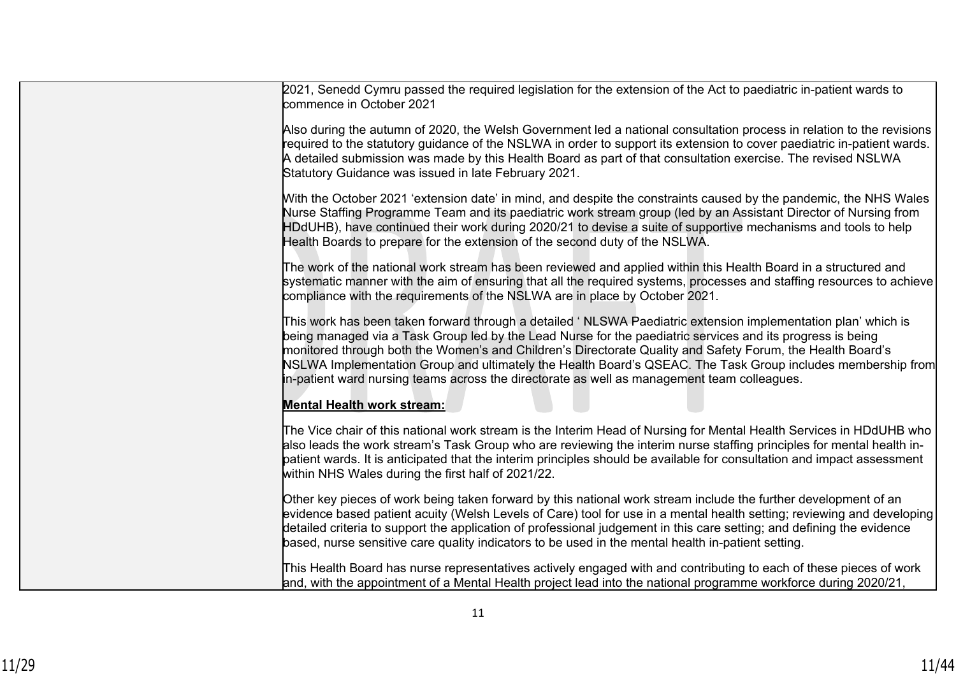| 2021, Senedd Cymru passed the required legislation for the extension of the Act to paediatric in-patient wards to<br>commence in October 2021                                                                                                                                                                                                                                                                                                                                                                                                           |
|---------------------------------------------------------------------------------------------------------------------------------------------------------------------------------------------------------------------------------------------------------------------------------------------------------------------------------------------------------------------------------------------------------------------------------------------------------------------------------------------------------------------------------------------------------|
| Also during the autumn of 2020, the Welsh Government led a national consultation process in relation to the revisions<br>required to the statutory guidance of the NSLWA in order to support its extension to cover paediatric in-patient wards.<br>A detailed submission was made by this Health Board as part of that consultation exercise. The revised NSLWA<br>Statutory Guidance was issued in late February 2021.                                                                                                                                |
| With the October 2021 'extension date' in mind, and despite the constraints caused by the pandemic, the NHS Wales<br>Nurse Staffing Programme Team and its paediatric work stream group (led by an Assistant Director of Nursing from<br>HDdUHB), have continued their work during 2020/21 to devise a suite of supportive mechanisms and tools to help<br>Health Boards to prepare for the extension of the second duty of the NSLWA.                                                                                                                  |
| The work of the national work stream has been reviewed and applied within this Health Board in a structured and<br>systematic manner with the aim of ensuring that all the required systems, processes and staffing resources to achieve<br>compliance with the requirements of the NSLWA are in place by October 2021.                                                                                                                                                                                                                                 |
| This work has been taken forward through a detailed 'NLSWA Paediatric extension implementation plan' which is<br>being managed via a Task Group led by the Lead Nurse for the paediatric services and its progress is being<br>monitored through both the Women's and Children's Directorate Quality and Safety Forum, the Health Board's<br>NSLWA Implementation Group and ultimately the Health Board's QSEAC. The Task Group includes membership from<br>in-patient ward nursing teams across the directorate as well as management team colleagues. |
| <b>Mental Health work stream:</b>                                                                                                                                                                                                                                                                                                                                                                                                                                                                                                                       |
| The Vice chair of this national work stream is the Interim Head of Nursing for Mental Health Services in HDdUHB who<br>also leads the work stream's Task Group who are reviewing the interim nurse staffing principles for mental health in-<br>patient wards. It is anticipated that the interim principles should be available for consultation and impact assessment<br>within NHS Wales during the first half of 2021/22.                                                                                                                           |
| Other key pieces of work being taken forward by this national work stream include the further development of an<br>evidence based patient acuity (Welsh Levels of Care) tool for use in a mental health setting; reviewing and developing<br>detailed criteria to support the application of professional judgement in this care setting; and defining the evidence<br>based, nurse sensitive care quality indicators to be used in the mental health in-patient setting.                                                                               |
| This Health Board has nurse representatives actively engaged with and contributing to each of these pieces of work<br>and, with the appointment of a Mental Health project lead into the national programme workforce during 2020/21,                                                                                                                                                                                                                                                                                                                   |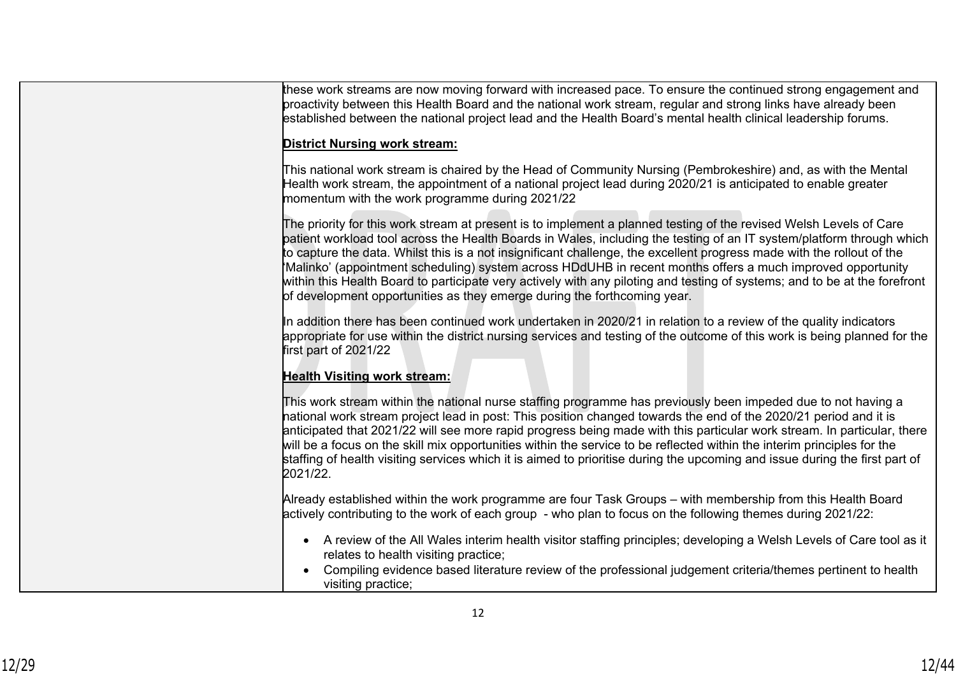| these work streams are now moving forward with increased pace. To ensure the continued strong engagement and<br>proactivity between this Health Board and the national work stream, regular and strong links have already been<br>established between the national project lead and the Health Board's mental health clinical leadership forums.                                                                                                                                                                                                                                                                                                                                              |
|-----------------------------------------------------------------------------------------------------------------------------------------------------------------------------------------------------------------------------------------------------------------------------------------------------------------------------------------------------------------------------------------------------------------------------------------------------------------------------------------------------------------------------------------------------------------------------------------------------------------------------------------------------------------------------------------------|
| <b>District Nursing work stream:</b>                                                                                                                                                                                                                                                                                                                                                                                                                                                                                                                                                                                                                                                          |
| This national work stream is chaired by the Head of Community Nursing (Pembrokeshire) and, as with the Mental<br>Health work stream, the appointment of a national project lead during 2020/21 is anticipated to enable greater<br>momentum with the work programme during 2021/22                                                                                                                                                                                                                                                                                                                                                                                                            |
| The priority for this work stream at present is to implement a planned testing of the revised Welsh Levels of Care<br>patient workload tool across the Health Boards in Wales, including the testing of an IT system/platform through which<br>to capture the data. Whilst this is a not insignificant challenge, the excellent progress made with the rollout of the<br>Malinko' (appointment scheduling) system across HDdUHB in recent months offers a much improved opportunity<br>within this Health Board to participate very actively with any piloting and testing of systems; and to be at the forefront<br>of development opportunities as they emerge during the forthcoming year. |
| In addition there has been continued work undertaken in 2020/21 in relation to a review of the quality indicators<br>appropriate for use within the district nursing services and testing of the outcome of this work is being planned for the<br>first part of 2021/22                                                                                                                                                                                                                                                                                                                                                                                                                       |
| <b>Health Visiting work stream:</b>                                                                                                                                                                                                                                                                                                                                                                                                                                                                                                                                                                                                                                                           |
| This work stream within the national nurse staffing programme has previously been impeded due to not having a<br>national work stream project lead in post: This position changed towards the end of the 2020/21 period and it is<br>anticipated that 2021/22 will see more rapid progress being made with this particular work stream. In particular, there<br>will be a focus on the skill mix opportunities within the service to be reflected within the interim principles for the<br>staffing of health visiting services which it is aimed to prioritise during the upcoming and issue during the first part of<br>2021/22.                                                            |
| Already established within the work programme are four Task Groups – with membership from this Health Board<br>actively contributing to the work of each group - who plan to focus on the following themes during 2021/22:                                                                                                                                                                                                                                                                                                                                                                                                                                                                    |
| • A review of the All Wales interim health visitor staffing principles; developing a Welsh Levels of Care tool as it<br>relates to health visiting practice;                                                                                                                                                                                                                                                                                                                                                                                                                                                                                                                                  |
| Compiling evidence based literature review of the professional judgement criteria/themes pertinent to health<br>visiting practice;                                                                                                                                                                                                                                                                                                                                                                                                                                                                                                                                                            |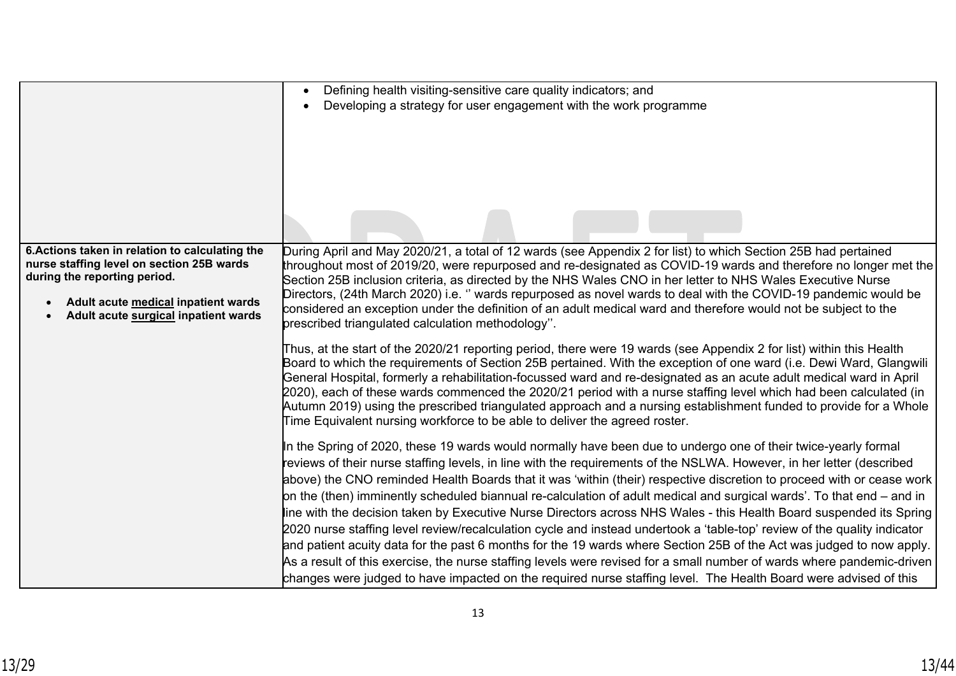|                                                                             | Defining health visiting-sensitive care quality indicators; and<br>$\bullet$                                                                                                                                                                                                                                                                                                                                                                                                                                                                                                                                                                                                               |
|-----------------------------------------------------------------------------|--------------------------------------------------------------------------------------------------------------------------------------------------------------------------------------------------------------------------------------------------------------------------------------------------------------------------------------------------------------------------------------------------------------------------------------------------------------------------------------------------------------------------------------------------------------------------------------------------------------------------------------------------------------------------------------------|
|                                                                             | Developing a strategy for user engagement with the work programme                                                                                                                                                                                                                                                                                                                                                                                                                                                                                                                                                                                                                          |
|                                                                             |                                                                                                                                                                                                                                                                                                                                                                                                                                                                                                                                                                                                                                                                                            |
|                                                                             |                                                                                                                                                                                                                                                                                                                                                                                                                                                                                                                                                                                                                                                                                            |
|                                                                             |                                                                                                                                                                                                                                                                                                                                                                                                                                                                                                                                                                                                                                                                                            |
|                                                                             |                                                                                                                                                                                                                                                                                                                                                                                                                                                                                                                                                                                                                                                                                            |
| 6. Actions taken in relation to calculating the                             | During April and May 2020/21, a total of 12 wards (see Appendix 2 for list) to which Section 25B had pertained                                                                                                                                                                                                                                                                                                                                                                                                                                                                                                                                                                             |
| nurse staffing level on section 25B wards<br>during the reporting period.   | throughout most of 2019/20, were repurposed and re-designated as COVID-19 wards and therefore no longer met the                                                                                                                                                                                                                                                                                                                                                                                                                                                                                                                                                                            |
|                                                                             | Section 25B inclusion criteria, as directed by the NHS Wales CNO in her letter to NHS Wales Executive Nurse<br>Directors, (24th March 2020) i.e. " wards repurposed as novel wards to deal with the COVID-19 pandemic would be                                                                                                                                                                                                                                                                                                                                                                                                                                                             |
| Adult acute medical inpatient wards<br>Adult acute surgical inpatient wards | considered an exception under the definition of an adult medical ward and therefore would not be subject to the                                                                                                                                                                                                                                                                                                                                                                                                                                                                                                                                                                            |
|                                                                             | prescribed triangulated calculation methodology".                                                                                                                                                                                                                                                                                                                                                                                                                                                                                                                                                                                                                                          |
|                                                                             | Thus, at the start of the 2020/21 reporting period, there were 19 wards (see Appendix 2 for list) within this Health<br>Board to which the requirements of Section 25B pertained. With the exception of one ward (i.e. Dewi Ward, Glangwili<br>General Hospital, formerly a rehabilitation-focussed ward and re-designated as an acute adult medical ward in April<br>2020), each of these wards commenced the 2020/21 period with a nurse staffing level which had been calculated (in<br>Autumn 2019) using the prescribed triangulated approach and a nursing establishment funded to provide for a Whole<br>Time Equivalent nursing workforce to be able to deliver the agreed roster. |
|                                                                             | In the Spring of 2020, these 19 wards would normally have been due to undergo one of their twice-yearly formal                                                                                                                                                                                                                                                                                                                                                                                                                                                                                                                                                                             |
|                                                                             | reviews of their nurse staffing levels, in line with the requirements of the NSLWA. However, in her letter (described                                                                                                                                                                                                                                                                                                                                                                                                                                                                                                                                                                      |
|                                                                             | above) the CNO reminded Health Boards that it was 'within (their) respective discretion to proceed with or cease work                                                                                                                                                                                                                                                                                                                                                                                                                                                                                                                                                                      |
|                                                                             | on the (then) imminently scheduled biannual re-calculation of adult medical and surgical wards'. To that end – and in                                                                                                                                                                                                                                                                                                                                                                                                                                                                                                                                                                      |
|                                                                             | line with the decision taken by Executive Nurse Directors across NHS Wales - this Health Board suspended its Spring                                                                                                                                                                                                                                                                                                                                                                                                                                                                                                                                                                        |
|                                                                             | 2020 nurse staffing level review/recalculation cycle and instead undertook a 'table-top' review of the quality indicator<br>and patient acuity data for the past 6 months for the 19 wards where Section 25B of the Act was judged to now apply.                                                                                                                                                                                                                                                                                                                                                                                                                                           |
|                                                                             | As a result of this exercise, the nurse staffing levels were revised for a small number of wards where pandemic-driven $ $                                                                                                                                                                                                                                                                                                                                                                                                                                                                                                                                                                 |
|                                                                             | changes were judged to have impacted on the required nurse staffing level. The Health Board were advised of this                                                                                                                                                                                                                                                                                                                                                                                                                                                                                                                                                                           |
|                                                                             |                                                                                                                                                                                                                                                                                                                                                                                                                                                                                                                                                                                                                                                                                            |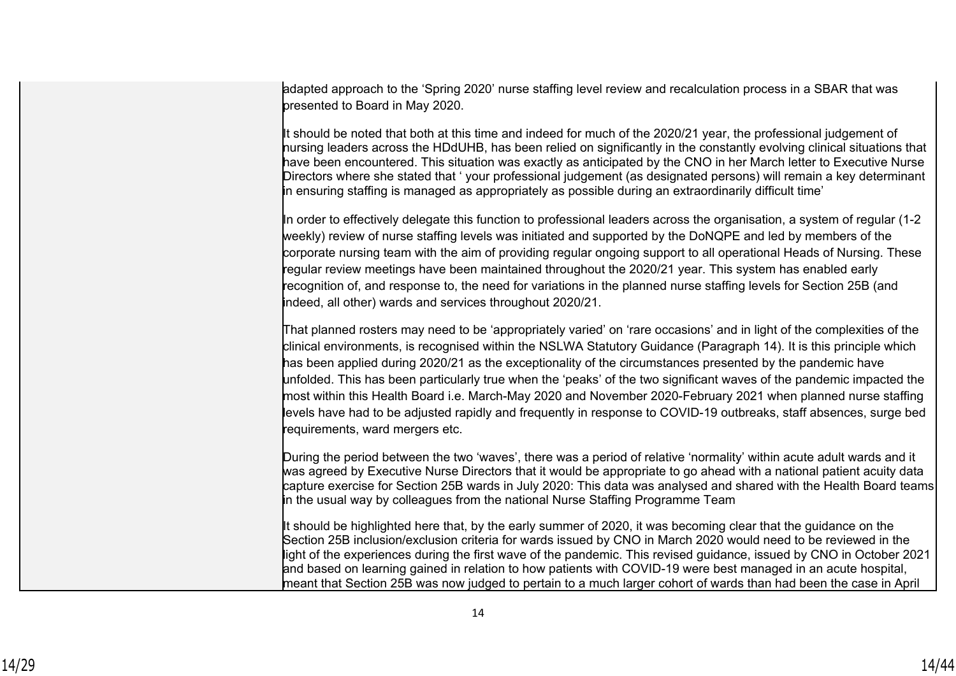adapted approach to the 'Spring 2020' nurse staffing level review and recalculation process in a SBAR that was presented to Board in May 2020.

It should be noted that both at this time and indeed for much of the 2020/21 year, the professional judgement of nursing leaders across the HDdUHB, has been relied on significantly in the constantly evolving clinical situations that have been encountered. This situation was exactly as anticipated by the CNO in her March letter to Executive Nurse Directors where she stated that ' your professional judgement (as designated persons) will remain a key determinant in ensuring staffing is managed as appropriately as possible during an extraordinarily difficult time'

In order to effectively delegate this function to professional leaders across the organisation, a system of regular (1-2 weekly) review of nurse staffing levels was initiated and supported by the DoNQPE and led by members of the corporate nursing team with the aim of providing regular ongoing support to all operational Heads of Nursing. These regular review meetings have been maintained throughout the 2020/21 year. This system has enabled early recognition of, and response to, the need for variations in the planned nurse staffing levels for Section 25B (and indeed, all other) wards and services throughout 2020/21.

That planned rosters may need to be 'appropriately varied' on 'rare occasions' and in light of the complexities of the clinical environments, is recognised within the NSLWA Statutory Guidance (Paragraph 14). It is this principle which has been applied during 2020/21 as the exceptionality of the circumstances presented by the pandemic have unfolded. This has been particularly true when the 'peaks' of the two significant waves of the pandemic impacted the most within this Health Board i.e. March-May 2020 and November 2020-February 2021 when planned nurse staffing levels have had to be adjusted rapidly and frequently in response to COVID-19 outbreaks, staff absences, surge bed requirements, ward mergers etc.

During the period between the two 'waves', there was a period of relative 'normality' within acute adult wards and it was agreed by Executive Nurse Directors that it would be appropriate to go ahead with a national patient acuity data capture exercise for Section 25B wards in July 2020: This data was analysed and shared with the Health Board teams in the usual way by colleagues from the national Nurse Staffing Programme Team

It should be highlighted here that, by the early summer of 2020, it was becoming clear that the guidance on the Section 25B inclusion/exclusion criteria for wards issued by CNO in March 2020 would need to be reviewed in the light of the experiences during the first wave of the pandemic. This revised guidance, issued by CNO in October 2021 and based on learning gained in relation to how patients with COVID-19 were best managed in an acute hospital, meant that Section 25B was now judged to pertain to a much larger cohort of wards than had been the case in April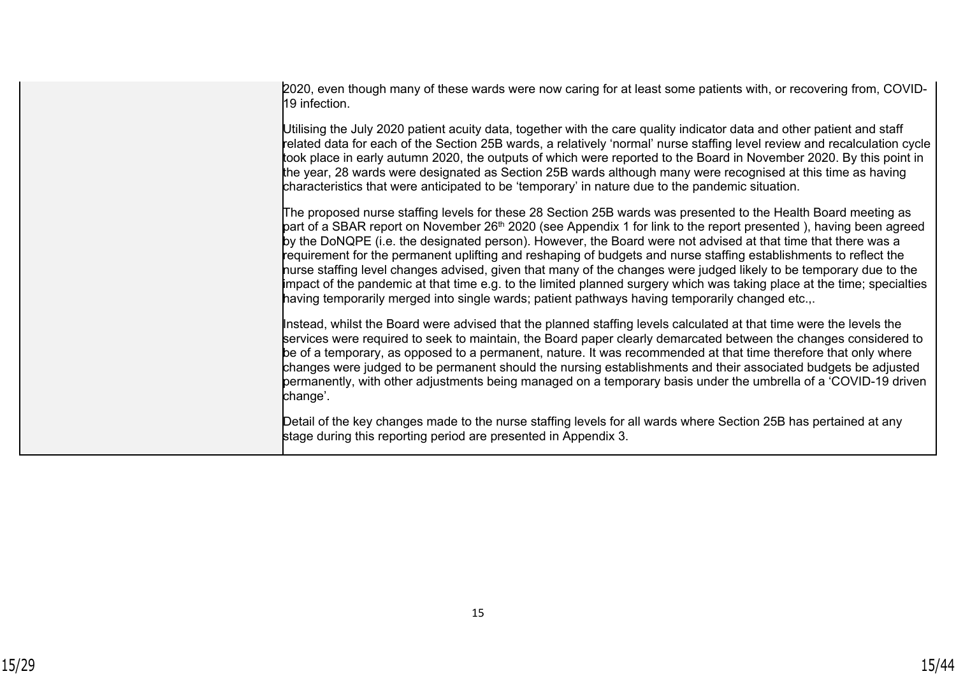2020, even though many of these wards were now caring for at least some patients with, or recovering from, COVID-19 infection.

Utilising the July 2020 patient acuity data, together with the care quality indicator data and other patient and staff related data for each of the Section 25B wards, a relatively 'normal' nurse staffing level review and recalculation cycle took place in early autumn 2020, the outputs of which were reported to the Board in November 2020. By this point in the year, 28 wards were designated as Section 25B wards although many were recognised at this time as having characteristics that were anticipated to be 'temporary' in nature due to the pandemic situation.

The proposed nurse staffing levels for these 28 Section 25B wards was presented to the Health Board meeting as part of a SBAR report on November 26th 2020 (see Appendix 1 for link to the report presented ), having been agreed by the DoNQPE (i.e. the designated person). However, the Board were not advised at that time that there was a requirement for the permanent uplifting and reshaping of budgets and nurse staffing establishments to reflect the nurse staffing level changes advised, given that many of the changes were judged likely to be temporary due to the impact of the pandemic at that time e.g. to the limited planned surgery which was taking place at the time; specialties having temporarily merged into single wards; patient pathways having temporarily changed etc.,.

Instead, whilst the Board were advised that the planned staffing levels calculated at that time were the levels the services were required to seek to maintain, the Board paper clearly demarcated between the changes considered to be of a temporary, as opposed to a permanent, nature. It was recommended at that time therefore that only where changes were judged to be permanent should the nursing establishments and their associated budgets be adjusted permanently, with other adjustments being managed on a temporary basis under the umbrella of a 'COVID-19 driven change'.

Detail of the key changes made to the nurse staffing levels for all wards where Section 25B has pertained at any stage during this reporting period are presented in Appendix 3.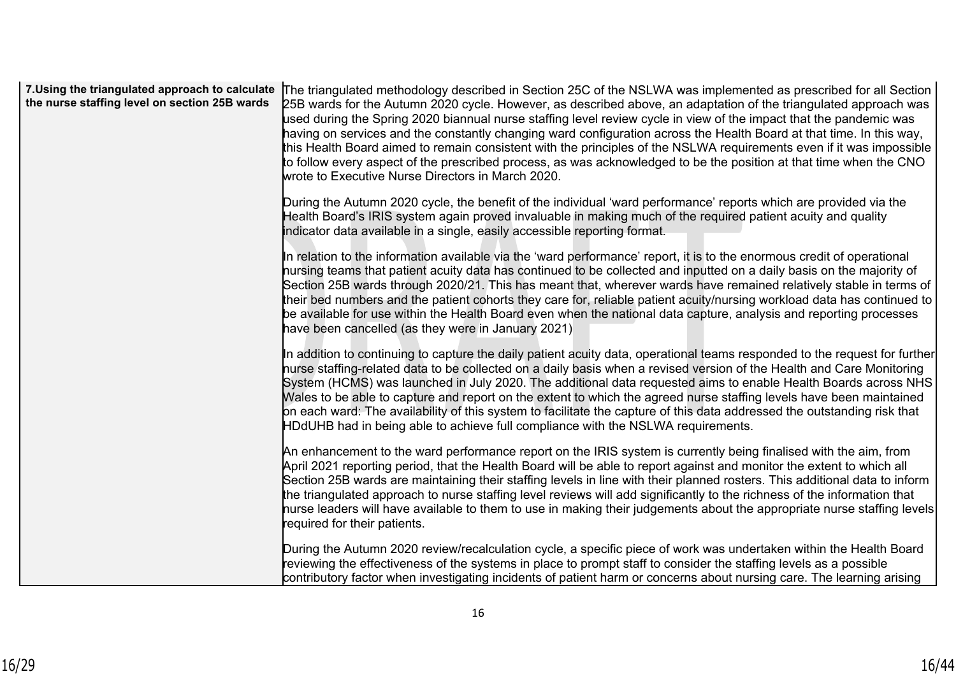| 7. Using the triangulated approach to calculate<br>the nurse staffing level on section 25B wards | The triangulated methodology described in Section 25C of the NSLWA was implemented as prescribed for all Section<br>25B wards for the Autumn 2020 cycle. However, as described above, an adaptation of the triangulated approach was<br>used during the Spring 2020 biannual nurse staffing level review cycle in view of the impact that the pandemic was<br>having on services and the constantly changing ward configuration across the Health Board at that time. In this way,<br>this Health Board aimed to remain consistent with the principles of the NSLWA requirements even if it was impossible<br>to follow every aspect of the prescribed process, as was acknowledged to be the position at that time when the CNO<br>wrote to Executive Nurse Directors in March 2020. |
|--------------------------------------------------------------------------------------------------|---------------------------------------------------------------------------------------------------------------------------------------------------------------------------------------------------------------------------------------------------------------------------------------------------------------------------------------------------------------------------------------------------------------------------------------------------------------------------------------------------------------------------------------------------------------------------------------------------------------------------------------------------------------------------------------------------------------------------------------------------------------------------------------|
|                                                                                                  | During the Autumn 2020 cycle, the benefit of the individual 'ward performance' reports which are provided via the<br>Health Board's IRIS system again proved invaluable in making much of the required patient acuity and quality<br>indicator data available in a single, easily accessible reporting format.                                                                                                                                                                                                                                                                                                                                                                                                                                                                        |
|                                                                                                  | In relation to the information available via the 'ward performance' report, it is to the enormous credit of operational<br>hursing teams that patient acuity data has continued to be collected and inputted on a daily basis on the majority of<br>Section 25B wards through 2020/21. This has meant that, wherever wards have remained relatively stable in terms of<br>their bed numbers and the patient cohorts they care for, reliable patient acuity/nursing workload data has continued to<br>be available for use within the Health Board even when the national data capture, analysis and reporting processes<br>have been cancelled (as they were in January 2021)                                                                                                         |
|                                                                                                  | In addition to continuing to capture the daily patient acuity data, operational teams responded to the request for further<br>hurse staffing-related data to be collected on a daily basis when a revised version of the Health and Care Monitoring<br>System (HCMS) was launched in July 2020. The additional data requested aims to enable Health Boards across NHS<br>Wales to be able to capture and report on the extent to which the agreed nurse staffing levels have been maintained<br>on each ward: The availability of this system to facilitate the capture of this data addressed the outstanding risk that<br>HDdUHB had in being able to achieve full compliance with the NSLWA requirements.                                                                          |
|                                                                                                  | An enhancement to the ward performance report on the IRIS system is currently being finalised with the aim, from<br>April 2021 reporting period, that the Health Board will be able to report against and monitor the extent to which all<br>Section 25B wards are maintaining their staffing levels in line with their planned rosters. This additional data to inform<br>the triangulated approach to nurse staffing level reviews will add significantly to the richness of the information that<br>nurse leaders will have available to them to use in making their judgements about the appropriate nurse staffing levels<br>required for their patients.                                                                                                                        |
|                                                                                                  | During the Autumn 2020 review/recalculation cycle, a specific piece of work was undertaken within the Health Board<br>reviewing the effectiveness of the systems in place to prompt staff to consider the staffing levels as a possible<br>contributory factor when investigating incidents of patient harm or concerns about nursing care. The learning arising                                                                                                                                                                                                                                                                                                                                                                                                                      |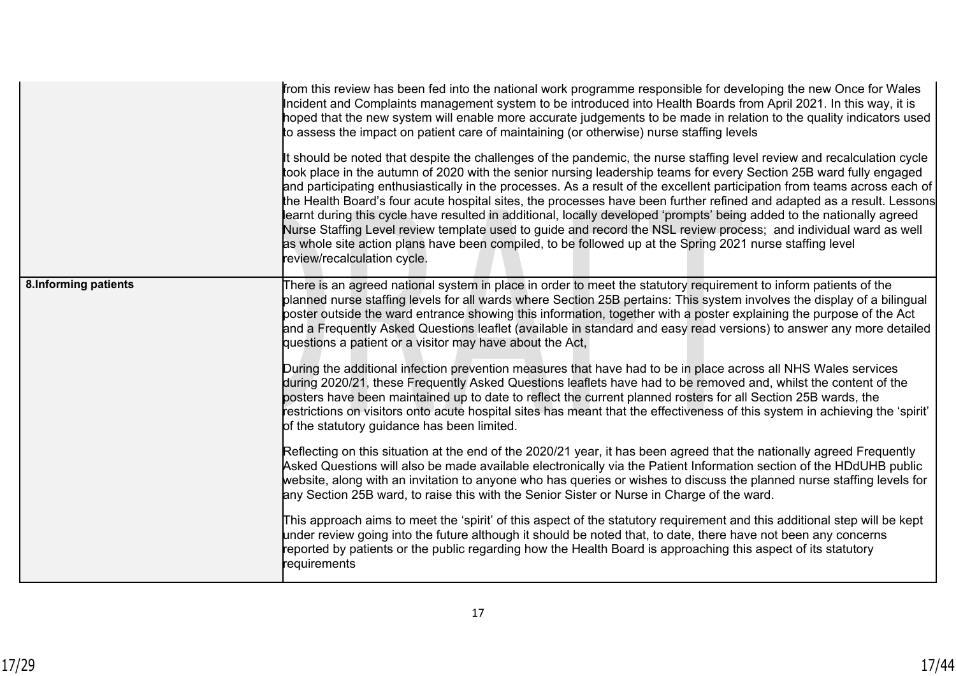|                       | from this review has been fed into the national work programme responsible for developing the new Once for Wales<br>Incident and Complaints management system to be introduced into Health Boards from April 2021. In this way, it is<br>hoped that the new system will enable more accurate judgements to be made in relation to the quality indicators used<br>to assess the impact on patient care of maintaining (or otherwise) nurse staffing levels<br>It should be noted that despite the challenges of the pandemic, the nurse staffing level review and recalculation cycle<br>took place in the autumn of 2020 with the senior nursing leadership teams for every Section 25B ward fully engaged<br>and participating enthusiastically in the processes. As a result of the excellent participation from teams across each of<br>the Health Board's four acute hospital sites, the processes have been further refined and adapted as a result. Lessons<br>learnt during this cycle have resulted in additional, locally developed 'prompts' being added to the nationally agreed<br>Nurse Staffing Level review template used to guide and record the NSL review process; and individual ward as well<br>as whole site action plans have been compiled, to be followed up at the Spring 2021 nurse staffing level<br>review/recalculation cycle.                                                                                                                                                                                                                                                                                                                                                                                                                                                                                                                                                                                        |
|-----------------------|----------------------------------------------------------------------------------------------------------------------------------------------------------------------------------------------------------------------------------------------------------------------------------------------------------------------------------------------------------------------------------------------------------------------------------------------------------------------------------------------------------------------------------------------------------------------------------------------------------------------------------------------------------------------------------------------------------------------------------------------------------------------------------------------------------------------------------------------------------------------------------------------------------------------------------------------------------------------------------------------------------------------------------------------------------------------------------------------------------------------------------------------------------------------------------------------------------------------------------------------------------------------------------------------------------------------------------------------------------------------------------------------------------------------------------------------------------------------------------------------------------------------------------------------------------------------------------------------------------------------------------------------------------------------------------------------------------------------------------------------------------------------------------------------------------------------------------------------------------------------------------------------------------------------------------------------------|
| 8. Informing patients | There is an agreed national system in place in order to meet the statutory requirement to inform patients of the<br>planned nurse staffing levels for all wards where Section 25B pertains: This system involves the display of a bilingual<br>poster outside the ward entrance showing this information, together with a poster explaining the purpose of the Act<br>and a Frequently Asked Questions leaflet (available in standard and easy read versions) to answer any more detailed<br>questions a patient or a visitor may have about the Act,<br>During the additional infection prevention measures that have had to be in place across all NHS Wales services<br>during 2020/21, these Frequently Asked Questions leaflets have had to be removed and, whilst the content of the<br>posters have been maintained up to date to reflect the current planned rosters for all Section 25B wards, the<br>restrictions on visitors onto acute hospital sites has meant that the effectiveness of this system in achieving the 'spirit'<br>of the statutory guidance has been limited.<br>Reflecting on this situation at the end of the 2020/21 year, it has been agreed that the nationally agreed Frequently<br>Asked Questions will also be made available electronically via the Patient Information section of the HDdUHB public<br>website, along with an invitation to anyone who has queries or wishes to discuss the planned nurse staffing levels for<br>any Section 25B ward, to raise this with the Senior Sister or Nurse in Charge of the ward.<br>This approach aims to meet the 'spirit' of this aspect of the statutory requirement and this additional step will be kept<br>under review going into the future although it should be noted that, to date, there have not been any concerns<br>reported by patients or the public regarding how the Health Board is approaching this aspect of its statutory<br>requirements |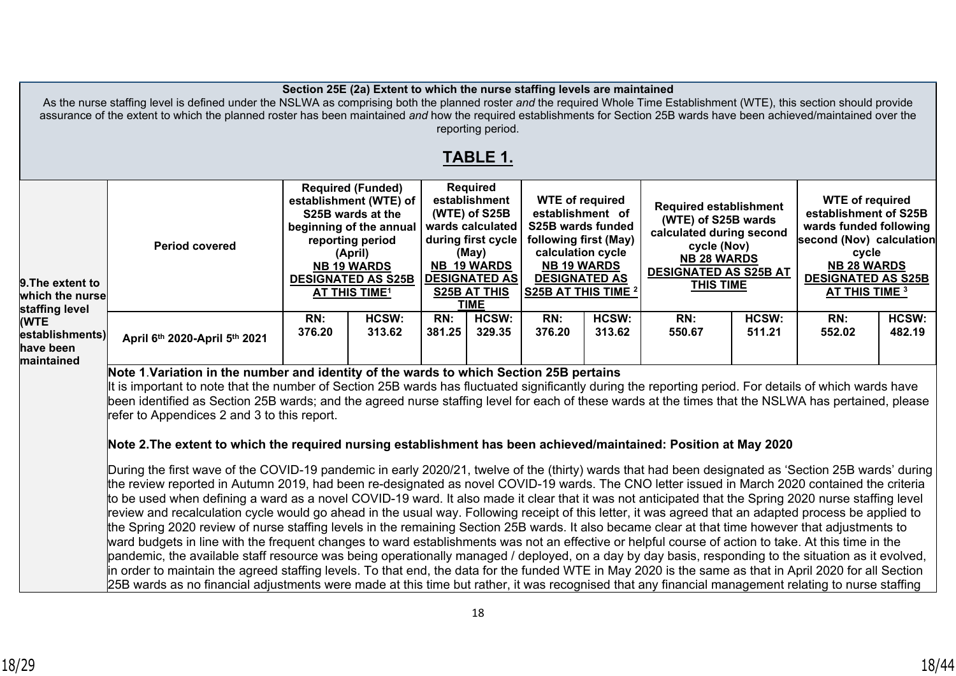| Section 25E (2a) Extent to which the nurse staffing levels are maintained<br>As the nurse staffing level is defined under the NSLWA as comprising both the planned roster and the required Whole Time Establishment (WTE), this section should provide<br>assurance of the extent to which the planned roster has been maintained and how the required establishments for Section 25B wards have been achieved/maintained over the<br>reporting period. |                                                                                                                                                                                                                                                                                                                                                                                                                                                                                                                                                                                                                                                                                                                                                                                                                                                                                                                                                                                                                                                                                                                                                                                                                                                                                                                                                                                                                                                                                                                                                                                                                                                                                                                                                                                                                                                                                                                                                                                               |                                                                                                                                                                                                                         |                 |                                                                                                                                                                                          |                 |                                                                                                                                                                                    |                 |                                                                                                                                                                           |                 |                                                                                                                                                                                            |                 |
|---------------------------------------------------------------------------------------------------------------------------------------------------------------------------------------------------------------------------------------------------------------------------------------------------------------------------------------------------------------------------------------------------------------------------------------------------------|-----------------------------------------------------------------------------------------------------------------------------------------------------------------------------------------------------------------------------------------------------------------------------------------------------------------------------------------------------------------------------------------------------------------------------------------------------------------------------------------------------------------------------------------------------------------------------------------------------------------------------------------------------------------------------------------------------------------------------------------------------------------------------------------------------------------------------------------------------------------------------------------------------------------------------------------------------------------------------------------------------------------------------------------------------------------------------------------------------------------------------------------------------------------------------------------------------------------------------------------------------------------------------------------------------------------------------------------------------------------------------------------------------------------------------------------------------------------------------------------------------------------------------------------------------------------------------------------------------------------------------------------------------------------------------------------------------------------------------------------------------------------------------------------------------------------------------------------------------------------------------------------------------------------------------------------------------------------------------------------------|-------------------------------------------------------------------------------------------------------------------------------------------------------------------------------------------------------------------------|-----------------|------------------------------------------------------------------------------------------------------------------------------------------------------------------------------------------|-----------------|------------------------------------------------------------------------------------------------------------------------------------------------------------------------------------|-----------------|---------------------------------------------------------------------------------------------------------------------------------------------------------------------------|-----------------|--------------------------------------------------------------------------------------------------------------------------------------------------------------------------------------------|-----------------|
|                                                                                                                                                                                                                                                                                                                                                                                                                                                         |                                                                                                                                                                                                                                                                                                                                                                                                                                                                                                                                                                                                                                                                                                                                                                                                                                                                                                                                                                                                                                                                                                                                                                                                                                                                                                                                                                                                                                                                                                                                                                                                                                                                                                                                                                                                                                                                                                                                                                                               |                                                                                                                                                                                                                         |                 |                                                                                                                                                                                          | TABLE 1.        |                                                                                                                                                                                    |                 |                                                                                                                                                                           |                 |                                                                                                                                                                                            |                 |
| 9.The extent to<br>which the nurse<br>staffing level                                                                                                                                                                                                                                                                                                                                                                                                    | <b>Period covered</b>                                                                                                                                                                                                                                                                                                                                                                                                                                                                                                                                                                                                                                                                                                                                                                                                                                                                                                                                                                                                                                                                                                                                                                                                                                                                                                                                                                                                                                                                                                                                                                                                                                                                                                                                                                                                                                                                                                                                                                         | <b>Required (Funded)</b><br>establishment (WTE) of<br>S25B wards at the<br>beginning of the annual<br>reporting period<br>(April)<br><b>NB 19 WARDS</b><br><b>DESIGNATED AS S25B</b><br><b>AT THIS TIME<sup>1</sup></b> |                 | <b>Required</b><br>establishment<br>(WTE) of S25B<br>wards calculated<br>during first cycle<br>(May)<br><b>NB 19 WARDS</b><br><b>DESIGNATED AS</b><br><b>S25B AT THIS</b><br><b>TIME</b> |                 | <b>WTE of required</b><br>establishment of<br>S25B wards funded<br>following first (May)<br>calculation cycle<br><b>NB 19 WARDS</b><br><b>DESIGNATED AS</b><br>S25B AT THIS TIME 2 |                 | <b>Required establishment</b><br>(WTE) of S25B wards<br>calculated during second<br>cycle (Nov)<br><b>NB 28 WARDS</b><br><b>DESIGNATED AS S25B AT</b><br><b>THIS TIME</b> |                 | <b>WTE of required</b><br>establishment of S25B<br>wards funded following<br>second (Nov) calculation<br>cycle<br><b>NB 28 WARDS</b><br><b>DESIGNATED AS S25B</b><br><b>AT THIS TIME 3</b> |                 |
| (WTE<br>establishments)<br>have been<br>maintained                                                                                                                                                                                                                                                                                                                                                                                                      | April 6th 2020-April 5th 2021                                                                                                                                                                                                                                                                                                                                                                                                                                                                                                                                                                                                                                                                                                                                                                                                                                                                                                                                                                                                                                                                                                                                                                                                                                                                                                                                                                                                                                                                                                                                                                                                                                                                                                                                                                                                                                                                                                                                                                 | RN:<br>376.20                                                                                                                                                                                                           | HCSW:<br>313.62 | RN:<br>381.25                                                                                                                                                                            | HCSW:<br>329.35 | RN:<br>376.20                                                                                                                                                                      | HCSW:<br>313.62 | RN:<br>550.67                                                                                                                                                             | HCSW:<br>511.21 | RN:<br>552.02                                                                                                                                                                              | HCSW:<br>482.19 |
|                                                                                                                                                                                                                                                                                                                                                                                                                                                         | Note 1. Variation in the number and identity of the wards to which Section 25B pertains<br>It is important to note that the number of Section 25B wards has fluctuated significantly during the reporting period. For details of which wards have<br>been identified as Section 25B wards; and the agreed nurse staffing level for each of these wards at the times that the NSLWA has pertained, please<br>refer to Appendices 2 and 3 to this report.<br>Note 2.The extent to which the required nursing establishment has been achieved/maintained: Position at May 2020<br>During the first wave of the COVID-19 pandemic in early 2020/21, twelve of the (thirty) wards that had been designated as 'Section 25B wards' during<br>the review reported in Autumn 2019, had been re-designated as novel COVID-19 wards. The CNO letter issued in March 2020 contained the criteria<br>to be used when defining a ward as a novel COVID-19 ward. It also made it clear that it was not anticipated that the Spring 2020 nurse staffing level<br>review and recalculation cycle would go ahead in the usual way. Following receipt of this letter, it was agreed that an adapted process be applied to<br>the Spring 2020 review of nurse staffing levels in the remaining Section 25B wards. It also became clear at that time however that adjustments to<br>ward budgets in line with the frequent changes to ward establishments was not an effective or helpful course of action to take. At this time in the<br>pandemic, the available staff resource was being operationally managed / deployed, on a day by day basis, responding to the situation as it evolved,<br>in order to maintain the agreed staffing levels. To that end, the data for the funded WTE in May 2020 is the same as that in April 2020 for all Section<br>25B wards as no financial adjustments were made at this time but rather, it was recognised that any financial management relating to nurse staffing |                                                                                                                                                                                                                         |                 |                                                                                                                                                                                          |                 |                                                                                                                                                                                    |                 |                                                                                                                                                                           |                 |                                                                                                                                                                                            |                 |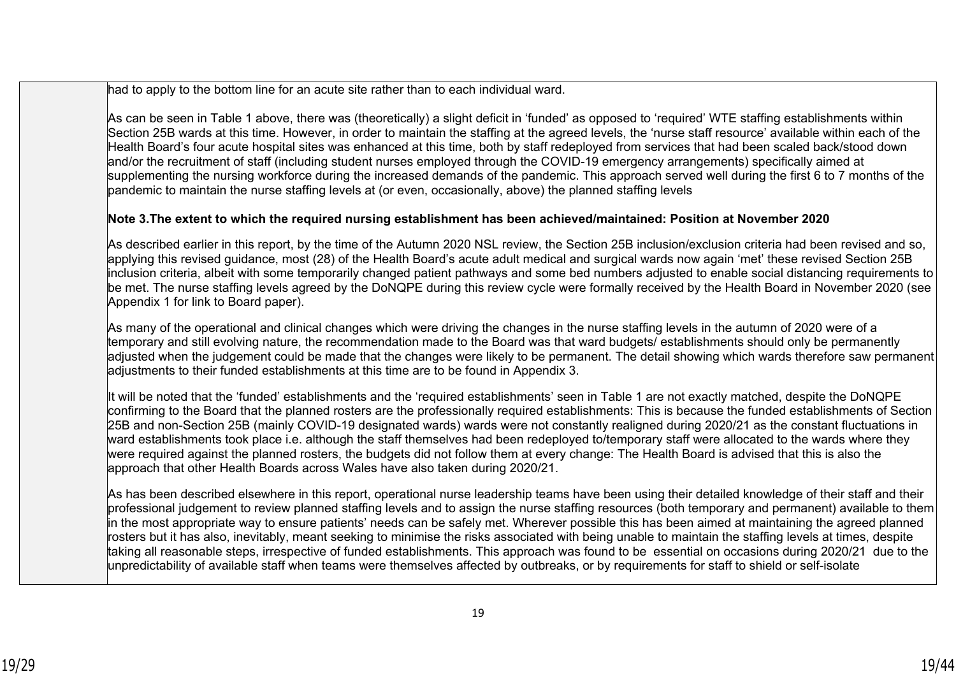had to apply to the bottom line for an acute site rather than to each individual ward.

As can be seen in Table 1 above, there was (theoretically) a slight deficit in 'funded' as opposed to 'required' WTE staffing establishments within Section 25B wards at this time. However, in order to maintain the staffing at the agreed levels, the 'nurse staff resource' available within each of the Health Board's four acute hospital sites was enhanced at this time, both by staff redeployed from services that had been scaled back/stood down and/or the recruitment of staff (including student nurses employed through the COVID-19 emergency arrangements) specifically aimed at supplementing the nursing workforce during the increased demands of the pandemic. This approach served well during the first 6 to 7 months of the pandemic to maintain the nurse staffing levels at (or even, occasionally, above) the planned staffing levels

## **Note 3.The extent to which the required nursing establishment has been achieved/maintained: Position at November 2020**

As described earlier in this report, by the time of the Autumn 2020 NSL review, the Section 25B inclusion/exclusion criteria had been revised and so, applying this revised guidance, most (28) of the Health Board's acute adult medical and surgical wards now again 'met' these revised Section 25B inclusion criteria, albeit with some temporarily changed patient pathways and some bed numbers adjusted to enable social distancing requirements to be met. The nurse staffing levels agreed by the DoNQPE during this review cycle were formally received by the Health Board in November 2020 (see Appendix 1 for link to Board paper).

As many of the operational and clinical changes which were driving the changes in the nurse staffing levels in the autumn of 2020 were of a temporary and still evolving nature, the recommendation made to the Board was that ward budgets/ establishments should only be permanently adjusted when the judgement could be made that the changes were likely to be permanent. The detail showing which wards therefore saw permanent adjustments to their funded establishments at this time are to be found in Appendix 3.

It will be noted that the 'funded' establishments and the 'required establishments' seen in Table 1 are not exactly matched, despite the DoNQPE confirming to the Board that the planned rosters are the professionally required establishments: This is because the funded establishments of Section 25B and non-Section 25B (mainly COVID-19 designated wards) wards were not constantly realigned during 2020/21 as the constant fluctuations in ward establishments took place i.e. although the staff themselves had been redeployed to/temporary staff were allocated to the wards where they were required against the planned rosters, the budgets did not follow them at every change: The Health Board is advised that this is also the approach that other Health Boards across Wales have also taken during 2020/21.

As has been described elsewhere in this report, operational nurse leadership teams have been using their detailed knowledge of their staff and their professional judgement to review planned staffing levels and to assign the nurse staffing resources (both temporary and permanent) available to them in the most appropriate way to ensure patients' needs can be safely met. Wherever possible this has been aimed at maintaining the agreed planned rosters but it has also, inevitably, meant seeking to minimise the risks associated with being unable to maintain the staffing levels at times, despite taking all reasonable steps, irrespective of funded establishments. This approach was found to be essential on occasions during 2020/21 due to the unpredictability of available staff when teams were themselves affected by outbreaks, or by requirements for staff to shield or self-isolate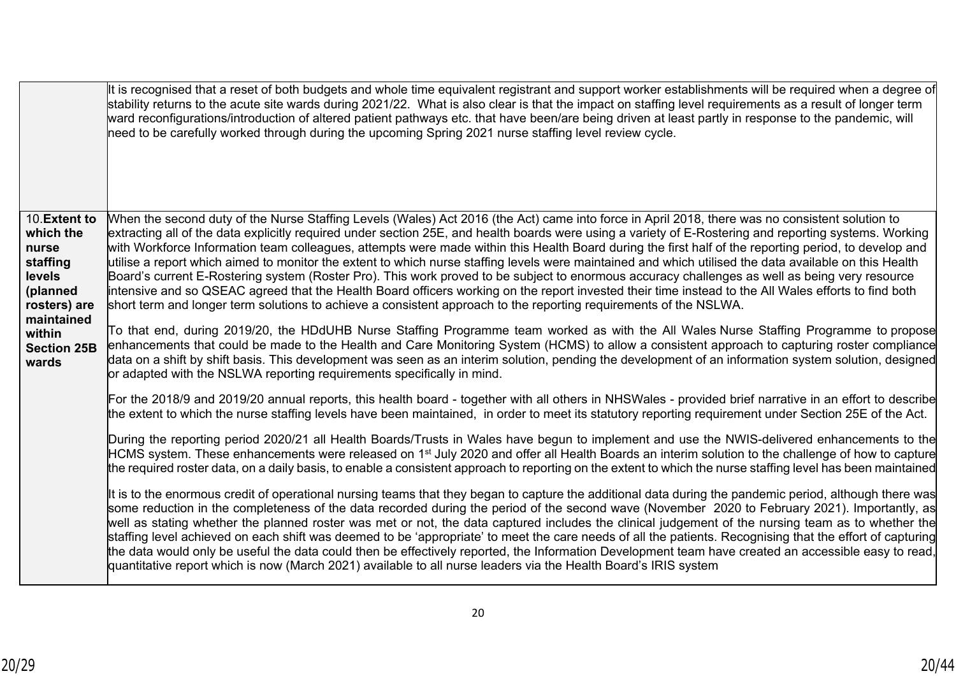|                                                                                                    | It is recognised that a reset of both budgets and whole time equivalent registrant and support worker establishments will be required when a degree of<br>stability returns to the acute site wards during 2021/22. What is also clear is that the impact on staffing level requirements as a result of longer term<br>ward reconfigurations/introduction of altered patient pathways etc. that have been/are being driven at least partly in response to the pandemic, will<br>need to be carefully worked through during the upcoming Spring 2021 nurse staffing level review cycle.                                                                                                                                                                                                                                                                                                                                                                                                                                                                      |
|----------------------------------------------------------------------------------------------------|-------------------------------------------------------------------------------------------------------------------------------------------------------------------------------------------------------------------------------------------------------------------------------------------------------------------------------------------------------------------------------------------------------------------------------------------------------------------------------------------------------------------------------------------------------------------------------------------------------------------------------------------------------------------------------------------------------------------------------------------------------------------------------------------------------------------------------------------------------------------------------------------------------------------------------------------------------------------------------------------------------------------------------------------------------------|
| 10.Extent to<br>which the<br>nurse<br>staffing<br>levels<br>(planned<br>rosters) are<br>maintained | When the second duty of the Nurse Staffing Levels (Wales) Act 2016 (the Act) came into force in April 2018, there was no consistent solution to<br>extracting all of the data explicitly required under section 25E, and health boards were using a variety of E-Rostering and reporting systems. Working<br>with Workforce Information team colleagues, attempts were made within this Health Board during the first half of the reporting period, to develop and<br>utilise a report which aimed to monitor the extent to which nurse staffing levels were maintained and which utilised the data available on this Health<br>Board's current E-Rostering system (Roster Pro). This work proved to be subject to enormous accuracy challenges as well as being very resource<br>intensive and so QSEAC agreed that the Health Board officers working on the report invested their time instead to the All Wales efforts to find both<br>short term and longer term solutions to achieve a consistent approach to the reporting requirements of the NSLWA. |
| within<br><b>Section 25B</b><br>wards                                                              | To that end, during 2019/20, the HDdUHB Nurse Staffing Programme team worked as with the All Wales Nurse Staffing Programme to propose<br>enhancements that could be made to the Health and Care Monitoring System (HCMS) to allow a consistent approach to capturing roster compliance<br>data on a shift by shift basis. This development was seen as an interim solution, pending the development of an information system solution, designed<br>or adapted with the NSLWA reporting requirements specifically in mind.                                                                                                                                                                                                                                                                                                                                                                                                                                                                                                                                  |
|                                                                                                    | For the 2018/9 and 2019/20 annual reports, this health board - together with all others in NHSWales - provided brief narrative in an effort to describe<br>the extent to which the nurse staffing levels have been maintained, in order to meet its statutory reporting requirement under Section 25E of the Act.                                                                                                                                                                                                                                                                                                                                                                                                                                                                                                                                                                                                                                                                                                                                           |
|                                                                                                    | During the reporting period 2020/21 all Health Boards/Trusts in Wales have begun to implement and use the NWIS-delivered enhancements to the<br>HCMS system. These enhancements were released on 1 <sup>st</sup> July 2020 and offer all Health Boards an interim solution to the challenge of how to capture<br>the required roster data, on a daily basis, to enable a consistent approach to reporting on the extent to which the nurse staffing level has been maintained                                                                                                                                                                                                                                                                                                                                                                                                                                                                                                                                                                               |
|                                                                                                    | It is to the enormous credit of operational nursing teams that they began to capture the additional data during the pandemic period, although there was<br>some reduction in the completeness of the data recorded during the period of the second wave (November 2020 to February 2021). Importantly, as<br>well as stating whether the planned roster was met or not, the data captured includes the clinical judgement of the nursing team as to whether the<br>staffing level achieved on each shift was deemed to be 'appropriate' to meet the care needs of all the patients. Recognising that the effort of capturing<br>the data would only be useful the data could then be effectively reported, the Information Development team have created an accessible easy to read,<br>quantitative report which is now (March 2021) available to all nurse leaders via the Health Board's IRIS system                                                                                                                                                     |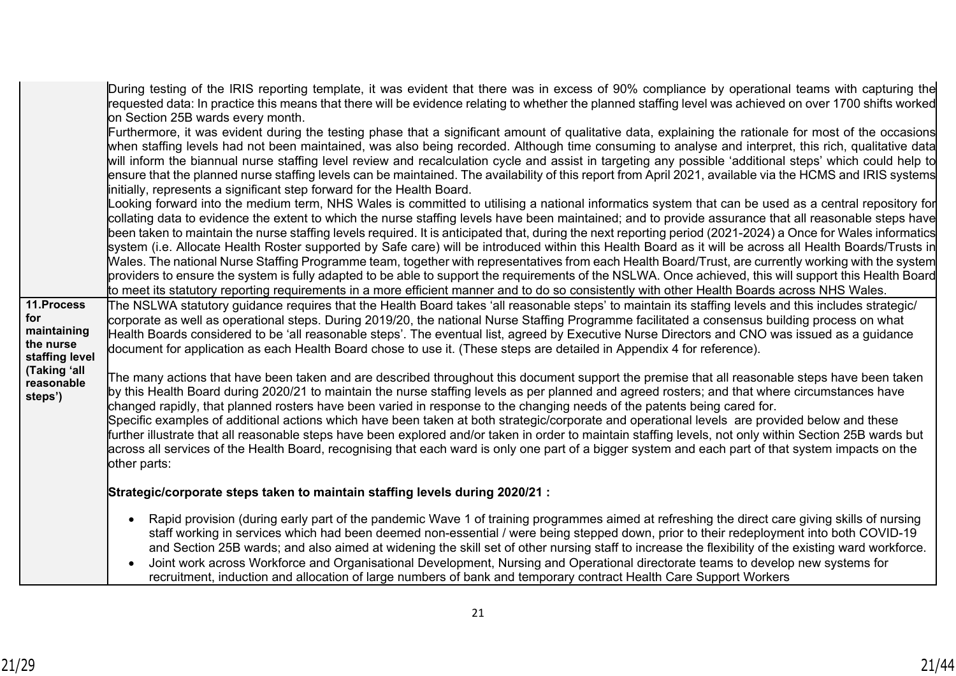| 11.Process                                        | During testing of the IRIS reporting template, it was evident that there was in excess of 90% compliance by operational teams with capturing the<br>requested data: In practice this means that there will be evidence relating to whether the planned staffing level was achieved on over 1700 shifts worked<br>on Section 25B wards every month.<br>Furthermore, it was evident during the testing phase that a significant amount of qualitative data, explaining the rationale for most of the occasions<br>when staffing levels had not been maintained, was also being recorded. Although time consuming to analyse and interpret, this rich, qualitative data<br>will inform the biannual nurse staffing level review and recalculation cycle and assist in targeting any possible 'additional steps' which could help to<br>ensure that the planned nurse staffing levels can be maintained. The availability of this report from April 2021, available via the HCMS and IRIS systems<br>initially, represents a significant step forward for the Health Board.<br>ooking forward into the medium term, NHS Wales is committed to utilising a national informatics system that can be used as a central repository for<br>collating data to evidence the extent to which the nurse staffing levels have been maintained; and to provide assurance that all reasonable steps have<br>been taken to maintain the nurse staffing levels required. It is anticipated that, during the next reporting period (2021-2024) a Once for Wales informatics<br>system (i.e. Allocate Health Roster supported by Safe care) will be introduced within this Health Board as it will be across all Health Boards/Trusts in<br>Wales. The national Nurse Staffing Programme team, together with representatives from each Health Board/Trust, are currently working with the system<br>providers to ensure the system is fully adapted to be able to support the requirements of the NSLWA. Once achieved, this will support this Health Board<br>to meet its statutory reporting requirements in a more efficient manner and to do so consistently with other Health Boards across NHS Wales.<br>The NSLWA statutory guidance requires that the Health Board takes 'all reasonable steps' to maintain its staffing levels and this includes strategic/ |
|---------------------------------------------------|--------------------------------------------------------------------------------------------------------------------------------------------------------------------------------------------------------------------------------------------------------------------------------------------------------------------------------------------------------------------------------------------------------------------------------------------------------------------------------------------------------------------------------------------------------------------------------------------------------------------------------------------------------------------------------------------------------------------------------------------------------------------------------------------------------------------------------------------------------------------------------------------------------------------------------------------------------------------------------------------------------------------------------------------------------------------------------------------------------------------------------------------------------------------------------------------------------------------------------------------------------------------------------------------------------------------------------------------------------------------------------------------------------------------------------------------------------------------------------------------------------------------------------------------------------------------------------------------------------------------------------------------------------------------------------------------------------------------------------------------------------------------------------------------------------------------------------------------------------------------------------------------------------------------------------------------------------------------------------------------------------------------------------------------------------------------------------------------------------------------------------------------------------------------------------------------------------------------------------------------------------------------------------------------------------------------------------------------------|
| for<br>maintaining<br>the nurse<br>staffing level | corporate as well as operational steps. During 2019/20, the national Nurse Staffing Programme facilitated a consensus building process on what<br>Health Boards considered to be 'all reasonable steps'. The eventual list, agreed by Executive Nurse Directors and CNO was issued as a guidance<br>document for application as each Health Board chose to use it. (These steps are detailed in Appendix 4 for reference).                                                                                                                                                                                                                                                                                                                                                                                                                                                                                                                                                                                                                                                                                                                                                                                                                                                                                                                                                                                                                                                                                                                                                                                                                                                                                                                                                                                                                                                                                                                                                                                                                                                                                                                                                                                                                                                                                                                       |
| (Taking 'all<br>reasonable<br>steps')             | The many actions that have been taken and are described throughout this document support the premise that all reasonable steps have been taken<br>by this Health Board during 2020/21 to maintain the nurse staffing levels as per planned and agreed rosters; and that where circumstances have<br>changed rapidly, that planned rosters have been varied in response to the changing needs of the patents being cared for.<br>Specific examples of additional actions which have been taken at both strategic/corporate and operational levels are provided below and these<br>further illustrate that all reasonable steps have been explored and/or taken in order to maintain staffing levels, not only within Section 25B wards but<br>across all services of the Health Board, recognising that each ward is only one part of a bigger system and each part of that system impacts on the<br>other parts:                                                                                                                                                                                                                                                                                                                                                                                                                                                                                                                                                                                                                                                                                                                                                                                                                                                                                                                                                                                                                                                                                                                                                                                                                                                                                                                                                                                                                                 |
|                                                   | Strategic/corporate steps taken to maintain staffing levels during 2020/21 :                                                                                                                                                                                                                                                                                                                                                                                                                                                                                                                                                                                                                                                                                                                                                                                                                                                                                                                                                                                                                                                                                                                                                                                                                                                                                                                                                                                                                                                                                                                                                                                                                                                                                                                                                                                                                                                                                                                                                                                                                                                                                                                                                                                                                                                                     |
|                                                   | Rapid provision (during early part of the pandemic Wave 1 of training programmes aimed at refreshing the direct care giving skills of nursing<br>staff working in services which had been deemed non-essential / were being stepped down, prior to their redeployment into both COVID-19<br>and Section 25B wards; and also aimed at widening the skill set of other nursing staff to increase the flexibility of the existing ward workforce.<br>Joint work across Workforce and Organisational Development, Nursing and Operational directorate teams to develop new systems for<br>recruitment, induction and allocation of large numbers of bank and temporary contract Health Care Support Workers                                                                                                                                                                                                                                                                                                                                                                                                                                                                                                                                                                                                                                                                                                                                                                                                                                                                                                                                                                                                                                                                                                                                                                                                                                                                                                                                                                                                                                                                                                                                                                                                                                          |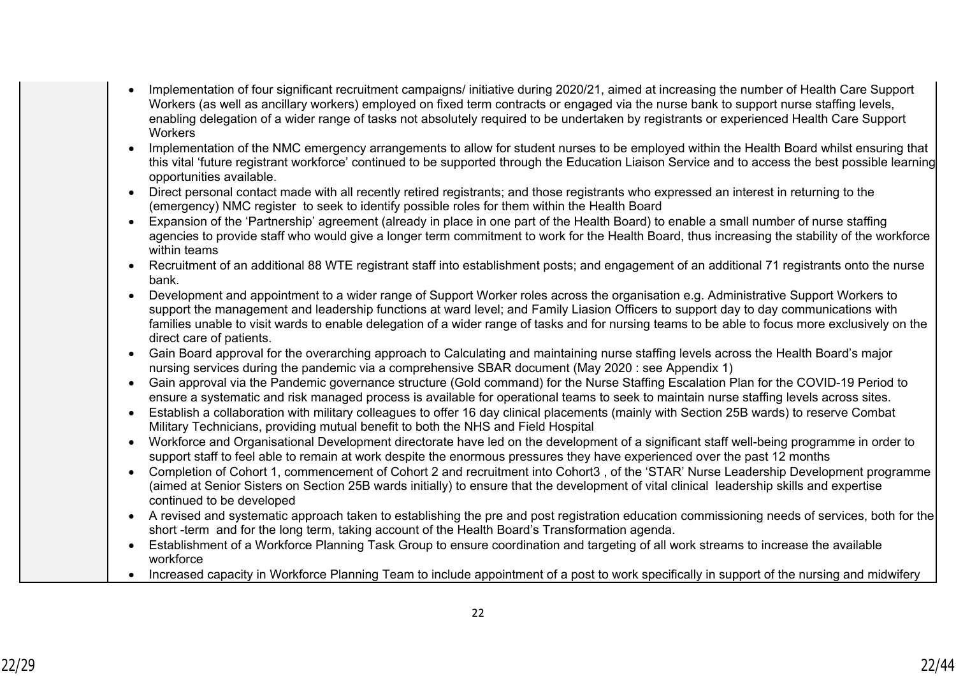- Implementation of four significant recruitment campaigns/ initiative during 2020/21, aimed at increasing the number of Health Care Support Workers (as well as ancillary workers) employed on fixed term contracts or engaged via the nurse bank to support nurse staffing levels, enabling delegation of a wider range of tasks not absolutely required to be undertaken by registrants or experienced Health Care Support **Workers**
- Implementation of the NMC emergency arrangements to allow for student nurses to be employed within the Health Board whilst ensuring that this vital 'future registrant workforce' continued to be supported through the Education Liaison Service and to access the best possible learning opportunities available.
- Direct personal contact made with all recently retired registrants; and those registrants who expressed an interest in returning to the (emergency) NMC register to seek to identify possible roles for them within the Health Board
- Expansion of the 'Partnership' agreement (already in place in one part of the Health Board) to enable a small number of nurse staffing agencies to provide staff who would give a longer term commitment to work for the Health Board, thus increasing the stability of the workforce within teams
- Recruitment of an additional 88 WTE registrant staff into establishment posts; and engagement of an additional 71 registrants onto the nurse bank.
- Development and appointment to a wider range of Support Worker roles across the organisation e.g. Administrative Support Workers to support the management and leadership functions at ward level; and Family Liasion Officers to support day to day communications with families unable to visit wards to enable delegation of a wider range of tasks and for nursing teams to be able to focus more exclusively on the direct care of patients.
- Gain Board approval for the overarching approach to Calculating and maintaining nurse staffing levels across the Health Board's major nursing services during the pandemic via a comprehensive SBAR document (May 2020 : see Appendix 1)
- Gain approval via the Pandemic governance structure (Gold command) for the Nurse Staffing Escalation Plan for the COVID-19 Period to ensure a systematic and risk managed process is available for operational teams to seek to maintain nurse staffing levels across sites.
- Establish a collaboration with military colleagues to offer 16 day clinical placements (mainly with Section 25B wards) to reserve Combat Military Technicians, providing mutual benefit to both the NHS and Field Hospital
- Workforce and Organisational Development directorate have led on the development of a significant staff well-being programme in order to support staff to feel able to remain at work despite the enormous pressures they have experienced over the past 12 months
- Completion of Cohort 1, commencement of Cohort 2 and recruitment into Cohort3 , of the 'STAR' Nurse Leadership Development programme (aimed at Senior Sisters on Section 25B wards initially) to ensure that the development of vital clinical leadership skills and expertise continued to be developed
- A revised and systematic approach taken to establishing the pre and post registration education commissioning needs of services, both for the short -term and for the long term, taking account of the Health Board's Transformation agenda.
- Establishment of a Workforce Planning Task Group to ensure coordination and targeting of all work streams to increase the available workforce
- Increased capacity in Workforce Planning Team to include appointment of a post to work specifically in support of the nursing and midwifery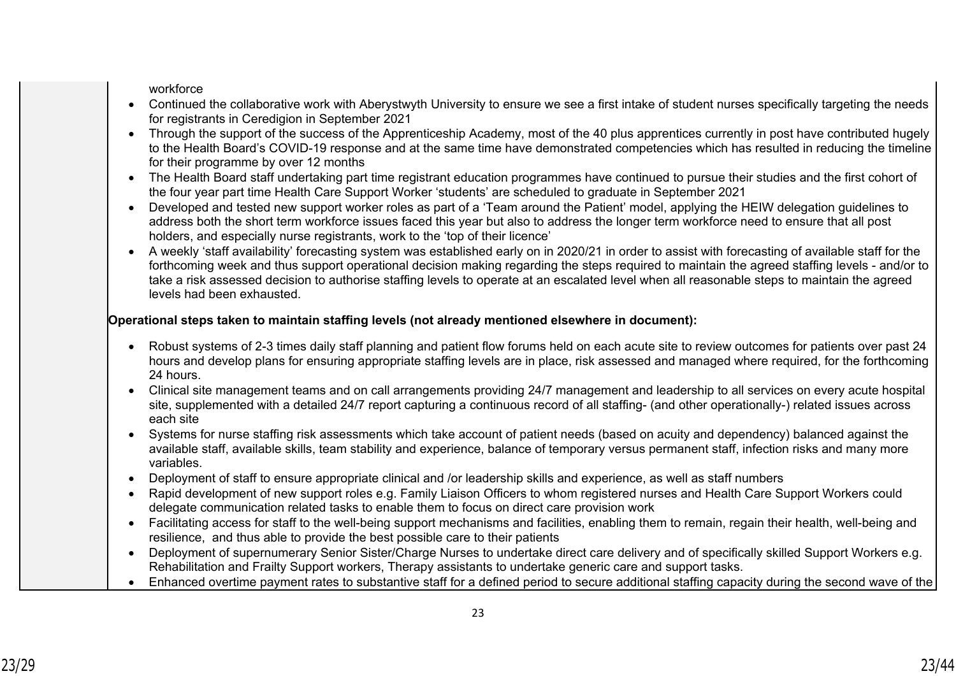workforce

- Continued the collaborative work with Aberystwyth University to ensure we see a first intake of student nurses specifically targeting the needs for registrants in Ceredigion in September 2021
- Through the support of the success of the Apprenticeship Academy, most of the 40 plus apprentices currently in post have contributed hugely to the Health Board's COVID-19 response and at the same time have demonstrated competencies which has resulted in reducing the timeline for their programme by over 12 months
- The Health Board staff undertaking part time registrant education programmes have continued to pursue their studies and the first cohort of the four year part time Health Care Support Worker 'students' are scheduled to graduate in September 2021
- Developed and tested new support worker roles as part of a 'Team around the Patient' model, applying the HEIW delegation guidelines to address both the short term workforce issues faced this year but also to address the longer term workforce need to ensure that all post holders, and especially nurse registrants, work to the 'top of their licence'
- A weekly 'staff availability' forecasting system was established early on in 2020/21 in order to assist with forecasting of available staff for the forthcoming week and thus support operational decision making regarding the steps required to maintain the agreed staffing levels - and/or to take a risk assessed decision to authorise staffing levels to operate at an escalated level when all reasonable steps to maintain the agreed levels had been exhausted.

## **Operational steps taken to maintain staffing levels (not already mentioned elsewhere in document):**

- Robust systems of 2-3 times daily staff planning and patient flow forums held on each acute site to review outcomes for patients over past 24 hours and develop plans for ensuring appropriate staffing levels are in place, risk assessed and managed where required, for the forthcoming 24 hours.
- Clinical site management teams and on call arrangements providing 24/7 management and leadership to all services on every acute hospital site, supplemented with a detailed 24/7 report capturing a continuous record of all staffing- (and other operationally-) related issues across each site
- Systems for nurse staffing risk assessments which take account of patient needs (based on acuity and dependency) balanced against the available staff, available skills, team stability and experience, balance of temporary versus permanent staff, infection risks and many more variables.
- Deployment of staff to ensure appropriate clinical and /or leadership skills and experience, as well as staff numbers
- Rapid development of new support roles e.g. Family Liaison Officers to whom registered nurses and Health Care Support Workers could delegate communication related tasks to enable them to focus on direct care provision work
- Facilitating access for staff to the well-being support mechanisms and facilities, enabling them to remain, regain their health, well-being and resilience, and thus able to provide the best possible care to their patients
- Deployment of supernumerary Senior Sister/Charge Nurses to undertake direct care delivery and of specifically skilled Support Workers e.g. Rehabilitation and Frailty Support workers, Therapy assistants to undertake generic care and support tasks.
- Enhanced overtime payment rates to substantive staff for a defined period to secure additional staffing capacity during the second wave of the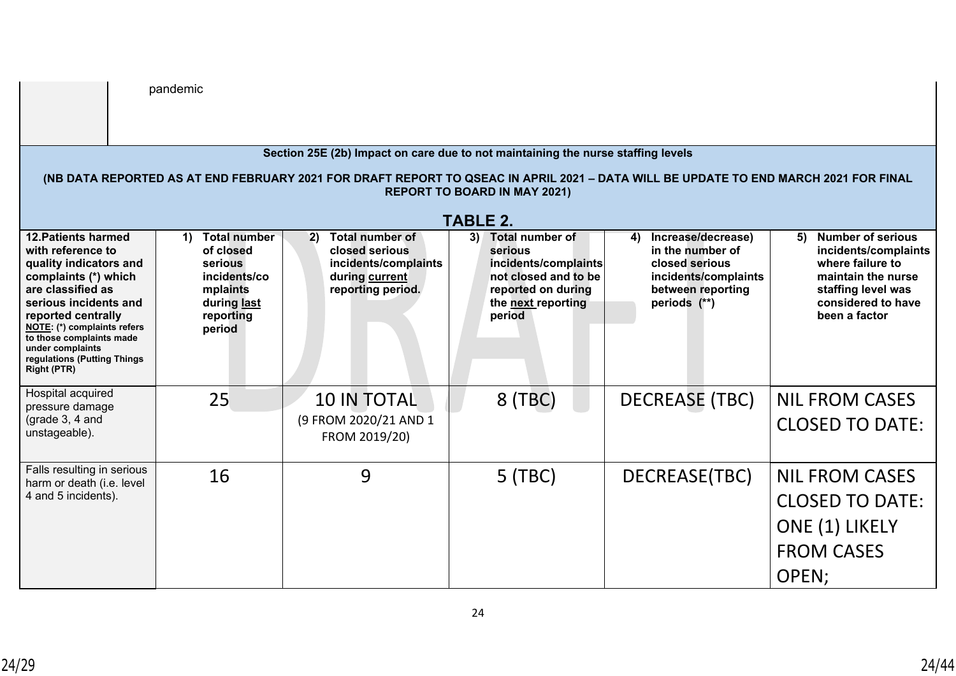|                                                                                                                                                                                                                                                                                                           | pandemic                                                                                                            |                                                                                                               |                                                                                                                                        |                                                                                                                             |                                                                                                                                                     |  |  |  |  |
|-----------------------------------------------------------------------------------------------------------------------------------------------------------------------------------------------------------------------------------------------------------------------------------------------------------|---------------------------------------------------------------------------------------------------------------------|---------------------------------------------------------------------------------------------------------------|----------------------------------------------------------------------------------------------------------------------------------------|-----------------------------------------------------------------------------------------------------------------------------|-----------------------------------------------------------------------------------------------------------------------------------------------------|--|--|--|--|
|                                                                                                                                                                                                                                                                                                           |                                                                                                                     |                                                                                                               |                                                                                                                                        |                                                                                                                             |                                                                                                                                                     |  |  |  |  |
| Section 25E (2b) Impact on care due to not maintaining the nurse staffing levels<br>(NB DATA REPORTED AS AT END FEBRUARY 2021 FOR DRAFT REPORT TO QSEAC IN APRIL 2021 - DATA WILL BE UPDATE TO END MARCH 2021 FOR FINAL<br><b>REPORT TO BOARD IN MAY 2021)</b><br><b>TABLE 2.</b>                         |                                                                                                                     |                                                                                                               |                                                                                                                                        |                                                                                                                             |                                                                                                                                                     |  |  |  |  |
| <b>12. Patients harmed</b><br>with reference to<br>quality indicators and<br>complaints (*) which<br>are classified as<br>serious incidents and<br>reported centrally<br><b>NOTE:</b> (*) complaints refers<br>to those complaints made<br>under complaints<br>regulations (Putting Things<br>Right (PTR) | <b>Total number</b><br>1)<br>of closed<br>serious<br>incidents/co<br>mplaints<br>during last<br>reporting<br>period | <b>Total number of</b><br>2)<br>closed serious<br>incidents/complaints<br>during current<br>reporting period. | Total number of<br>3)<br>serious<br>incidents/complaints<br>not closed and to be<br>reported on during<br>the next reporting<br>period | Increase/decrease)<br>4)<br>in the number of<br>closed serious<br>incidents/complaints<br>between reporting<br>periods (**) | 5) Number of serious<br>incidents/complaints<br>where failure to<br>maintain the nurse<br>staffing level was<br>considered to have<br>been a factor |  |  |  |  |
| Hospital acquired<br>pressure damage<br>(grade $3, 4$ and<br>unstageable).                                                                                                                                                                                                                                | 25                                                                                                                  | <b>10 IN TOTAL</b><br>(9 FROM 2020/21 AND 1<br>FROM 2019/20)                                                  | 8 (TBC)                                                                                                                                | <b>DECREASE (TBC)</b>                                                                                                       | <b>NIL FROM CASES</b><br><b>CLOSED TO DATE:</b>                                                                                                     |  |  |  |  |
| Falls resulting in serious<br>harm or death (i.e. level<br>4 and 5 incidents).                                                                                                                                                                                                                            | 16                                                                                                                  | 9                                                                                                             | $5$ (TBC)                                                                                                                              | DECREASE(TBC)                                                                                                               | <b>NIL FROM CASES</b><br><b>CLOSED TO DATE:</b><br>ONE (1) LIKELY<br><b>FROM CASES</b><br>OPEN;                                                     |  |  |  |  |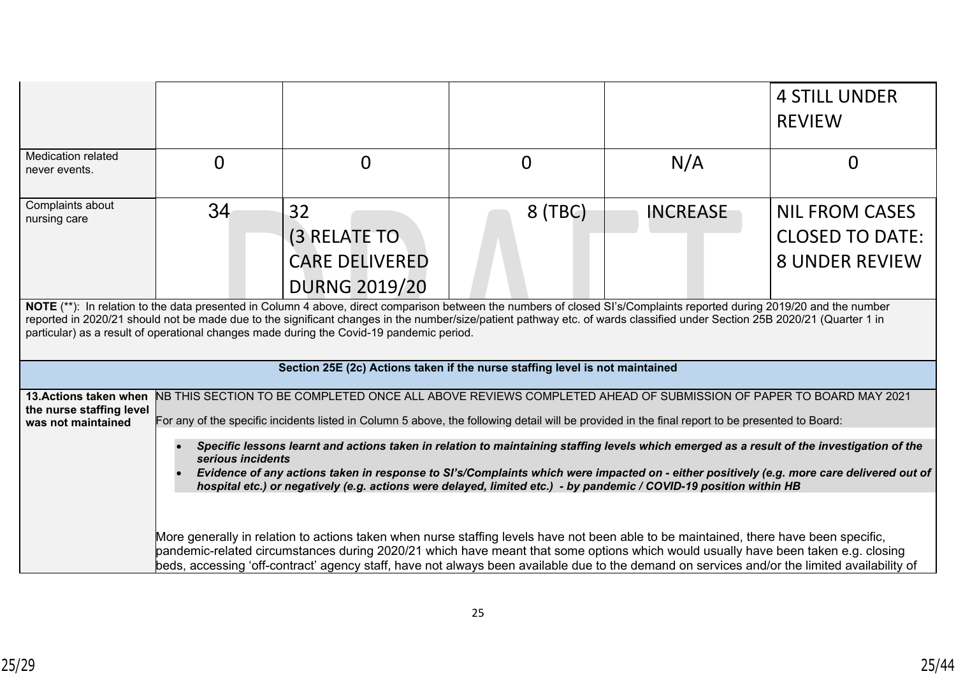|                                                                                                                                                                                                                                                                                                                                                                                                                                                 |          |                                                                                                                                                                                                                                                                    |                |                 | <b>4 STILL UNDER</b><br><b>REVIEW</b>                                    |  |  |  |
|-------------------------------------------------------------------------------------------------------------------------------------------------------------------------------------------------------------------------------------------------------------------------------------------------------------------------------------------------------------------------------------------------------------------------------------------------|----------|--------------------------------------------------------------------------------------------------------------------------------------------------------------------------------------------------------------------------------------------------------------------|----------------|-----------------|--------------------------------------------------------------------------|--|--|--|
| <b>Medication related</b><br>never events.                                                                                                                                                                                                                                                                                                                                                                                                      | $\Omega$ | $\overline{0}$                                                                                                                                                                                                                                                     | $\overline{0}$ | N/A             | 0                                                                        |  |  |  |
| Complaints about<br>nursing care                                                                                                                                                                                                                                                                                                                                                                                                                | 34       | 32<br>(3 RELATE TO<br><b>CARE DELIVERED</b><br><b>DURNG 2019/20</b>                                                                                                                                                                                                | 8 (TBC)        | <b>INCREASE</b> | <b>NIL FROM CASES</b><br><b>CLOSED TO DATE:</b><br><b>8 UNDER REVIEW</b> |  |  |  |
| NOTE (**): In relation to the data presented in Column 4 above, direct comparison between the numbers of closed SI's/Complaints reported during 2019/20 and the number<br>reported in 2020/21 should not be made due to the significant changes in the number/size/patient pathway etc. of wards classified under Section 25B 2020/21 (Quarter 1 in<br>particular) as a result of operational changes made during the Covid-19 pandemic period. |          |                                                                                                                                                                                                                                                                    |                |                 |                                                                          |  |  |  |
|                                                                                                                                                                                                                                                                                                                                                                                                                                                 |          | Section 25E (2c) Actions taken if the nurse staffing level is not maintained                                                                                                                                                                                       |                |                 |                                                                          |  |  |  |
| 13. Actions taken when<br>the nurse staffing level<br>was not maintained                                                                                                                                                                                                                                                                                                                                                                        |          | NB THIS SECTION TO BE COMPLETED ONCE ALL ABOVE REVIEWS COMPLETED AHEAD OF SUBMISSION OF PAPER TO BOARD MAY 2021<br>For any of the specific incidents listed in Column 5 above, the following detail will be provided in the final report to be presented to Board: |                |                 |                                                                          |  |  |  |
| Specific lessons learnt and actions taken in relation to maintaining staffing levels which emerged as a result of the investigation of the<br>serious incidents<br>Evidence of any actions taken in response to SI's/Complaints which were impacted on - either positively (e.g. more care delivered out of<br>hospital etc.) or negatively (e.g. actions were delayed, limited etc.) - by pandemic / COVID-19 position within HB               |          |                                                                                                                                                                                                                                                                    |                |                 |                                                                          |  |  |  |
| More generally in relation to actions taken when nurse staffing levels have not been able to be maintained, there have been specific,<br>pandemic-related circumstances during 2020/21 which have meant that some options which would usually have been taken e.g. closing<br>beds, accessing 'off-contract' agency staff, have not always been available due to the demand on services and/or the limited availability of                      |          |                                                                                                                                                                                                                                                                    |                |                 |                                                                          |  |  |  |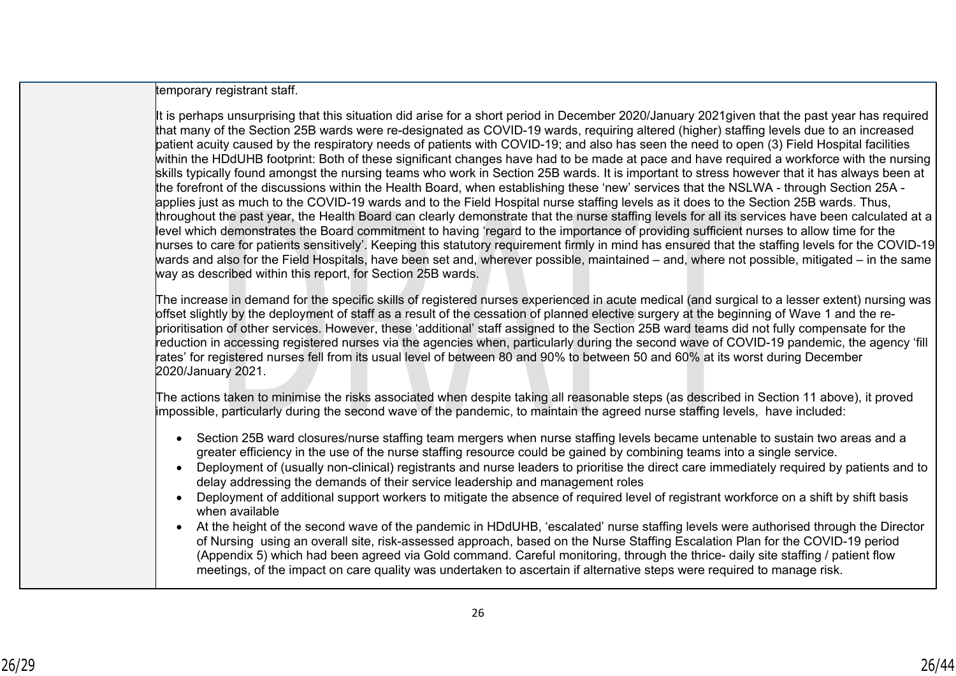temporary registrant staff.

It is perhaps unsurprising that this situation did arise for a short period in December 2020/January 2021given that the past year has required that many of the Section 25B wards were re-designated as COVID-19 wards, requiring altered (higher) staffing levels due to an increased patient acuity caused by the respiratory needs of patients with COVID-19; and also has seen the need to open (3) Field Hospital facilities within the HDdUHB footprint: Both of these significant changes have had to be made at pace and have required a workforce with the nursing skills typically found amongst the nursing teams who work in Section 25B wards. It is important to stress however that it has always been at the forefront of the discussions within the Health Board, when establishing these 'new' services that the NSLWA - through Section 25A applies just as much to the COVID-19 wards and to the Field Hospital nurse staffing levels as it does to the Section 25B wards. Thus, throughout the past year, the Health Board can clearly demonstrate that the nurse staffing levels for all its services have been calculated at a level which demonstrates the Board commitment to having 'regard to the importance of providing sufficient nurses to allow time for the nurses to care for patients sensitively'. Keeping this statutory requirement firmly in mind has ensured that the staffing levels for the COVID-19 wards and also for the Field Hospitals, have been set and, wherever possible, maintained – and, where not possible, mitigated – in the same way as described within this report, for Section 25B wards.

The increase in demand for the specific skills of registered nurses experienced in acute medical (and surgical to a lesser extent) nursing was offset slightly by the deployment of staff as a result of the cessation of planned elective surgery at the beginning of Wave 1 and the reprioritisation of other services. However, these 'additional' staff assigned to the Section 25B ward teams did not fully compensate for the reduction in accessing registered nurses via the agencies when, particularly during the second wave of COVID-19 pandemic, the agency 'fill rates' for registered nurses fell from its usual level of between 80 and 90% to between 50 and 60% at its worst during December 2020/January 2021.

The actions taken to minimise the risks associated when despite taking all reasonable steps (as described in Section 11 above), it proved impossible, particularly during the second wave of the pandemic, to maintain the agreed nurse staffing levels, have included:

- Section 25B ward closures/nurse staffing team mergers when nurse staffing levels became untenable to sustain two areas and a greater efficiency in the use of the nurse staffing resource could be gained by combining teams into a single service.
- Deployment of (usually non-clinical) registrants and nurse leaders to prioritise the direct care immediately required by patients and to delay addressing the demands of their service leadership and management roles
- Deployment of additional support workers to mitigate the absence of required level of registrant workforce on a shift by shift basis when available
- At the height of the second wave of the pandemic in HDdUHB, 'escalated' nurse staffing levels were authorised through the Director of Nursing using an overall site, risk-assessed approach, based on the Nurse Staffing Escalation Plan for the COVID-19 period (Appendix 5) which had been agreed via Gold command. Careful monitoring, through the thrice- daily site staffing / patient flow meetings, of the impact on care quality was undertaken to ascertain if alternative steps were required to manage risk.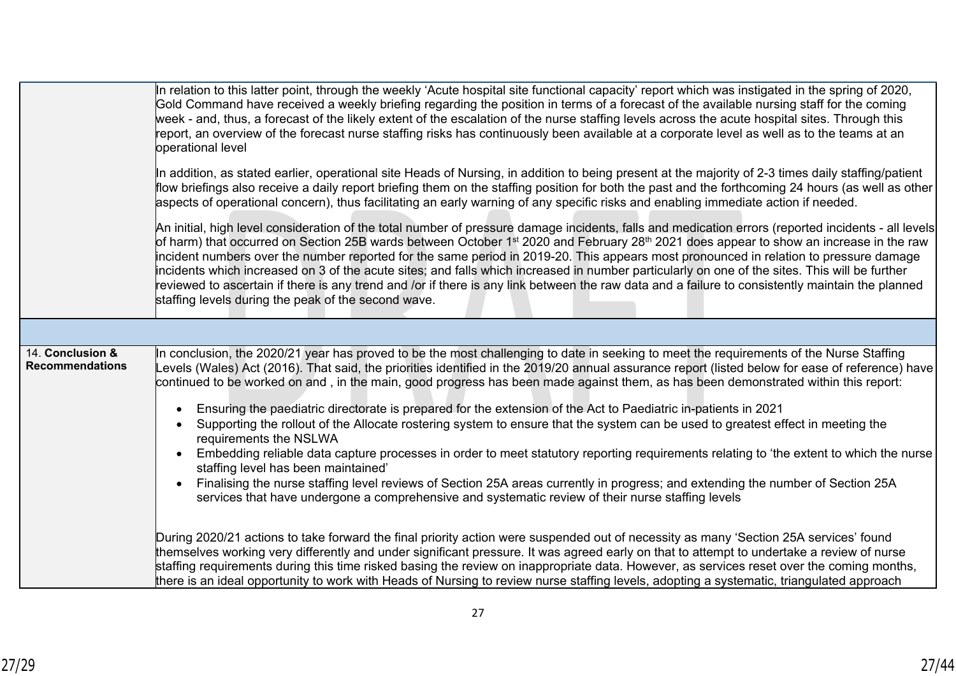|                                            | In relation to this latter point, through the weekly 'Acute hospital site functional capacity' report which was instigated in the spring of 2020,<br>Gold Command have received a weekly briefing regarding the position in terms of a forecast of the available nursing staff for the coming<br>week - and, thus, a forecast of the likely extent of the escalation of the nurse staffing levels across the acute hospital sites. Through this<br>report, an overview of the forecast nurse staffing risks has continuously been available at a corporate level as well as to the teams at an<br>operational level<br>In addition, as stated earlier, operational site Heads of Nursing, in addition to being present at the majority of 2-3 times daily staffing/patient<br>flow briefings also receive a daily report briefing them on the staffing position for both the past and the forthcoming 24 hours (as well as other<br>aspects of operational concern), thus facilitating an early warning of any specific risks and enabling immediate action if needed.<br>An initial, high level consideration of the total number of pressure damage incidents, falls and medication errors (reported incidents - all levels<br>of harm) that occurred on Section 25B wards between October 1st 2020 and February 28th 2021 does appear to show an increase in the raw<br>incident numbers over the number reported for the same period in 2019-20. This appears most pronounced in relation to pressure damage<br>incidents which increased on 3 of the acute sites; and falls which increased in number particularly on one of the sites. This will be further<br>reviewed to ascertain if there is any trend and /or if there is any link between the raw data and a failure to consistently maintain the planned<br>staffing levels during the peak of the second wave. |
|--------------------------------------------|------------------------------------------------------------------------------------------------------------------------------------------------------------------------------------------------------------------------------------------------------------------------------------------------------------------------------------------------------------------------------------------------------------------------------------------------------------------------------------------------------------------------------------------------------------------------------------------------------------------------------------------------------------------------------------------------------------------------------------------------------------------------------------------------------------------------------------------------------------------------------------------------------------------------------------------------------------------------------------------------------------------------------------------------------------------------------------------------------------------------------------------------------------------------------------------------------------------------------------------------------------------------------------------------------------------------------------------------------------------------------------------------------------------------------------------------------------------------------------------------------------------------------------------------------------------------------------------------------------------------------------------------------------------------------------------------------------------------------------------------------------------------------------------------------------------------------------------------------------------------------|
|                                            |                                                                                                                                                                                                                                                                                                                                                                                                                                                                                                                                                                                                                                                                                                                                                                                                                                                                                                                                                                                                                                                                                                                                                                                                                                                                                                                                                                                                                                                                                                                                                                                                                                                                                                                                                                                                                                                                              |
| 14. Conclusion &<br><b>Recommendations</b> | In conclusion, the 2020/21 year has proved to be the most challenging to date in seeking to meet the requirements of the Nurse Staffing<br>evels (Wales) Act (2016). That said, the priorities identified in the 2019/20 annual assurance report (listed below for ease of reference) have<br>continued to be worked on and, in the main, good progress has been made against them, as has been demonstrated within this report:<br>Ensuring the paediatric directorate is prepared for the extension of the Act to Paediatric in-patients in 2021<br>Supporting the rollout of the Allocate rostering system to ensure that the system can be used to greatest effect in meeting the<br>requirements the NSLWA<br>Embedding reliable data capture processes in order to meet statutory reporting requirements relating to 'the extent to which the nurse<br>staffing level has been maintained'<br>Finalising the nurse staffing level reviews of Section 25A areas currently in progress; and extending the number of Section 25A<br>services that have undergone a comprehensive and systematic review of their nurse staffing levels                                                                                                                                                                                                                                                                                                                                                                                                                                                                                                                                                                                                                                                                                                                                     |
|                                            | During 2020/21 actions to take forward the final priority action were suspended out of necessity as many 'Section 25A services' found<br>themselves working very differently and under significant pressure. It was agreed early on that to attempt to undertake a review of nurse<br>staffing requirements during this time risked basing the review on inappropriate data. However, as services reset over the coming months,<br>there is an ideal opportunity to work with Heads of Nursing to review nurse staffing levels, adopting a systematic, triangulated approach                                                                                                                                                                                                                                                                                                                                                                                                                                                                                                                                                                                                                                                                                                                                                                                                                                                                                                                                                                                                                                                                                                                                                                                                                                                                                                 |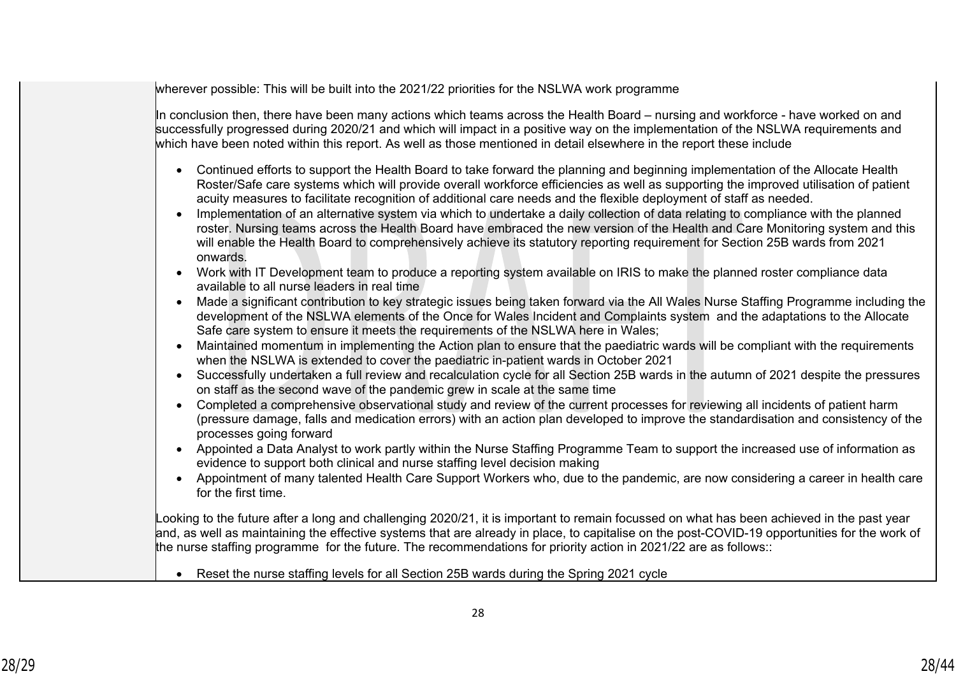wherever possible: This will be built into the 2021/22 priorities for the NSLWA work programme

In conclusion then, there have been many actions which teams across the Health Board – nursing and workforce - have worked on and successfully progressed during 2020/21 and which will impact in a positive way on the implementation of the NSLWA requirements and which have been noted within this report. As well as those mentioned in detail elsewhere in the report these include

- Continued efforts to support the Health Board to take forward the planning and beginning implementation of the Allocate Health Roster/Safe care systems which will provide overall workforce efficiencies as well as supporting the improved utilisation of patient acuity measures to facilitate recognition of additional care needs and the flexible deployment of staff as needed.
- Implementation of an alternative system via which to undertake a daily collection of data relating to compliance with the planned roster. Nursing teams across the Health Board have embraced the new version of the Health and Care Monitoring system and this will enable the Health Board to comprehensively achieve its statutory reporting requirement for Section 25B wards from 2021 onwards.
- Work with IT Development team to produce a reporting system available on IRIS to make the planned roster compliance data available to all nurse leaders in real time
- Made a significant contribution to key strategic issues being taken forward via the All Wales Nurse Staffing Programme including the development of the NSLWA elements of the Once for Wales Incident and Complaints system and the adaptations to the Allocate Safe care system to ensure it meets the requirements of the NSLWA here in Wales;
- Maintained momentum in implementing the Action plan to ensure that the paediatric wards will be compliant with the requirements when the NSLWA is extended to cover the paediatric in-patient wards in October 2021
- Successfully undertaken a full review and recalculation cycle for all Section 25B wards in the autumn of 2021 despite the pressures on staff as the second wave of the pandemic grew in scale at the same time
- Completed a comprehensive observational study and review of the current processes for reviewing all incidents of patient harm (pressure damage, falls and medication errors) with an action plan developed to improve the standardisation and consistency of the processes going forward
- Appointed a Data Analyst to work partly within the Nurse Staffing Programme Team to support the increased use of information as evidence to support both clinical and nurse staffing level decision making
- Appointment of many talented Health Care Support Workers who, due to the pandemic, are now considering a career in health care for the first time.

Looking to the future after a long and challenging 2020/21, it is important to remain focussed on what has been achieved in the past year and, as well as maintaining the effective systems that are already in place, to capitalise on the post-COVID-19 opportunities for the work of the nurse staffing programme for the future. The recommendations for priority action in 2021/22 are as follows::

Reset the nurse staffing levels for all Section 25B wards during the Spring 2021 cycle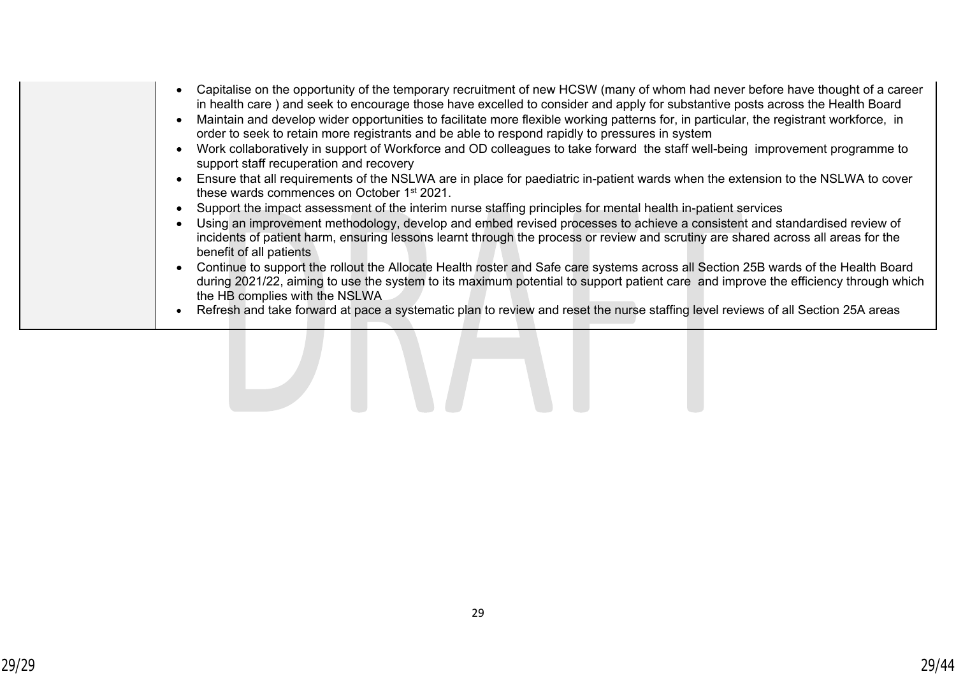- Capitalise on the opportunity of the temporary recruitment of new HCSW (many of whom had never before have thought of a career in health care ) and seek to encourage those have excelled to consider and apply for substantive posts across the Health Board
- Maintain and develop wider opportunities to facilitate more flexible working patterns for, in particular, the registrant workforce, in order to seek to retain more registrants and be able to respond rapidly to pressures in system
- Work collaboratively in support of Workforce and OD colleagues to take forward the staff well-being improvement programme to support staff recuperation and recovery
- Ensure that all requirements of the NSLWA are in place for paediatric in-patient wards when the extension to the NSLWA to cover these wards commences on October 1st 2021.
- Support the impact assessment of the interim nurse staffing principles for mental health in-patient services
- Using an improvement methodology, develop and embed revised processes to achieve a consistent and standardised review of incidents of patient harm, ensuring lessons learnt through the process or review and scrutiny are shared across all areas for the benefit of all patients
- Continue to support the rollout the Allocate Health roster and Safe care systems across all Section 25B wards of the Health Board during 2021/22, aiming to use the system to its maximum potential to support patient care and improve the efficiency through which the HB complies with the NSLWA
- Refresh and take forward at pace a systematic plan to review and reset the nurse staffing level reviews of all Section 25A areas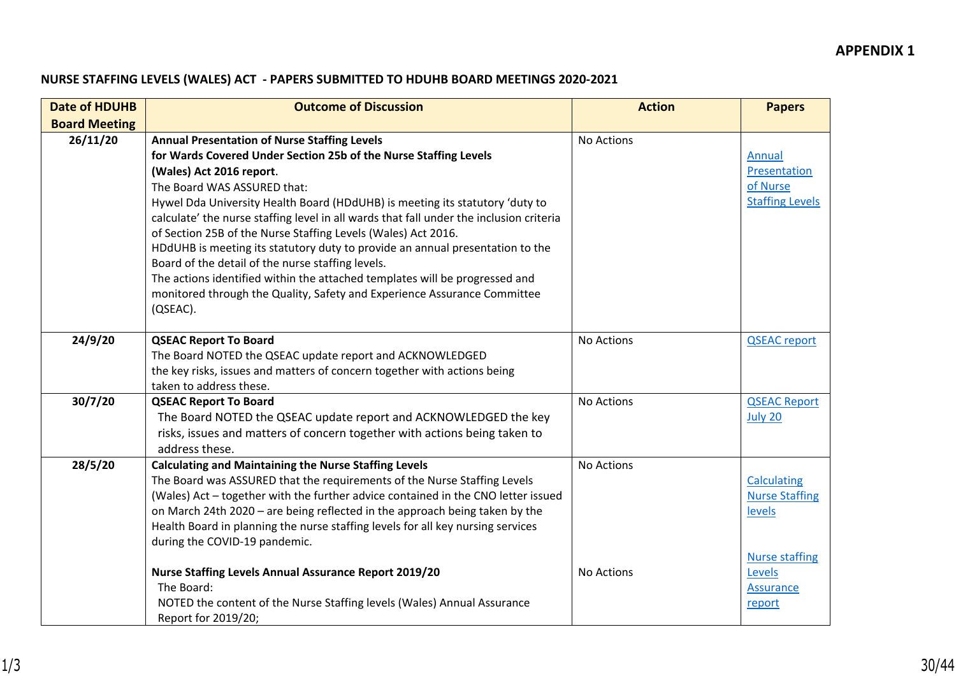## **NURSE STAFFING LEVELS (WALES) ACT - PAPERS SUBMITTED TO HDUHB BOARD MEETINGS 2020-2021**

| <b>Date of HDUHB</b> | <b>Outcome of Discussion</b>                                                                                                                                                                                                                                                                                                                                                                                                                                                                                                                                                                                                                                                                                                                | <b>Action</b> | <b>Papers</b>                                                 |
|----------------------|---------------------------------------------------------------------------------------------------------------------------------------------------------------------------------------------------------------------------------------------------------------------------------------------------------------------------------------------------------------------------------------------------------------------------------------------------------------------------------------------------------------------------------------------------------------------------------------------------------------------------------------------------------------------------------------------------------------------------------------------|---------------|---------------------------------------------------------------|
| <b>Board Meeting</b> |                                                                                                                                                                                                                                                                                                                                                                                                                                                                                                                                                                                                                                                                                                                                             |               |                                                               |
| 26/11/20             | <b>Annual Presentation of Nurse Staffing Levels</b><br>for Wards Covered Under Section 25b of the Nurse Staffing Levels<br>(Wales) Act 2016 report.<br>The Board WAS ASSURED that:<br>Hywel Dda University Health Board (HDdUHB) is meeting its statutory 'duty to<br>calculate' the nurse staffing level in all wards that fall under the inclusion criteria<br>of Section 25B of the Nurse Staffing Levels (Wales) Act 2016.<br>HDdUHB is meeting its statutory duty to provide an annual presentation to the<br>Board of the detail of the nurse staffing levels.<br>The actions identified within the attached templates will be progressed and<br>monitored through the Quality, Safety and Experience Assurance Committee<br>(QSEAC). | No Actions    | Annual<br>Presentation<br>of Nurse<br><b>Staffing Levels</b>  |
| 24/9/20              | <b>QSEAC Report To Board</b><br>The Board NOTED the QSEAC update report and ACKNOWLEDGED<br>the key risks, issues and matters of concern together with actions being<br>taken to address these.                                                                                                                                                                                                                                                                                                                                                                                                                                                                                                                                             | No Actions    | <b>QSEAC</b> report                                           |
| 30/7/20              | <b>QSEAC Report To Board</b><br>The Board NOTED the QSEAC update report and ACKNOWLEDGED the key<br>risks, issues and matters of concern together with actions being taken to<br>address these.                                                                                                                                                                                                                                                                                                                                                                                                                                                                                                                                             | No Actions    | <b>QSEAC Report</b><br>July 20                                |
| 28/5/20              | <b>Calculating and Maintaining the Nurse Staffing Levels</b><br>The Board was ASSURED that the requirements of the Nurse Staffing Levels<br>(Wales) Act - together with the further advice contained in the CNO letter issued<br>on March 24th 2020 - are being reflected in the approach being taken by the<br>Health Board in planning the nurse staffing levels for all key nursing services<br>during the COVID-19 pandemic.                                                                                                                                                                                                                                                                                                            | No Actions    | <b>Calculating</b><br><b>Nurse Staffing</b><br>levels         |
|                      | <b>Nurse Staffing Levels Annual Assurance Report 2019/20</b><br>The Board:<br>NOTED the content of the Nurse Staffing levels (Wales) Annual Assurance<br>Report for 2019/20;                                                                                                                                                                                                                                                                                                                                                                                                                                                                                                                                                                | No Actions    | <b>Nurse staffing</b><br>Levels<br><b>Assurance</b><br>report |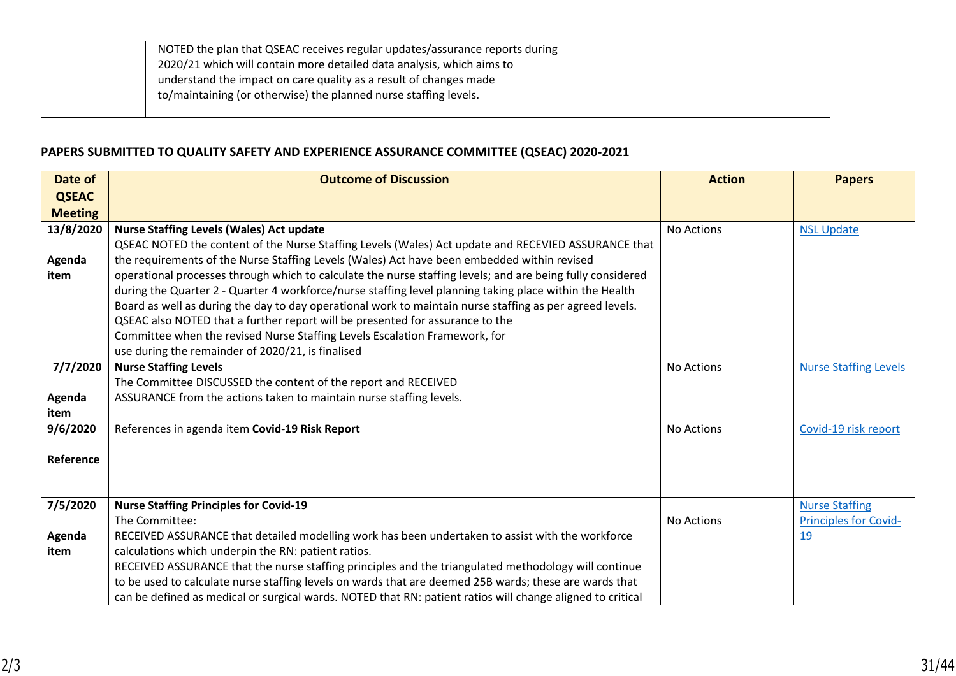| NOTED the plan that QSEAC receives regular updates/assurance reports during<br>2020/21 which will contain more detailed data analysis, which aims to<br>understand the impact on care quality as a result of changes made<br>to/maintaining (or otherwise) the planned nurse staffing levels. |  |
|-----------------------------------------------------------------------------------------------------------------------------------------------------------------------------------------------------------------------------------------------------------------------------------------------|--|
|                                                                                                                                                                                                                                                                                               |  |

## **PAPERS SUBMITTED TO QUALITY SAFETY AND EXPERIENCE ASSURANCE COMMITTEE (QSEAC) 2020-2021**

| Date of        | <b>Outcome of Discussion</b>                                                                               | <b>Action</b>     | <b>Papers</b>                |
|----------------|------------------------------------------------------------------------------------------------------------|-------------------|------------------------------|
| <b>QSEAC</b>   |                                                                                                            |                   |                              |
| <b>Meeting</b> |                                                                                                            |                   |                              |
| 13/8/2020      | <b>Nurse Staffing Levels (Wales) Act update</b>                                                            | <b>No Actions</b> | <b>NSL Update</b>            |
|                | QSEAC NOTED the content of the Nurse Staffing Levels (Wales) Act update and RECEVIED ASSURANCE that        |                   |                              |
| Agenda         | the requirements of the Nurse Staffing Levels (Wales) Act have been embedded within revised                |                   |                              |
| item           | operational processes through which to calculate the nurse staffing levels; and are being fully considered |                   |                              |
|                | during the Quarter 2 - Quarter 4 workforce/nurse staffing level planning taking place within the Health    |                   |                              |
|                | Board as well as during the day to day operational work to maintain nurse staffing as per agreed levels.   |                   |                              |
|                | QSEAC also NOTED that a further report will be presented for assurance to the                              |                   |                              |
|                | Committee when the revised Nurse Staffing Levels Escalation Framework, for                                 |                   |                              |
|                | use during the remainder of 2020/21, is finalised                                                          |                   |                              |
| 7/7/2020       | <b>Nurse Staffing Levels</b>                                                                               | No Actions        | <b>Nurse Staffing Levels</b> |
|                | The Committee DISCUSSED the content of the report and RECEIVED                                             |                   |                              |
| Agenda         | ASSURANCE from the actions taken to maintain nurse staffing levels.                                        |                   |                              |
| item           |                                                                                                            |                   |                              |
| 9/6/2020       | References in agenda item Covid-19 Risk Report                                                             | No Actions        | Covid-19 risk report         |
| Reference      |                                                                                                            |                   |                              |
|                |                                                                                                            |                   |                              |
|                |                                                                                                            |                   |                              |
| 7/5/2020       | <b>Nurse Staffing Principles for Covid-19</b>                                                              |                   | <b>Nurse Staffing</b>        |
|                | The Committee:                                                                                             | No Actions        | <b>Principles for Covid-</b> |
| Agenda         | RECEIVED ASSURANCE that detailed modelling work has been undertaken to assist with the workforce           |                   | 19                           |
| item           | calculations which underpin the RN: patient ratios.                                                        |                   |                              |
|                | RECEIVED ASSURANCE that the nurse staffing principles and the triangulated methodology will continue       |                   |                              |
|                | to be used to calculate nurse staffing levels on wards that are deemed 25B wards; these are wards that     |                   |                              |
|                | can be defined as medical or surgical wards. NOTED that RN: patient ratios will change aligned to critical |                   |                              |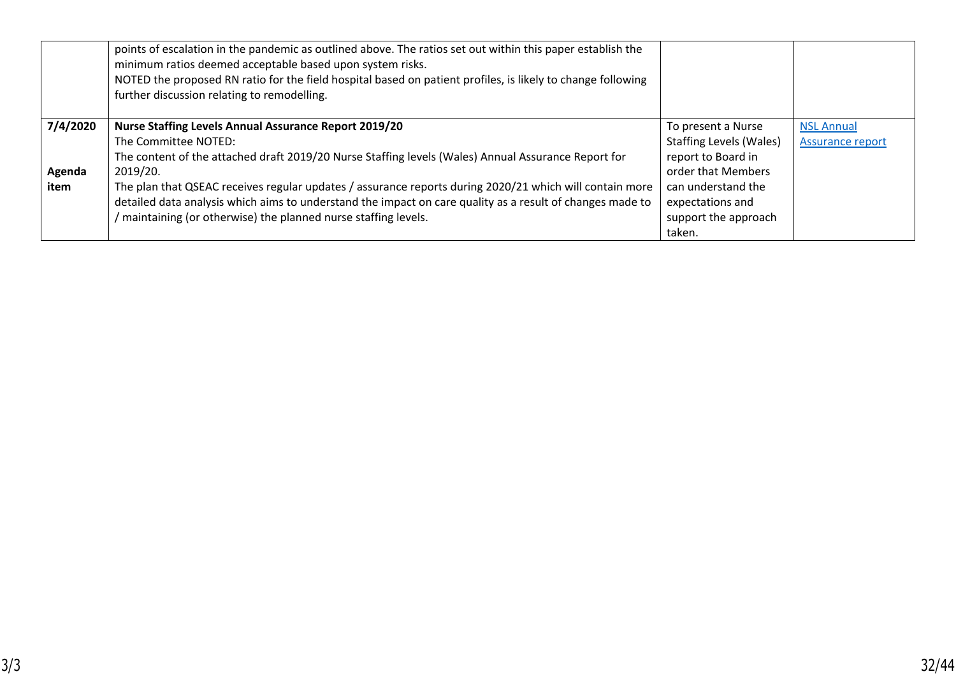|          | points of escalation in the pandemic as outlined above. The ratios set out within this paper establish the<br>minimum ratios deemed acceptable based upon system risks.<br>NOTED the proposed RN ratio for the field hospital based on patient profiles, is likely to change following<br>further discussion relating to remodelling. |                                |                   |
|----------|---------------------------------------------------------------------------------------------------------------------------------------------------------------------------------------------------------------------------------------------------------------------------------------------------------------------------------------|--------------------------------|-------------------|
| 7/4/2020 | <b>Nurse Staffing Levels Annual Assurance Report 2019/20</b>                                                                                                                                                                                                                                                                          | To present a Nurse             | <b>NSL Annual</b> |
|          | The Committee NOTED:                                                                                                                                                                                                                                                                                                                  | <b>Staffing Levels (Wales)</b> | Assurance report  |
|          | The content of the attached draft 2019/20 Nurse Staffing levels (Wales) Annual Assurance Report for                                                                                                                                                                                                                                   | report to Board in             |                   |
| Agenda   | 2019/20.                                                                                                                                                                                                                                                                                                                              | order that Members             |                   |
| item     | The plan that QSEAC receives regular updates / assurance reports during 2020/21 which will contain more                                                                                                                                                                                                                               | can understand the             |                   |
|          | detailed data analysis which aims to understand the impact on care quality as a result of changes made to                                                                                                                                                                                                                             | expectations and               |                   |
|          | maintaining (or otherwise) the planned nurse staffing levels.                                                                                                                                                                                                                                                                         | support the approach           |                   |
|          |                                                                                                                                                                                                                                                                                                                                       | taken.                         |                   |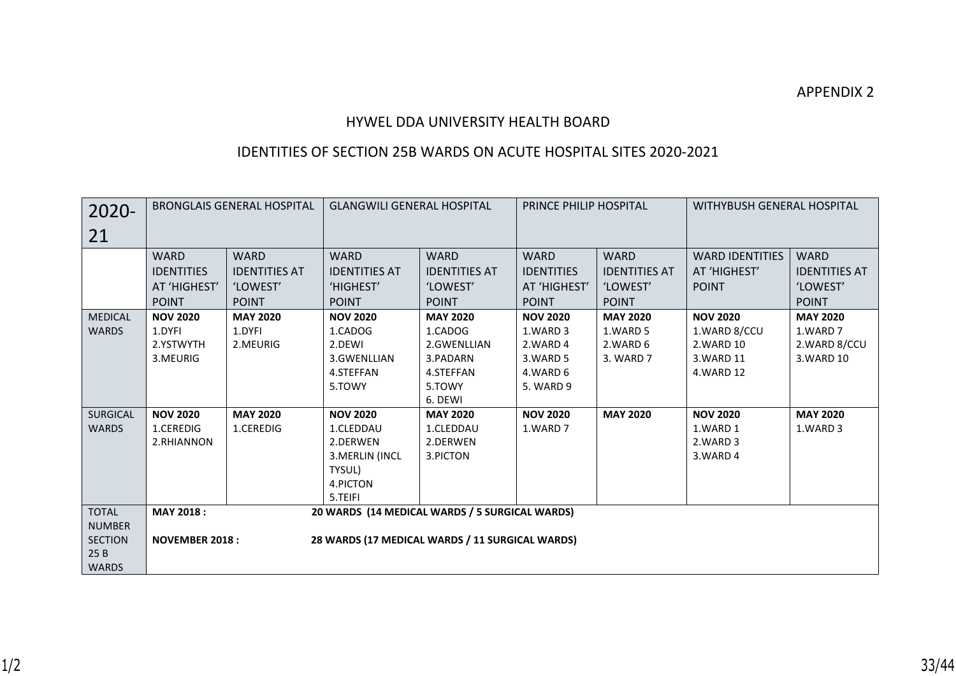## HYWEL DDA UNIVERSITY HEALTH BOARD

## IDENTITIES OF SECTION 25B WARDS ON ACUTE HOSPITAL SITES 2020-2021

| 2020-                                                                  | <b>BRONGLAIS GENERAL HOSPITAL</b>                                |                                                                 | <b>GLANGWILI GENERAL HOSPITAL</b>                                                                 |                                                                                         | <b>PRINCE PHILIP HOSPITAL</b>                                                |                                                                 | WITHYBUSH GENERAL HOSPITAL                                                |                                                                 |
|------------------------------------------------------------------------|------------------------------------------------------------------|-----------------------------------------------------------------|---------------------------------------------------------------------------------------------------|-----------------------------------------------------------------------------------------|------------------------------------------------------------------------------|-----------------------------------------------------------------|---------------------------------------------------------------------------|-----------------------------------------------------------------|
| 21                                                                     |                                                                  |                                                                 |                                                                                                   |                                                                                         |                                                                              |                                                                 |                                                                           |                                                                 |
|                                                                        | <b>WARD</b><br><b>IDENTITIES</b><br>AT 'HIGHEST'<br><b>POINT</b> | <b>WARD</b><br><b>IDENTITIES AT</b><br>'LOWEST'<br><b>POINT</b> | <b>WARD</b><br><b>IDENTITIES AT</b><br>'HIGHEST'<br><b>POINT</b>                                  | <b>WARD</b><br><b>IDENTITIES AT</b><br>'LOWEST'<br><b>POINT</b>                         | <b>WARD</b><br><b>IDENTITIES</b><br>AT 'HIGHEST'<br><b>POINT</b>             | <b>WARD</b><br><b>IDENTITIES AT</b><br>'LOWEST'<br><b>POINT</b> | <b>WARD IDENTITIES</b><br>AT 'HIGHEST'<br><b>POINT</b>                    | <b>WARD</b><br><b>IDENTITIES AT</b><br>'LOWEST'<br><b>POINT</b> |
| <b>MEDICAL</b><br><b>WARDS</b>                                         | <b>NOV 2020</b><br>1.DYFI<br>2.YSTWYTH<br>3.MEURIG               | <b>MAY 2020</b><br>1.DYFI<br>2.MEURIG                           | <b>NOV 2020</b><br>1.CADOG<br>2.DEWI<br>3.GWENLLIAN<br>4.STEFFAN<br>5.TOWY                        | <b>MAY 2020</b><br>1.CADOG<br>2.GWENLLIAN<br>3.PADARN<br>4.STEFFAN<br>5.TOWY<br>6. DEWI | <b>NOV 2020</b><br>1.WARD 3<br>2.WARD 4<br>3.WARD 5<br>4.WARD 6<br>5. WARD 9 | <b>MAY 2020</b><br>1.WARD 5<br>2.WARD 6<br>3. WARD 7            | <b>NOV 2020</b><br>1.WARD 8/CCU<br>2. WARD 10<br>3. WARD 11<br>4. WARD 12 | <b>MAY 2020</b><br>1.WARD 7<br>2.WARD 8/CCU<br>3. WARD 10       |
| <b>SURGICAL</b><br><b>WARDS</b>                                        | <b>NOV 2020</b><br>1.CEREDIG<br>2.RHIANNON                       | <b>MAY 2020</b><br>1.CEREDIG                                    | <b>NOV 2020</b><br>1.CLEDDAU<br>2.DERWEN<br>3. MERLIN (INCL<br>TYSUL)<br>4.PICTON<br>5.TEIFI      | <b>MAY 2020</b><br>1.CLEDDAU<br>2.DERWEN<br>3.PICTON                                    | <b>NOV 2020</b><br>1.WARD 7                                                  | <b>MAY 2020</b>                                                 | <b>NOV 2020</b><br>1.WARD 1<br>2.WARD 3<br>3.WARD 4                       | <b>MAY 2020</b><br>1.WARD 3                                     |
| <b>TOTAL</b><br><b>NUMBER</b><br><b>SECTION</b><br>25B<br><b>WARDS</b> | <b>MAY 2018:</b><br><b>NOVEMBER 2018:</b>                        |                                                                 | 20 WARDS (14 MEDICAL WARDS / 5 SURGICAL WARDS)<br>28 WARDS (17 MEDICAL WARDS / 11 SURGICAL WARDS) |                                                                                         |                                                                              |                                                                 |                                                                           |                                                                 |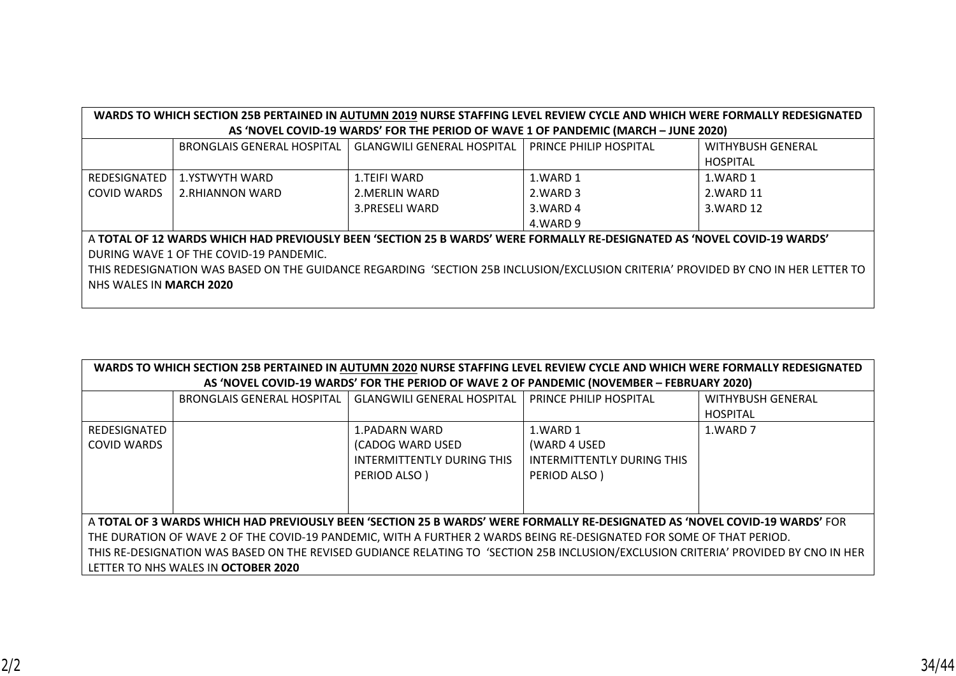| WARDS TO WHICH SECTION 25B PERTAINED IN AUTUMN 2019 NURSE STAFFING LEVEL REVIEW CYCLE AND WHICH WERE FORMALLY REDESIGNATED         |                                |                                                                                                                          |                        |                          |  |  |  |  |  |
|------------------------------------------------------------------------------------------------------------------------------------|--------------------------------|--------------------------------------------------------------------------------------------------------------------------|------------------------|--------------------------|--|--|--|--|--|
|                                                                                                                                    |                                | AS 'NOVEL COVID-19 WARDS' FOR THE PERIOD OF WAVE 1 OF PANDEMIC (MARCH - JUNE 2020)                                       |                        |                          |  |  |  |  |  |
|                                                                                                                                    | BRONGLAIS GENERAL HOSPITAL     | <b>GLANGWILI GENERAL HOSPITAL</b>                                                                                        | PRINCE PHILIP HOSPITAL | <b>WITHYBUSH GENERAL</b> |  |  |  |  |  |
|                                                                                                                                    |                                |                                                                                                                          |                        | <b>HOSPITAL</b>          |  |  |  |  |  |
| REDESIGNATED                                                                                                                       | 1.YSTWYTH WARD                 | 1.TEIFI WARD                                                                                                             | 1.WARD 1               | 1.WARD 1                 |  |  |  |  |  |
| <b>COVID WARDS</b>                                                                                                                 | 2.RHIANNON WARD                | 2. MERLIN WARD                                                                                                           | 2.WARD 3               | 2. WARD 11               |  |  |  |  |  |
|                                                                                                                                    |                                | 3. PRESELI WARD                                                                                                          | 3. WARD 4              | 3. WARD 12               |  |  |  |  |  |
|                                                                                                                                    |                                |                                                                                                                          | 4.WARD 9               |                          |  |  |  |  |  |
|                                                                                                                                    |                                | A TOTAL OF 12 WARDS WHICH HAD PREVIOUSLY BEEN 'SECTION 25 B WARDS' WERE FORMALLY RE-DESIGNATED AS 'NOVEL COVID-19 WARDS' |                        |                          |  |  |  |  |  |
| DURING WAVE 1 OF THE COVID-19 PANDEMIC.                                                                                            |                                |                                                                                                                          |                        |                          |  |  |  |  |  |
| THIS REDESIGNATION WAS BASED ON THE GUIDANCE REGARDING 'SECTION 25B INCLUSION/EXCLUSION CRITERIA' PROVIDED BY CNO IN HER LETTER TO |                                |                                                                                                                          |                        |                          |  |  |  |  |  |
|                                                                                                                                    | NHS WALES IN <b>MARCH 2020</b> |                                                                                                                          |                        |                          |  |  |  |  |  |
|                                                                                                                                    |                                |                                                                                                                          |                        |                          |  |  |  |  |  |

| WARDS TO WHICH SECTION 25B PERTAINED IN AUTUMN 2020 NURSE STAFFING LEVEL REVIEW CYCLE AND WHICH WERE FORMALLY REDESIGNATED          |                                     |                                                                                                                             |                               |                          |  |  |  |  |
|-------------------------------------------------------------------------------------------------------------------------------------|-------------------------------------|-----------------------------------------------------------------------------------------------------------------------------|-------------------------------|--------------------------|--|--|--|--|
|                                                                                                                                     |                                     | AS 'NOVEL COVID-19 WARDS' FOR THE PERIOD OF WAVE 2 OF PANDEMIC (NOVEMBER - FEBRUARY 2020)                                   |                               |                          |  |  |  |  |
|                                                                                                                                     | <b>BRONGLAIS GENERAL HOSPITAL</b>   | <b>GLANGWILI GENERAL HOSPITAL</b>                                                                                           | <b>PRINCE PHILIP HOSPITAL</b> | <b>WITHYBUSH GENERAL</b> |  |  |  |  |
|                                                                                                                                     |                                     |                                                                                                                             |                               | <b>HOSPITAL</b>          |  |  |  |  |
| REDESIGNATED                                                                                                                        |                                     | 1.PADARN WARD                                                                                                               | 1.WARD 1                      | 1.WARD 7                 |  |  |  |  |
| COVID WARDS                                                                                                                         |                                     | (CADOG WARD USED                                                                                                            | (WARD 4 USED                  |                          |  |  |  |  |
|                                                                                                                                     |                                     | INTERMITTENTLY DURING THIS                                                                                                  | INTERMITTENTLY DURING THIS    |                          |  |  |  |  |
|                                                                                                                                     |                                     | PERIOD ALSO)                                                                                                                | PERIOD ALSO)                  |                          |  |  |  |  |
|                                                                                                                                     |                                     |                                                                                                                             |                               |                          |  |  |  |  |
|                                                                                                                                     |                                     |                                                                                                                             |                               |                          |  |  |  |  |
|                                                                                                                                     |                                     | A TOTAL OF 3 WARDS WHICH HAD PREVIOUSLY BEEN 'SECTION 25 B WARDS' WERE FORMALLY RE-DESIGNATED AS 'NOVEL COVID-19 WARDS' FOR |                               |                          |  |  |  |  |
| THE DURATION OF WAVE 2 OF THE COVID-19 PANDEMIC, WITH A FURTHER 2 WARDS BEING RE-DESIGNATED FOR SOME OF THAT PERIOD.                |                                     |                                                                                                                             |                               |                          |  |  |  |  |
| THIS RE-DESIGNATION WAS BASED ON THE REVISED GUDIANCE RELATING TO 'SECTION 25B INCLUSION/EXCLUSION CRITERIA' PROVIDED BY CNO IN HER |                                     |                                                                                                                             |                               |                          |  |  |  |  |
|                                                                                                                                     | LETTER TO NHS WALES IN OCTOBER 2020 |                                                                                                                             |                               |                          |  |  |  |  |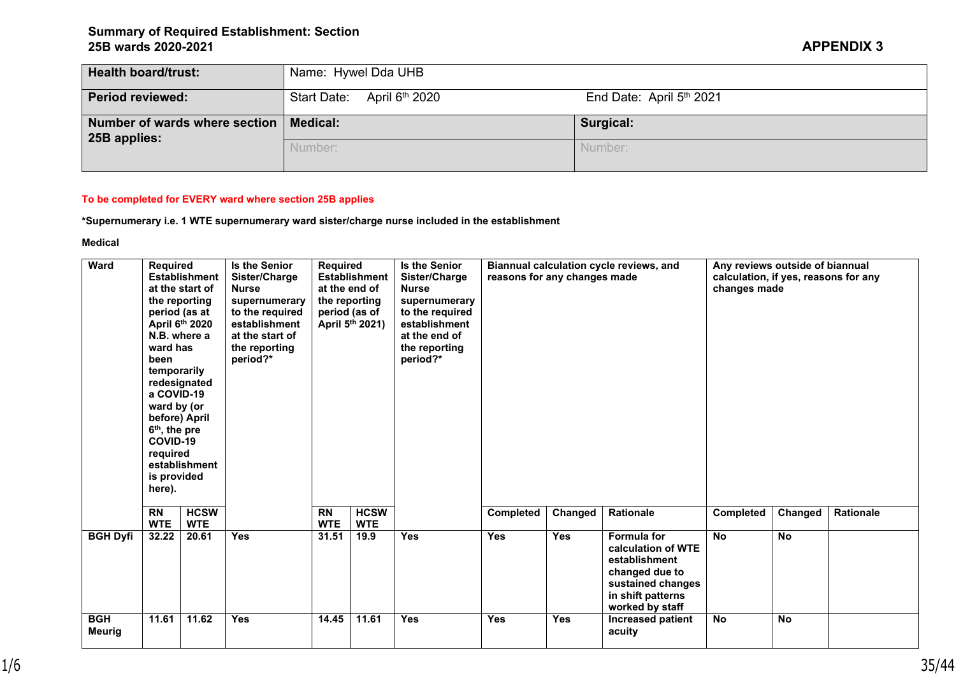| <b>Health board/trust:</b>                               | Name: Hywel Dda UHB        |                          |  |  |  |  |  |
|----------------------------------------------------------|----------------------------|--------------------------|--|--|--|--|--|
| <b>Period reviewed:</b>                                  | Start Date: April 6th 2020 | End Date: April 5th 2021 |  |  |  |  |  |
| Number of wards where section   Medical:<br>25B applies: |                            | Surgical:                |  |  |  |  |  |
|                                                          | Number:                    | Number:                  |  |  |  |  |  |

### **To be completed for EVERY ward where section 25B applies**

**\*Supernumerary i.e. 1 WTE supernumerary ward sister/charge nurse included in the establishment**

**Medical** 

| <b>Ward</b><br>Required<br><b>Establishment</b><br>at the start of<br>the reporting<br>period (as at<br>April 6th 2020<br>N.B. where a<br>ward has<br>been<br>temporarily<br>redesignated<br>a COVID-19<br>ward by (or<br>before) April<br>6 <sup>th</sup> , the pre<br>COVID-19<br>required<br>establishment<br>is provided<br>here). |                         | <b>Is the Senior</b><br>Sister/Charge<br><b>Nurse</b><br>supernumerary<br>to the required<br>establishment<br>at the start of<br>the reporting<br>period?* | Required<br><b>Establishment</b><br>at the end of<br>the reporting<br>period (as of<br>April 5th 2021) |                         | <b>Is the Senior</b><br>Sister/Charge<br><b>Nurse</b><br>supernumerary<br>to the required<br>establishment<br>at the end of<br>the reporting<br>period?* | Biannual calculation cycle reviews, and<br>reasons for any changes made |            |            | Any reviews outside of biannual<br>calculation, if yes, reasons for any<br>changes made                                           |           |           |           |
|----------------------------------------------------------------------------------------------------------------------------------------------------------------------------------------------------------------------------------------------------------------------------------------------------------------------------------------|-------------------------|------------------------------------------------------------------------------------------------------------------------------------------------------------|--------------------------------------------------------------------------------------------------------|-------------------------|----------------------------------------------------------------------------------------------------------------------------------------------------------|-------------------------------------------------------------------------|------------|------------|-----------------------------------------------------------------------------------------------------------------------------------|-----------|-----------|-----------|
|                                                                                                                                                                                                                                                                                                                                        | <b>RN</b><br><b>WTE</b> | <b>HCSW</b><br><b>WTE</b>                                                                                                                                  |                                                                                                        | <b>RN</b><br><b>WTE</b> | <b>HCSW</b><br><b>WTE</b>                                                                                                                                |                                                                         | Completed  | Changed    | Rationale                                                                                                                         | Completed | Changed   | Rationale |
| <b>BGH Dyfi</b>                                                                                                                                                                                                                                                                                                                        | 32.22                   | 20.61                                                                                                                                                      | <b>Yes</b>                                                                                             | 31.51                   | 19.9                                                                                                                                                     | <b>Yes</b>                                                              | <b>Yes</b> | <b>Yes</b> | Formula for<br>calculation of WTE<br>establishment<br>changed due to<br>sustained changes<br>in shift patterns<br>worked by staff | <b>No</b> | <b>No</b> |           |
| <b>BGH</b><br><b>Meurig</b>                                                                                                                                                                                                                                                                                                            | 11.61                   | 11.62                                                                                                                                                      | <b>Yes</b>                                                                                             | 14.45                   | 11.61                                                                                                                                                    | <b>Yes</b>                                                              | <b>Yes</b> | <b>Yes</b> | Increased patient<br>acuity                                                                                                       | <b>No</b> | <b>No</b> |           |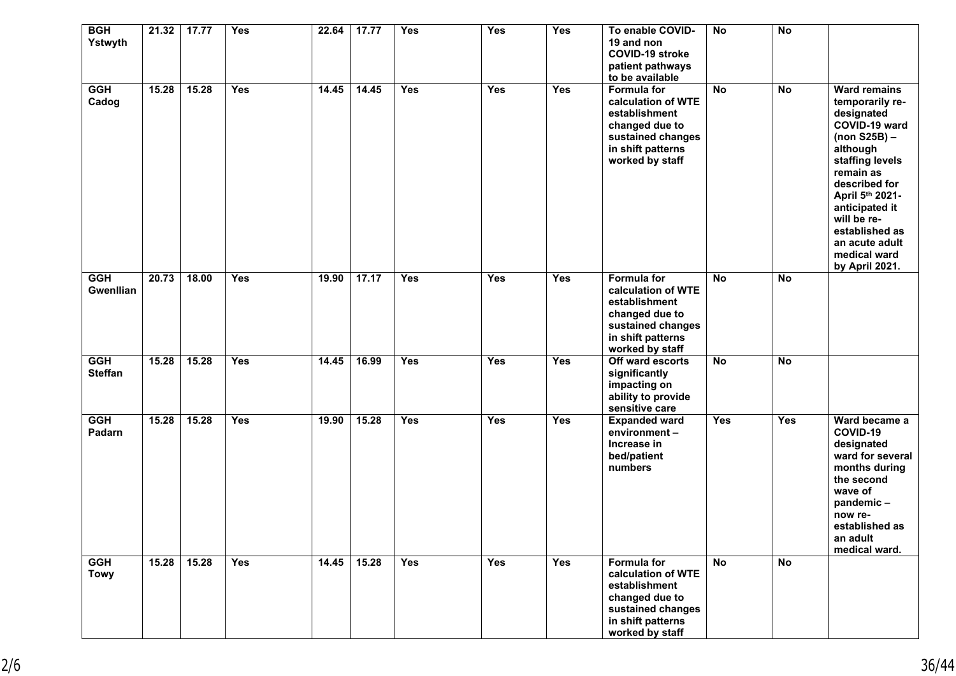| <b>BGH</b><br>Ystwyth        | 21.32 | 17.77 | <b>Yes</b> | 22.64 | 17.77 | Yes        | Yes        | <b>Yes</b> | To enable COVID-<br>19 and non<br><b>COVID-19 stroke</b><br>patient pathways<br>to be available                                          | <b>No</b> | <b>No</b>  |                                                                                                                                                                                                                                                                                |
|------------------------------|-------|-------|------------|-------|-------|------------|------------|------------|------------------------------------------------------------------------------------------------------------------------------------------|-----------|------------|--------------------------------------------------------------------------------------------------------------------------------------------------------------------------------------------------------------------------------------------------------------------------------|
| <b>GGH</b><br>Cadog          | 15.28 | 15.28 | <b>Yes</b> | 14.45 | 14.45 | <b>Yes</b> | <b>Yes</b> | <b>Yes</b> | <b>Formula for</b><br>calculation of WTE<br>establishment<br>changed due to<br>sustained changes<br>in shift patterns<br>worked by staff | <b>No</b> | <b>No</b>  | <b>Ward remains</b><br>temporarily re-<br>designated<br>COVID-19 ward<br>$(non S25B)$ -<br>although<br>staffing levels<br>remain as<br>described for<br>April 5th 2021-<br>anticipated it<br>will be re-<br>established as<br>an acute adult<br>medical ward<br>by April 2021. |
| <b>GGH</b><br>Gwenllian      | 20.73 | 18.00 | <b>Yes</b> | 19.90 | 17.17 | Yes        | Yes        | Yes        | <b>Formula for</b><br>calculation of WTE<br>establishment<br>changed due to<br>sustained changes<br>in shift patterns<br>worked by staff | <b>No</b> | <b>No</b>  |                                                                                                                                                                                                                                                                                |
| <b>GGH</b><br><b>Steffan</b> | 15.28 | 15.28 | <b>Yes</b> | 14.45 | 16.99 | <b>Yes</b> | <b>Yes</b> | <b>Yes</b> | Off ward escorts<br>significantly<br>impacting on<br>ability to provide<br>sensitive care                                                | <b>No</b> | <b>No</b>  |                                                                                                                                                                                                                                                                                |
| <b>GGH</b><br>Padarn         | 15.28 | 15.28 | <b>Yes</b> | 19.90 | 15.28 | <b>Yes</b> | <b>Yes</b> | <b>Yes</b> | <b>Expanded ward</b><br>environment-<br>Increase in<br>bed/patient<br>numbers                                                            | Yes       | <b>Yes</b> | Ward became a<br>COVID-19<br>designated<br>ward for several<br>months during<br>the second<br>wave of<br>pandemic-<br>now re-<br>established as<br>an adult<br>medical ward.                                                                                                   |
| <b>GGH</b><br><b>Towy</b>    | 15.28 | 15.28 | Yes        | 14.45 | 15.28 | <b>Yes</b> | Yes        | Yes        | <b>Formula for</b><br>calculation of WTE<br>establishment<br>changed due to<br>sustained changes<br>in shift patterns<br>worked by staff | <b>No</b> | <b>No</b>  |                                                                                                                                                                                                                                                                                |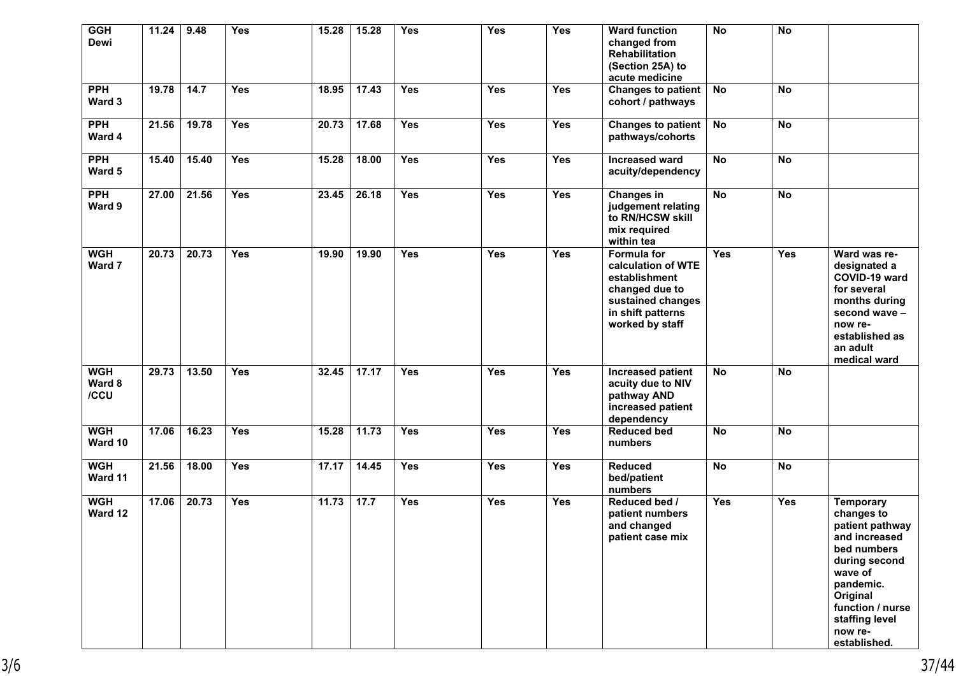| <b>GGH</b><br><b>Dewi</b>    | 11.24 | 9.48  | <b>Yes</b> | 15.28 | 15.28 | <b>Yes</b> | Yes        | <b>Yes</b> | <b>Ward function</b><br>changed from<br>Rehabilitation<br>(Section 25A) to<br>acute medicine                                      | <b>No</b>  | <b>No</b>  |                                                                                                                                                                                                         |
|------------------------------|-------|-------|------------|-------|-------|------------|------------|------------|-----------------------------------------------------------------------------------------------------------------------------------|------------|------------|---------------------------------------------------------------------------------------------------------------------------------------------------------------------------------------------------------|
| <b>PPH</b><br>Ward 3         | 19.78 | 14.7  | <b>Yes</b> | 18.95 | 17.43 | <b>Yes</b> | <b>Yes</b> | <b>Yes</b> | Changes to patient  <br>cohort / pathways                                                                                         | No         | <b>No</b>  |                                                                                                                                                                                                         |
| <b>PPH</b><br>Ward 4         | 21.56 | 19.78 | <b>Yes</b> | 20.73 | 17.68 | <b>Yes</b> | <b>Yes</b> | Yes        | Changes to patient  <br>pathways/cohorts                                                                                          | <b>No</b>  | <b>No</b>  |                                                                                                                                                                                                         |
| <b>PPH</b><br>Ward 5         | 15.40 | 15.40 | <b>Yes</b> | 15.28 | 18.00 | <b>Yes</b> | <b>Yes</b> | <b>Yes</b> | <b>Increased ward</b><br>acuity/dependency                                                                                        | <b>No</b>  | <b>No</b>  |                                                                                                                                                                                                         |
| <b>PPH</b><br>Ward 9         | 27.00 | 21.56 | <b>Yes</b> | 23.45 | 26.18 | Yes        | <b>Yes</b> | Yes        | <b>Changes in</b><br>judgement relating<br>to RN/HCSW skill<br>mix required<br>within tea                                         | <b>No</b>  | <b>No</b>  |                                                                                                                                                                                                         |
| <b>WGH</b><br>Ward 7         | 20.73 | 20.73 | <b>Yes</b> | 19.90 | 19.90 | <b>Yes</b> | <b>Yes</b> | <b>Yes</b> | Formula for<br>calculation of WTE<br>establishment<br>changed due to<br>sustained changes<br>in shift patterns<br>worked by staff | Yes        | <b>Yes</b> | Ward was re-<br>designated a<br>COVID-19 ward<br>for several<br>months during<br>second wave -<br>now re-<br>established as<br>an adult<br>medical ward                                                 |
| <b>WGH</b><br>Ward 8<br>/CCU | 29.73 | 13.50 | Yes        | 32.45 | 17.17 | Yes        | Yes        | Yes        | Increased patient<br>acuity due to NIV<br>pathway AND<br>increased patient<br>dependency                                          | <b>No</b>  | <b>No</b>  |                                                                                                                                                                                                         |
| <b>WGH</b><br>Ward 10        | 17.06 | 16.23 | <b>Yes</b> | 15.28 | 11.73 | <b>Yes</b> | <b>Yes</b> | <b>Yes</b> | <b>Reduced bed</b><br>numbers                                                                                                     | <b>No</b>  | <b>No</b>  |                                                                                                                                                                                                         |
| <b>WGH</b><br>Ward 11        | 21.56 | 18.00 | <b>Yes</b> | 17.17 | 14.45 | <b>Yes</b> | <b>Yes</b> | Yes        | <b>Reduced</b><br>bed/patient<br>numbers                                                                                          | <b>No</b>  | <b>No</b>  |                                                                                                                                                                                                         |
| <b>WGH</b><br>Ward 12        | 17.06 | 20.73 | <b>Yes</b> | 11.73 | 17.7  | <b>Yes</b> | <b>Yes</b> | <b>Yes</b> | Reduced bed /<br>patient numbers<br>and changed<br>patient case mix                                                               | <b>Yes</b> | <b>Yes</b> | <b>Temporary</b><br>changes to<br>patient pathway<br>and increased<br>bed numbers<br>during second<br>wave of<br>pandemic.<br>Original<br>function / nurse<br>staffing level<br>now re-<br>established. |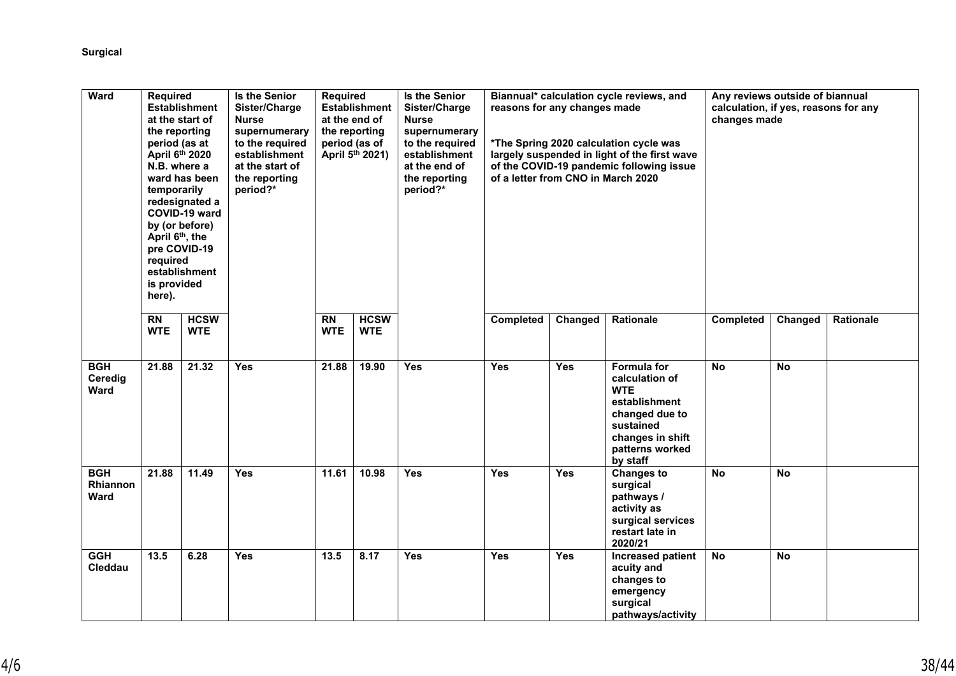| <b>Ward</b>                           | <b>Required</b><br>the reporting<br>period (as at<br>April 6th 2020<br>N.B. where a<br>temporarily<br>April 6th, the<br>required<br>is provided<br>here). | <b>Establishment</b><br>at the start of<br>ward has been<br>redesignated a<br>COVID-19 ward<br>by (or before)<br>pre COVID-19<br>establishment | Is the Senior<br>Sister/Charge<br><b>Nurse</b><br>supernumerary<br>to the required<br>establishment<br>at the start of<br>the reporting<br>period?* | <b>Required</b>               | <b>Establishment</b><br>at the end of<br>the reporting<br>period (as of<br>April 5th 2021) | <b>Is the Senior</b><br>Sister/Charge<br><b>Nurse</b><br>supernumerary<br>to the required<br>establishment<br>at the end of<br>the reporting<br>period?* | Biannual* calculation cycle reviews, and<br>reasons for any changes made<br>*The Spring 2020 calculation cycle was<br>largely suspended in light of the first wave<br>of the COVID-19 pandemic following issue<br>of a letter from CNO in March 2020<br><b>Rationale</b><br>Completed<br>Changed |            | Any reviews outside of biannual<br>calculation, if yes, reasons for any<br>changes made<br><b>Completed</b><br>Changed<br>Rationale            |           |           |  |
|---------------------------------------|-----------------------------------------------------------------------------------------------------------------------------------------------------------|------------------------------------------------------------------------------------------------------------------------------------------------|-----------------------------------------------------------------------------------------------------------------------------------------------------|-------------------------------|--------------------------------------------------------------------------------------------|----------------------------------------------------------------------------------------------------------------------------------------------------------|--------------------------------------------------------------------------------------------------------------------------------------------------------------------------------------------------------------------------------------------------------------------------------------------------|------------|------------------------------------------------------------------------------------------------------------------------------------------------|-----------|-----------|--|
|                                       | $\overline{RN}$<br><b>WTE</b>                                                                                                                             | <b>HCSW</b><br><b>WTE</b>                                                                                                                      |                                                                                                                                                     | $\overline{RN}$<br><b>WTE</b> | <b>HCSW</b><br><b>WTE</b>                                                                  |                                                                                                                                                          |                                                                                                                                                                                                                                                                                                  |            |                                                                                                                                                |           |           |  |
| <b>BGH</b><br>Ceredig<br><b>Ward</b>  | 21.88                                                                                                                                                     | 21.32                                                                                                                                          | <b>Yes</b>                                                                                                                                          | 21.88                         | 19.90                                                                                      | Yes                                                                                                                                                      | Yes                                                                                                                                                                                                                                                                                              | Yes        | Formula for<br>calculation of<br><b>WTE</b><br>establishment<br>changed due to<br>sustained<br>changes in shift<br>patterns worked<br>by staff | <b>No</b> | <b>No</b> |  |
| <b>BGH</b><br>Rhiannon<br><b>Ward</b> | 21.88                                                                                                                                                     | 11.49                                                                                                                                          | <b>Yes</b>                                                                                                                                          | 11.61                         | 10.98                                                                                      | <b>Yes</b>                                                                                                                                               | <b>Yes</b>                                                                                                                                                                                                                                                                                       | <b>Yes</b> | <b>Changes to</b><br>surgical<br>pathways /<br>activity as<br>surgical services<br>restart late in<br>2020/21                                  | <b>No</b> | <b>No</b> |  |
| <b>GGH</b><br>Cleddau                 | 13.5                                                                                                                                                      | 6.28                                                                                                                                           | <b>Yes</b>                                                                                                                                          | 13.5                          | 8.17                                                                                       | Yes                                                                                                                                                      | <b>Yes</b>                                                                                                                                                                                                                                                                                       | <b>Yes</b> | <b>Increased patient</b><br>acuity and<br>changes to<br>emergency<br>surgical<br>pathways/activity                                             | No        | <b>No</b> |  |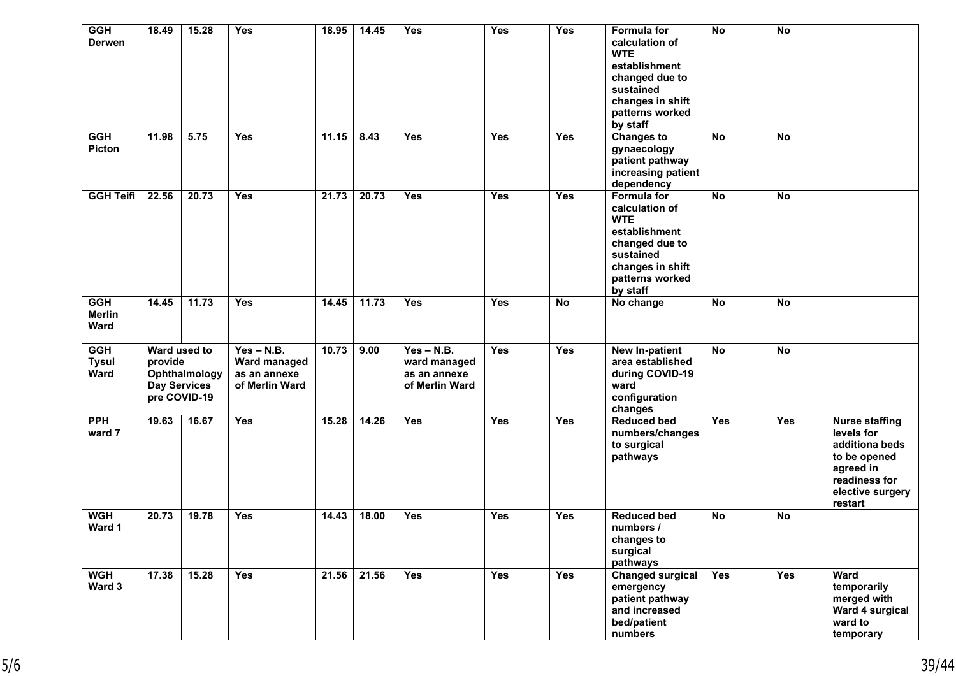| <b>GGH</b><br><b>Derwen</b>         | 18.49   | 15.28                                                                | <b>Yes</b>                                                     | 18.95 | 14.45 | <b>Yes</b>                                                     | <b>Yes</b> | <b>Yes</b> | <b>Formula for</b><br>calculation of<br><b>WTE</b><br>establishment<br>changed due to<br>sustained<br>changes in shift<br>patterns worked<br>by staff | <b>No</b>  | <b>No</b>  |                                                                                                                                    |
|-------------------------------------|---------|----------------------------------------------------------------------|----------------------------------------------------------------|-------|-------|----------------------------------------------------------------|------------|------------|-------------------------------------------------------------------------------------------------------------------------------------------------------|------------|------------|------------------------------------------------------------------------------------------------------------------------------------|
| <b>GGH</b><br><b>Picton</b>         | 11.98   | 5.75                                                                 | <b>Yes</b>                                                     | 11.15 | 8.43  | <b>Yes</b>                                                     | <b>Yes</b> | <b>Yes</b> | <b>Changes to</b><br>gynaecology<br>patient pathway<br>increasing patient<br>dependency                                                               | <b>No</b>  | <b>No</b>  |                                                                                                                                    |
| <b>GGH Teifi</b>                    | 22.56   | 20.73                                                                | <b>Yes</b>                                                     | 21.73 | 20.73 | <b>Yes</b>                                                     | <b>Yes</b> | <b>Yes</b> | <b>Formula for</b><br>calculation of<br><b>WTE</b><br>establishment<br>changed due to<br>sustained<br>changes in shift<br>patterns worked<br>by staff | <b>No</b>  | <b>No</b>  |                                                                                                                                    |
| <b>GGH</b><br><b>Merlin</b><br>Ward | 14.45   | 11.73                                                                | <b>Yes</b>                                                     | 14.45 | 11.73 | <b>Yes</b>                                                     | Yes        | <b>No</b>  | No change                                                                                                                                             | <b>No</b>  | <b>No</b>  |                                                                                                                                    |
| <b>GGH</b><br><b>Tysul</b><br>Ward  | provide | Ward used to<br>Ophthalmology<br><b>Day Services</b><br>pre COVID-19 | $Yes - N.B.$<br>Ward managed<br>as an annexe<br>of Merlin Ward | 10.73 | 9.00  | $Yes - N.B.$<br>ward managed<br>as an annexe<br>of Merlin Ward | <b>Yes</b> | <b>Yes</b> | New In-patient<br>area established<br>during COVID-19<br>ward<br>configuration<br>changes                                                             | <b>No</b>  | <b>No</b>  |                                                                                                                                    |
| <b>PPH</b><br>ward 7                | 19.63   | 16.67                                                                | Yes                                                            | 15.28 | 14.26 | <b>Yes</b>                                                     | Yes        | <b>Yes</b> | <b>Reduced bed</b><br>numbers/changes<br>to surgical<br>pathways                                                                                      | <b>Yes</b> | <b>Yes</b> | <b>Nurse staffing</b><br>levels for<br>additiona beds<br>to be opened<br>agreed in<br>readiness for<br>elective surgery<br>restart |
| <b>WGH</b><br>Ward 1                | 20.73   | 19.78                                                                | Yes                                                            | 14.43 | 18.00 | <b>Yes</b>                                                     | Yes        | <b>Yes</b> | <b>Reduced bed</b><br>numbers /<br>changes to<br>surgical<br>pathways                                                                                 | <b>No</b>  | No         |                                                                                                                                    |
| <b>WGH</b><br>Ward 3                | 17.38   | 15.28                                                                | <b>Yes</b>                                                     | 21.56 | 21.56 | Yes                                                            | Yes        | <b>Yes</b> | <b>Changed surgical</b><br>emergency<br>patient pathway<br>and increased<br>bed/patient<br>numbers                                                    | Yes        | Yes        | <b>Ward</b><br>temporarily<br>merged with<br>Ward 4 surgical<br>ward to<br>temporary                                               |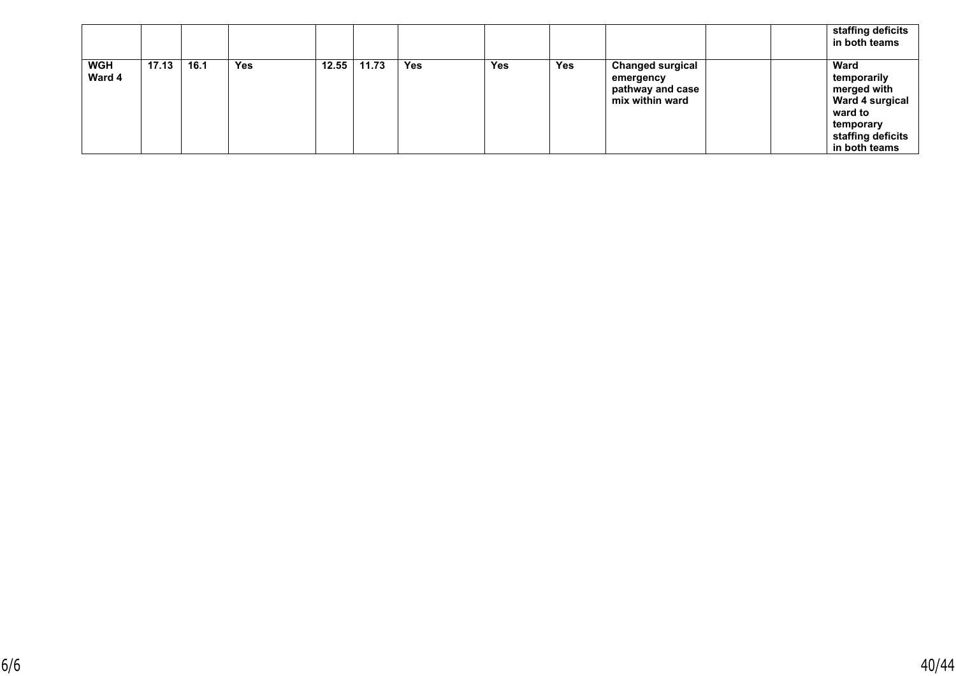|                      |       |      |     |       |       |            |            |            |                                                                             |  | staffing deficits<br>in both teams                                                                                                |
|----------------------|-------|------|-----|-------|-------|------------|------------|------------|-----------------------------------------------------------------------------|--|-----------------------------------------------------------------------------------------------------------------------------------|
| <b>WGH</b><br>Ward 4 | 17.13 | 16.1 | Yes | 12.55 | 11.73 | <b>Yes</b> | <b>Yes</b> | <b>Yes</b> | <b>Changed surgical</b><br>emergency<br>pathway and case<br>mix within ward |  | <b>Ward</b><br>temporarily<br>merged with<br><b>Ward 4 surgical</b><br>ward to<br>temporary<br>staffing deficits<br>in both teams |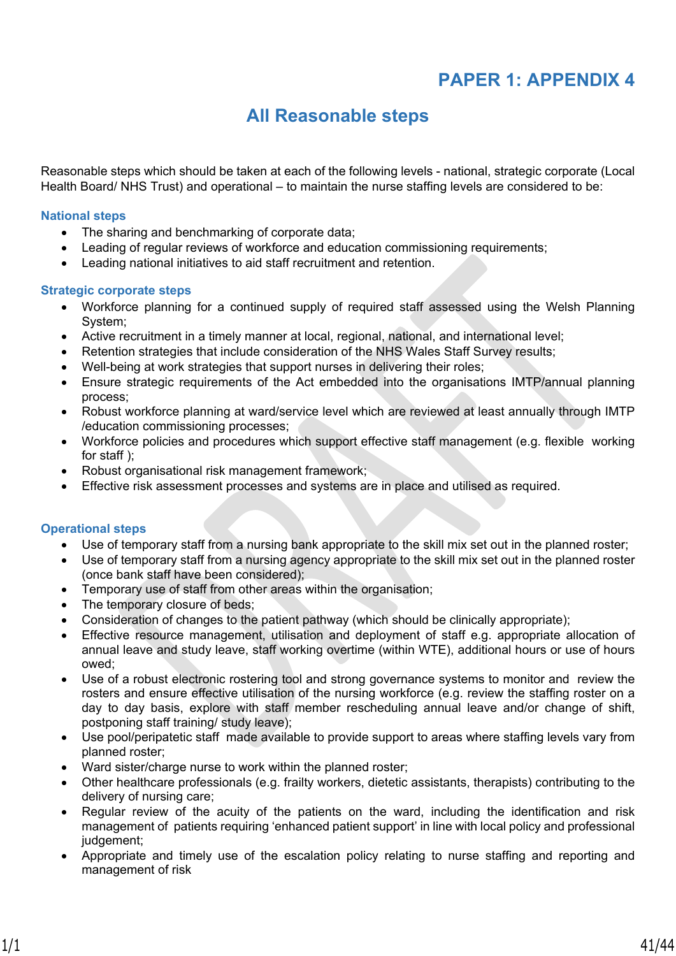## **PAPER 1: APPENDIX 4**

## **All Reasonable steps**

Reasonable steps which should be taken at each of the following levels - national, strategic corporate (Local Health Board/ NHS Trust) and operational – to maintain the nurse staffing levels are considered to be:

#### **National steps**

- The sharing and benchmarking of corporate data;
- Leading of regular reviews of workforce and education commissioning requirements;
- Leading national initiatives to aid staff recruitment and retention.

### **Strategic corporate steps**

- Workforce planning for a continued supply of required staff assessed using the Welsh Planning System;
- Active recruitment in a timely manner at local, regional, national, and international level;
- Retention strategies that include consideration of the NHS Wales Staff Survey results;
- Well-being at work strategies that support nurses in delivering their roles;
- Ensure strategic requirements of the Act embedded into the organisations IMTP/annual planning process;
- Robust workforce planning at ward/service level which are reviewed at least annually through IMTP /education commissioning processes;
- Workforce policies and procedures which support effective staff management (e.g. flexible working for staff ):
- Robust organisational risk management framework;
- Effective risk assessment processes and systems are in place and utilised as required.

### **Operational steps**

- Use of temporary staff from a nursing bank appropriate to the skill mix set out in the planned roster;
- Use of temporary staff from a nursing agency appropriate to the skill mix set out in the planned roster (once bank staff have been considered);
- Temporary use of staff from other areas within the organisation;
- The temporary closure of beds;
- Consideration of changes to the patient pathway (which should be clinically appropriate);
- Effective resource management, utilisation and deployment of staff e.g. appropriate allocation of annual leave and study leave, staff working overtime (within WTE), additional hours or use of hours owed;
- Use of a robust electronic rostering tool and strong governance systems to monitor and review the rosters and ensure effective utilisation of the nursing workforce (e.g. review the staffing roster on a day to day basis, explore with staff member rescheduling annual leave and/or change of shift, postponing staff training/ study leave);
- Use pool/peripatetic staff made available to provide support to areas where staffing levels vary from planned roster;
- Ward sister/charge nurse to work within the planned roster;
- Other healthcare professionals (e.g. frailty workers, dietetic assistants, therapists) contributing to the delivery of nursing care;
- Regular review of the acuity of the patients on the ward, including the identification and risk management of patients requiring 'enhanced patient support' in line with local policy and professional judgement;
- Appropriate and timely use of the escalation policy relating to nurse staffing and reporting and management of risk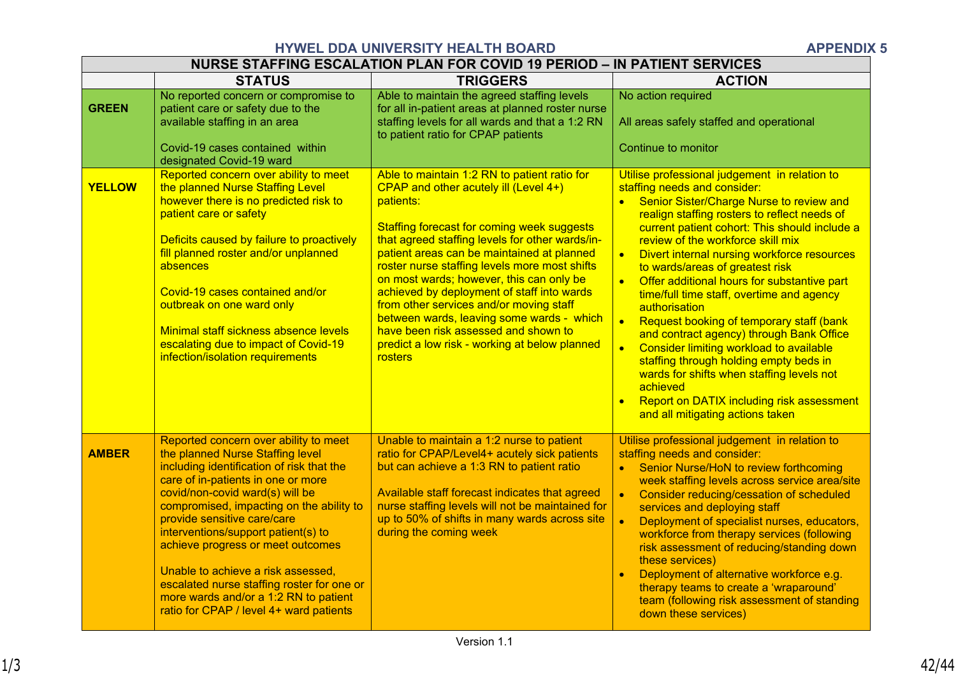## **HYWEL DDA UNIVERSITY HEALTH BOARD APPENDIX 5**

|               |                                                                                                                                                                                                                                                                                                                                                                                                                                                                                                                                | NURSE STAFFING ESCALATION PLAN FOR COVID 19 PERIOD – IN PATIENT SERVICES                                                                                                                                                                                                                                                                                                                                                                                                                                                                                                                 |                                                                                                                                                                                                                                                                                                                                                                                                                                                                                                                                                                                                                                                                                                                                                                                                                                                                      |
|---------------|--------------------------------------------------------------------------------------------------------------------------------------------------------------------------------------------------------------------------------------------------------------------------------------------------------------------------------------------------------------------------------------------------------------------------------------------------------------------------------------------------------------------------------|------------------------------------------------------------------------------------------------------------------------------------------------------------------------------------------------------------------------------------------------------------------------------------------------------------------------------------------------------------------------------------------------------------------------------------------------------------------------------------------------------------------------------------------------------------------------------------------|----------------------------------------------------------------------------------------------------------------------------------------------------------------------------------------------------------------------------------------------------------------------------------------------------------------------------------------------------------------------------------------------------------------------------------------------------------------------------------------------------------------------------------------------------------------------------------------------------------------------------------------------------------------------------------------------------------------------------------------------------------------------------------------------------------------------------------------------------------------------|
|               | <b>STATUS</b>                                                                                                                                                                                                                                                                                                                                                                                                                                                                                                                  | <b>TRIGGERS</b>                                                                                                                                                                                                                                                                                                                                                                                                                                                                                                                                                                          | <b>ACTION</b>                                                                                                                                                                                                                                                                                                                                                                                                                                                                                                                                                                                                                                                                                                                                                                                                                                                        |
| <b>GREEN</b>  | No reported concern or compromise to<br>patient care or safety due to the<br>available staffing in an area<br>Covid-19 cases contained within<br>designated Covid-19 ward                                                                                                                                                                                                                                                                                                                                                      | Able to maintain the agreed staffing levels<br>for all in-patient areas at planned roster nurse<br>staffing levels for all wards and that a 1:2 RN<br>to patient ratio for CPAP patients                                                                                                                                                                                                                                                                                                                                                                                                 | No action required<br>All areas safely staffed and operational<br>Continue to monitor                                                                                                                                                                                                                                                                                                                                                                                                                                                                                                                                                                                                                                                                                                                                                                                |
| <b>YELLOW</b> | Reported concern over ability to meet<br>the planned Nurse Staffing Level<br>however there is no predicted risk to<br>patient care or safety<br>Deficits caused by failure to proactively<br>fill planned roster and/or unplanned<br>absences<br>Covid-19 cases contained and/or<br>outbreak on one ward only<br>Minimal staff sickness absence levels<br>escalating due to impact of Covid-19<br>infection/isolation requirements                                                                                             | Able to maintain 1:2 RN to patient ratio for<br>CPAP and other acutely ill (Level 4+)<br>patients:<br>Staffing forecast for coming week suggests<br>that agreed staffing levels for other wards/in-<br>patient areas can be maintained at planned<br>roster nurse staffing levels more most shifts<br>on most wards; however, this can only be<br>achieved by deployment of staff into wards<br>from other services and/or moving staff<br>between wards, leaving some wards - which<br>have been risk assessed and shown to<br>predict a low risk - working at below planned<br>rosters | Utilise professional judgement in relation to<br>staffing needs and consider:<br>Senior Sister/Charge Nurse to review and<br>$\bullet$<br>realign staffing rosters to reflect needs of<br>current patient cohort: This should include a<br>review of the workforce skill mix<br>$\bullet$<br><b>Divert internal nursing workforce resources</b><br>to wards/areas of greatest risk<br>Offer additional hours for substantive part<br>$\bullet$<br>time/full time staff, overtime and agency<br>authorisation<br>Request booking of temporary staff (bank<br>$\bullet$<br>and contract agency) through Bank Office<br>$\bullet$<br>Consider limiting workload to available<br>staffing through holding empty beds in<br>wards for shifts when staffing levels not<br>achieved<br><b>Report on DATIX including risk assessment</b><br>and all mitigating actions taken |
| <b>AMBER</b>  | Reported concern over ability to meet<br>the planned Nurse Staffing level<br>including identification of risk that the<br>care of in-patients in one or more<br>covid/non-covid ward(s) will be<br>compromised, impacting on the ability to<br>provide sensitive care/care<br>interventions/support patient(s) to<br>achieve progress or meet outcomes<br>Unable to achieve a risk assessed,<br>escalated nurse staffing roster for one or<br>more wards and/or a 1:2 RN to patient<br>ratio for CPAP / level 4+ ward patients | Unable to maintain a 1:2 nurse to patient<br>ratio for CPAP/Level4+ acutely sick patients<br>but can achieve a 1:3 RN to patient ratio<br>Available staff forecast indicates that agreed<br>nurse staffing levels will not be maintained for<br>up to 50% of shifts in many wards across site<br>during the coming week                                                                                                                                                                                                                                                                  | Utilise professional judgement in relation to<br>staffing needs and consider:<br>Senior Nurse/HoN to review forthcoming<br>$\bullet$<br>week staffing levels across service area/site<br>$\bullet$<br>Consider reducing/cessation of scheduled<br>services and deploying staff<br>Deployment of specialist nurses, educators,<br>$\bullet$<br>workforce from therapy services (following<br>risk assessment of reducing/standing down<br>these services)<br>Deployment of alternative workforce e.g.<br>therapy teams to create a 'wraparound'<br>team (following risk assessment of standing<br>down these services)                                                                                                                                                                                                                                                |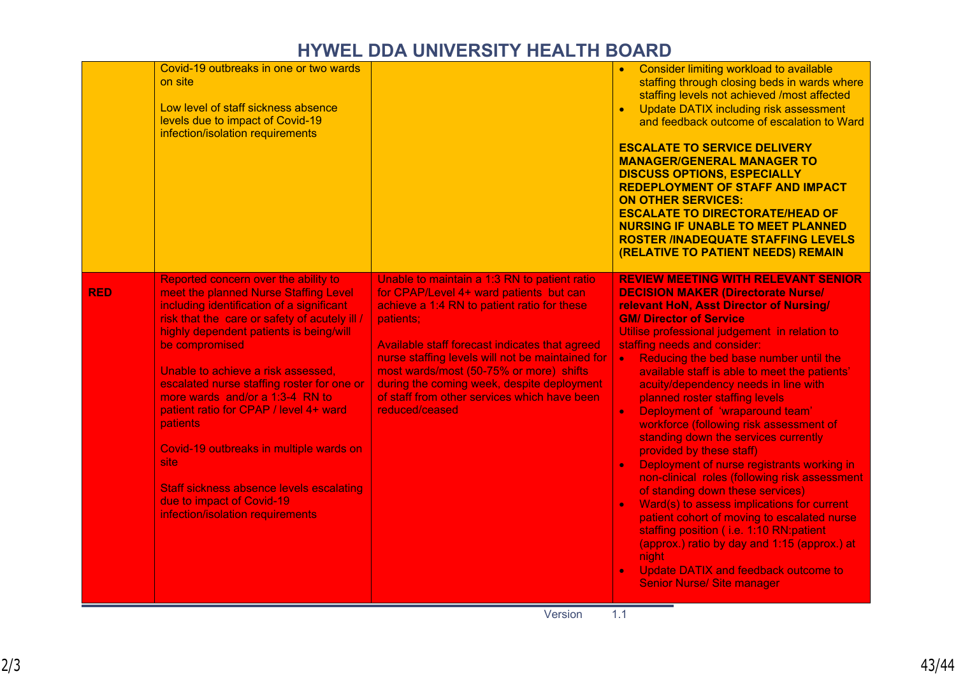# **HYWEL DDA UNIVERSITY HEALTH BOARD**

|            | Covid-19 outbreaks in one or two wards<br>on site<br>Low level of staff sickness absence<br>levels due to impact of Covid-19<br>infection/isolation requirements                                                                                                                                                                                                                                                                                                                                                                                                                                     |                                                                                                                                                                                                                                                                                                                                                                                                                      | Consider limiting workload to available<br>staffing through closing beds in wards where<br>staffing levels not achieved /most affected<br>Update DATIX including risk assessment<br>$\bullet$<br>and feedback outcome of escalation to Ward<br><b>ESCALATE TO SERVICE DELIVERY</b><br><b>MANAGER/GENERAL MANAGER TO</b><br><b>DISCUSS OPTIONS, ESPECIALLY</b><br><b>REDEPLOYMENT OF STAFF AND IMPACT</b><br><b>ON OTHER SERVICES:</b><br><b>ESCALATE TO DIRECTORATE/HEAD OF</b><br><b>NURSING IF UNABLE TO MEET PLANNED</b><br><b>ROSTER /INADEQUATE STAFFING LEVELS</b><br>(RELATIVE TO PATIENT NEEDS) REMAIN                                                                                                                                                                                                                                                                                                                                                                                                                                                   |
|------------|------------------------------------------------------------------------------------------------------------------------------------------------------------------------------------------------------------------------------------------------------------------------------------------------------------------------------------------------------------------------------------------------------------------------------------------------------------------------------------------------------------------------------------------------------------------------------------------------------|----------------------------------------------------------------------------------------------------------------------------------------------------------------------------------------------------------------------------------------------------------------------------------------------------------------------------------------------------------------------------------------------------------------------|------------------------------------------------------------------------------------------------------------------------------------------------------------------------------------------------------------------------------------------------------------------------------------------------------------------------------------------------------------------------------------------------------------------------------------------------------------------------------------------------------------------------------------------------------------------------------------------------------------------------------------------------------------------------------------------------------------------------------------------------------------------------------------------------------------------------------------------------------------------------------------------------------------------------------------------------------------------------------------------------------------------------------------------------------------------|
| <b>RED</b> | Reported concern over the ability to<br>meet the planned Nurse Staffing Level<br>including identification of a significant<br>risk that the care or safety of acutely ill /<br>highly dependent patients is being/will<br>be compromised<br>Unable to achieve a risk assessed.<br>escalated nurse staffing roster for one or<br>more wards and/or a 1:3-4 RN to<br>patient ratio for CPAP / level 4+ ward<br><b>patients</b><br>Covid-19 outbreaks in multiple wards on<br>site:<br><b>Staff sickness absence levels escalating</b><br>due to impact of Covid-19<br>infection/isolation requirements | Unable to maintain a 1:3 RN to patient ratio<br>for CPAP/Level 4+ ward patients but can<br>achieve a 1:4 RN to patient ratio for these<br>patients;<br>Available staff forecast indicates that agreed<br>nurse staffing levels will not be maintained for<br>most wards/most (50-75% or more) shifts<br>during the coming week, despite deployment<br>of staff from other services which have been<br>reduced/ceased | <b>REVIEW MEETING WITH RELEVANT SENIOR</b><br><b>DECISION MAKER (Directorate Nurse/</b><br>relevant HoN, Asst Director of Nursing/<br><b>GM/ Director of Service</b><br>Utilise professional judgement in relation to<br>staffing needs and consider:<br>Reducing the bed base number until the<br>$\bullet$ .<br>available staff is able to meet the patients'<br>acuity/dependency needs in line with<br>planned roster staffing levels<br>Deployment of 'wraparound team'<br>$\bullet$<br>workforce (following risk assessment of<br>standing down the services currently<br>provided by these staff)<br>Deployment of nurse registrants working in<br>$\bullet$<br>non-clinical roles (following risk assessment<br>of standing down these services)<br>Ward(s) to assess implications for current<br>$\bullet$<br>patient cohort of moving to escalated nurse<br>staffing position (i.e. 1:10 RN:patient<br>(approx.) ratio by day and 1:15 (approx.) at<br>night<br>Update DATIX and feedback outcome to<br>$\bullet$<br><b>Senior Nurse/ Site manager</b> |